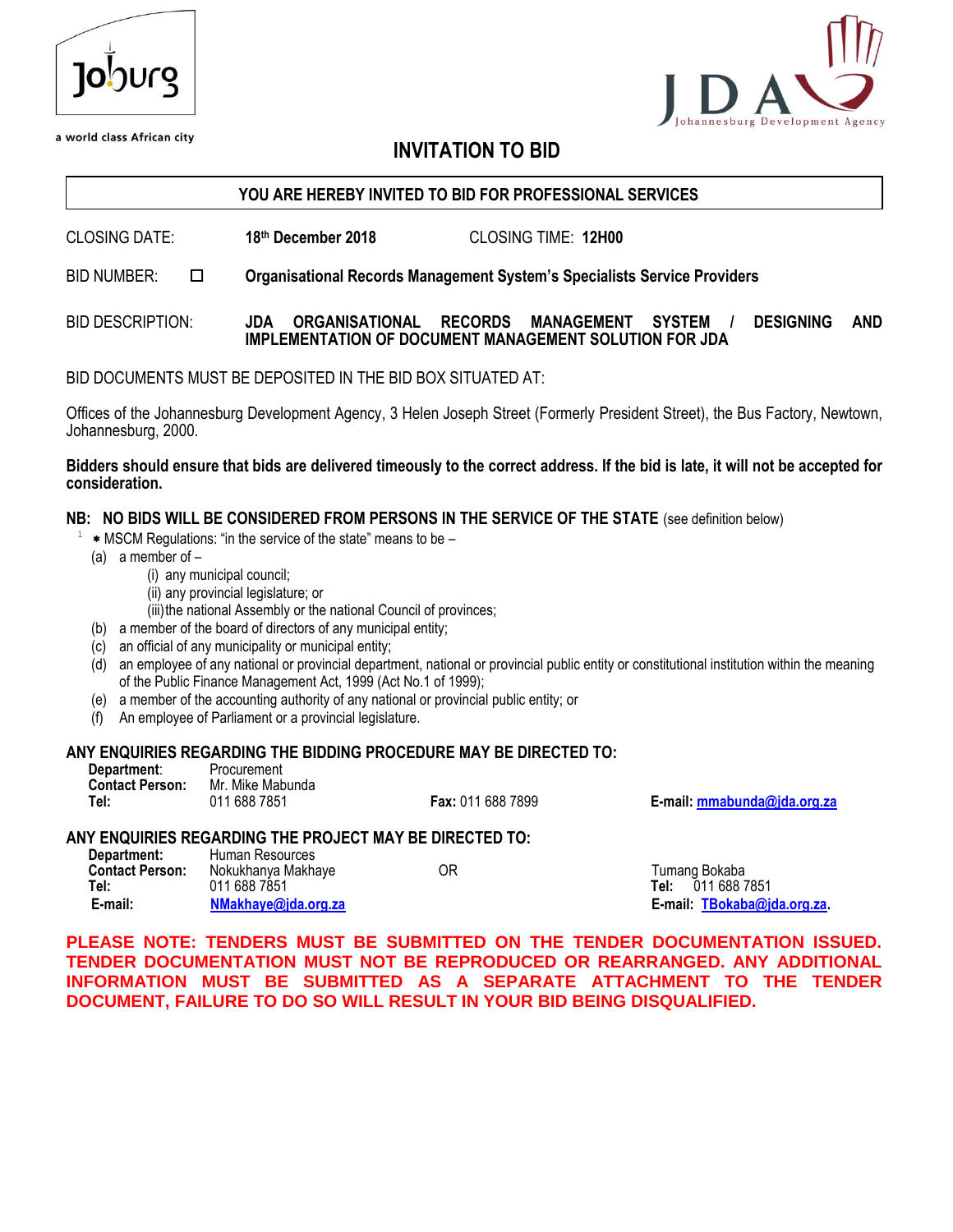| 10')Urg |
|---------|
|         |

a world class African city

# lopment Agency

# **INVITATION TO BID**

#### **YOU ARE HEREBY INVITED TO BID FOR PROFESSIONAL SERVICES**

CLOSING DATE: **18th December 2018** CLOSING TIME: **12H00**

BID NUMBER: **Organisational Records Management System's Specialists Service Providers**

#### BID DESCRIPTION: **JDA ORGANISATIONAL RECORDS MANAGEMENT SYSTEM / DESIGNING AND IMPLEMENTATION OF DOCUMENT MANAGEMENT SOLUTION FOR JDA**

BID DOCUMENTS MUST BE DEPOSITED IN THE BID BOX SITUATED AT:

Offices of the Johannesburg Development Agency, 3 Helen Joseph Street (Formerly President Street), the Bus Factory, Newtown, Johannesburg, 2000.

#### **Bidders should ensure that bids are delivered timeously to the correct address. If the bid is late, it will not be accepted for consideration.**

**NB: NO BIDS WILL BE CONSIDERED FROM PERSONS IN THE SERVICE OF THE STATE** (see definition below)

- 1 \* MSCM Regulations: "in the service of the state" means to be –
	- (a) a member of
		- (i) any municipal council;
		- (ii) any provincial legislature; or
		- (iii) the national Assembly or the national Council of provinces;
	- (b) a member of the board of directors of any municipal entity;
	- (c) an official of any municipality or municipal entity;
	- (d) an employee of any national or provincial department, national or provincial public entity or constitutional institution within the meaning of the Public Finance Management Act, 1999 (Act No.1 of 1999);
	- (e) a member of the accounting authority of any national or provincial public entity; or
	- (f) An employee of Parliament or a provincial legislature.

#### **ANY ENQUIRIES REGARDING THE BIDDING PROCEDURE MAY BE DIRECTED TO:**

| Department:            | Procurement      |
|------------------------|------------------|
| <b>Contact Person:</b> | Mr. Mike Mabunda |
| Tel:                   | 011 688 7851     |

**Tel:** 011 688 7851 **Fax:** 011 688 7899 **E-mail: [mmabunda@jda.org.za](mailto:mmabunda@jda.org.za)**

#### **ANY ENQUIRIES REGARDING THE PROJECT MAY BE DIRECTED TO: Department:** Human Resources

| Nokukhanya Makhaye<br>011 688 7851<br>NMakhaye@jda.org.za | ОR | Tumang Bokaba<br>Tel: 011 688 7851<br>E-mail: TBokaba@jda.org.za. |
|-----------------------------------------------------------|----|-------------------------------------------------------------------|
| Tiulilali INGSUULUGS.                                     |    |                                                                   |
|                                                           |    |                                                                   |

**PLEASE NOTE: TENDERS MUST BE SUBMITTED ON THE TENDER DOCUMENTATION ISSUED. TENDER DOCUMENTATION MUST NOT BE REPRODUCED OR REARRANGED. ANY ADDITIONAL INFORMATION MUST BE SUBMITTED AS A SEPARATE ATTACHMENT TO THE TENDER DOCUMENT, FAILURE TO DO SO WILL RESULT IN YOUR BID BEING DISQUALIFIED.**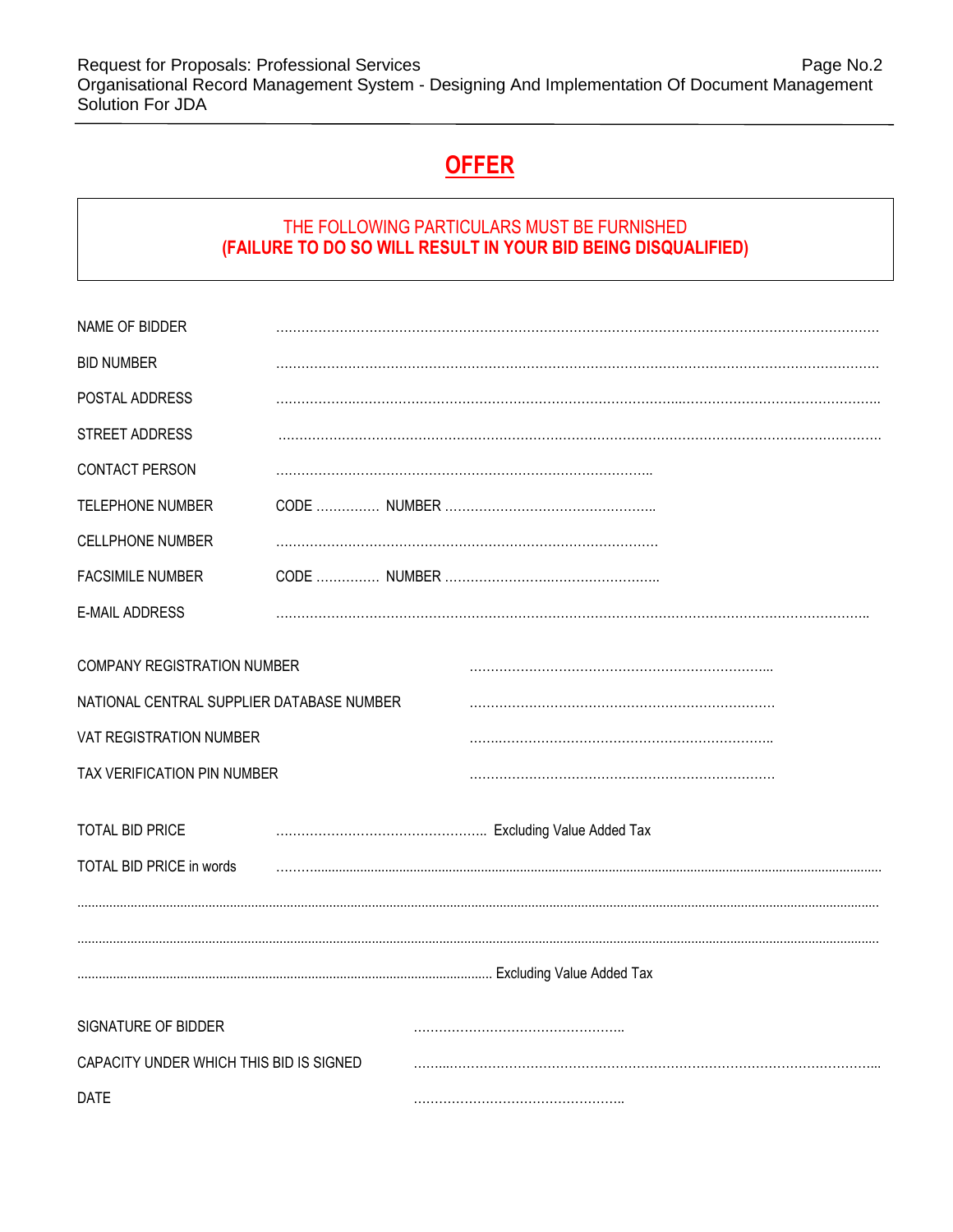Request for Proposals: Professional Services **Page No.2** Page No.2 Organisational Record Management System - Designing And Implementation Of Document Management Solution For JDA

# **OFFER**

# THE FOLLOWING PARTICULARS MUST BE FURNISHED **(FAILURE TO DO SO WILL RESULT IN YOUR BID BEING DISQUALIFIED)**

| NAME OF BIDDER                                                           |  |  |
|--------------------------------------------------------------------------|--|--|
| <b>BID NUMBER</b>                                                        |  |  |
| POSTAL ADDRESS                                                           |  |  |
| STREET ADDRESS                                                           |  |  |
| CONTACT PERSON                                                           |  |  |
| <b>TELEPHONE NUMBER</b>                                                  |  |  |
| <b>CELLPHONE NUMBER</b>                                                  |  |  |
| <b>FACSIMILE NUMBER</b>                                                  |  |  |
| <b>E-MAIL ADDRESS</b>                                                    |  |  |
| COMPANY REGISTRATION NUMBER<br>NATIONAL CENTRAL SUPPLIER DATABASE NUMBER |  |  |
| VAT REGISTRATION NUMBER                                                  |  |  |
| TAX VERIFICATION PIN NUMBER                                              |  |  |
|                                                                          |  |  |
| <b>TOTAL BID PRICE</b>                                                   |  |  |
| TOTAL BID PRICE in words                                                 |  |  |
|                                                                          |  |  |
|                                                                          |  |  |
|                                                                          |  |  |
| SIGNATURE OF BIDDER                                                      |  |  |
| CAPACITY UNDER WHICH THIS BID IS SIGNED                                  |  |  |
| <b>DATE</b>                                                              |  |  |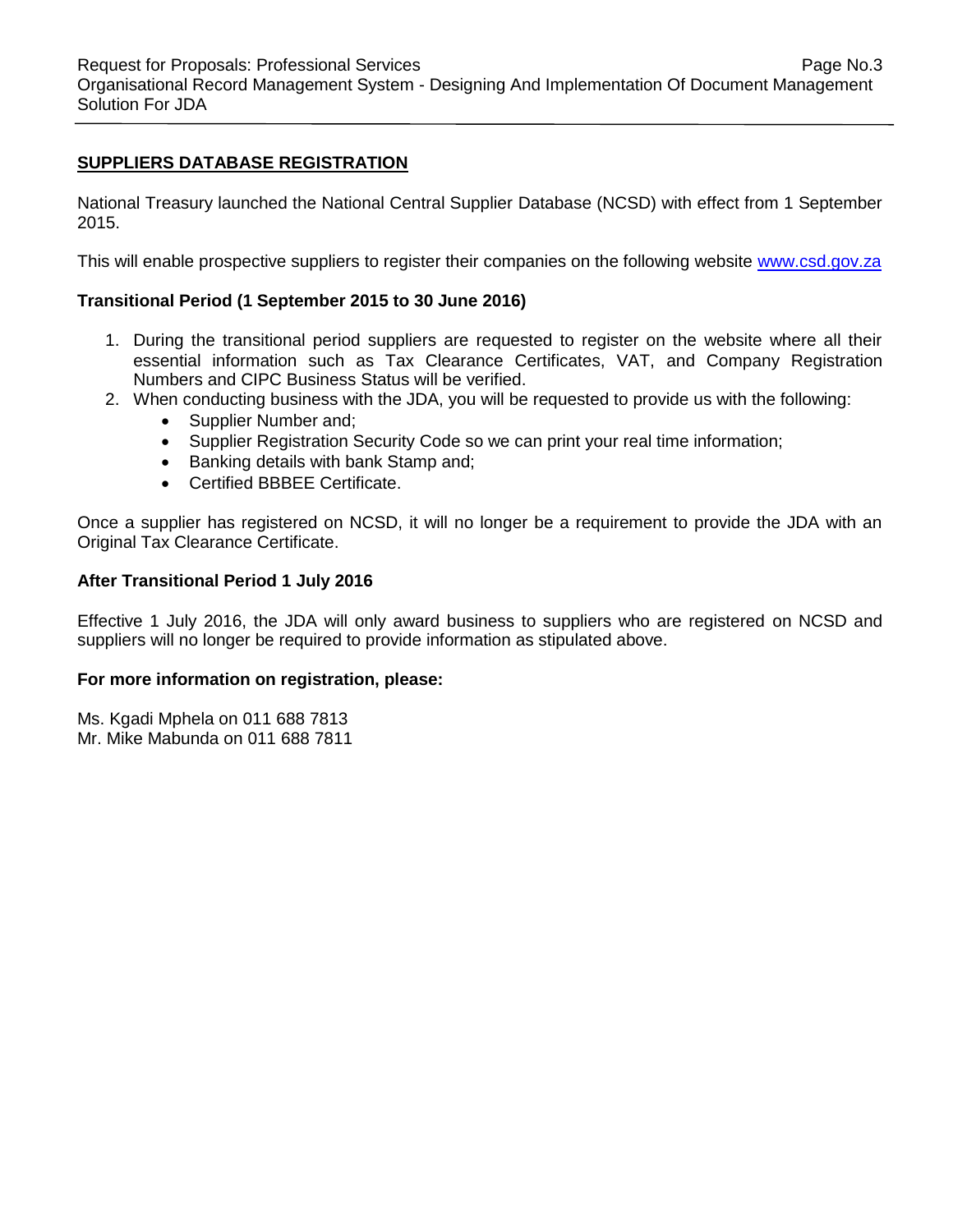#### **SUPPLIERS DATABASE REGISTRATION**

National Treasury launched the National Central Supplier Database (NCSD) with effect from 1 September 2015.

This will enable prospective suppliers to register their companies on the following website [www.csd.gov.za](http://www.csd.gov.za/)

#### **Transitional Period (1 September 2015 to 30 June 2016)**

- 1. During the transitional period suppliers are requested to register on the website where all their essential information such as Tax Clearance Certificates, VAT, and Company Registration Numbers and CIPC Business Status will be verified.
- 2. When conducting business with the JDA, you will be requested to provide us with the following:
	- Supplier Number and;
	- Supplier Registration Security Code so we can print your real time information;
	- Banking details with bank Stamp and;
	- Certified BBBEE Certificate.

Once a supplier has registered on NCSD, it will no longer be a requirement to provide the JDA with an Original Tax Clearance Certificate.

#### **After Transitional Period 1 July 2016**

Effective 1 July 2016, the JDA will only award business to suppliers who are registered on NCSD and suppliers will no longer be required to provide information as stipulated above.

#### **For more information on registration, please:**

Ms. Kgadi Mphela on 011 688 7813 Mr. Mike Mabunda on 011 688 7811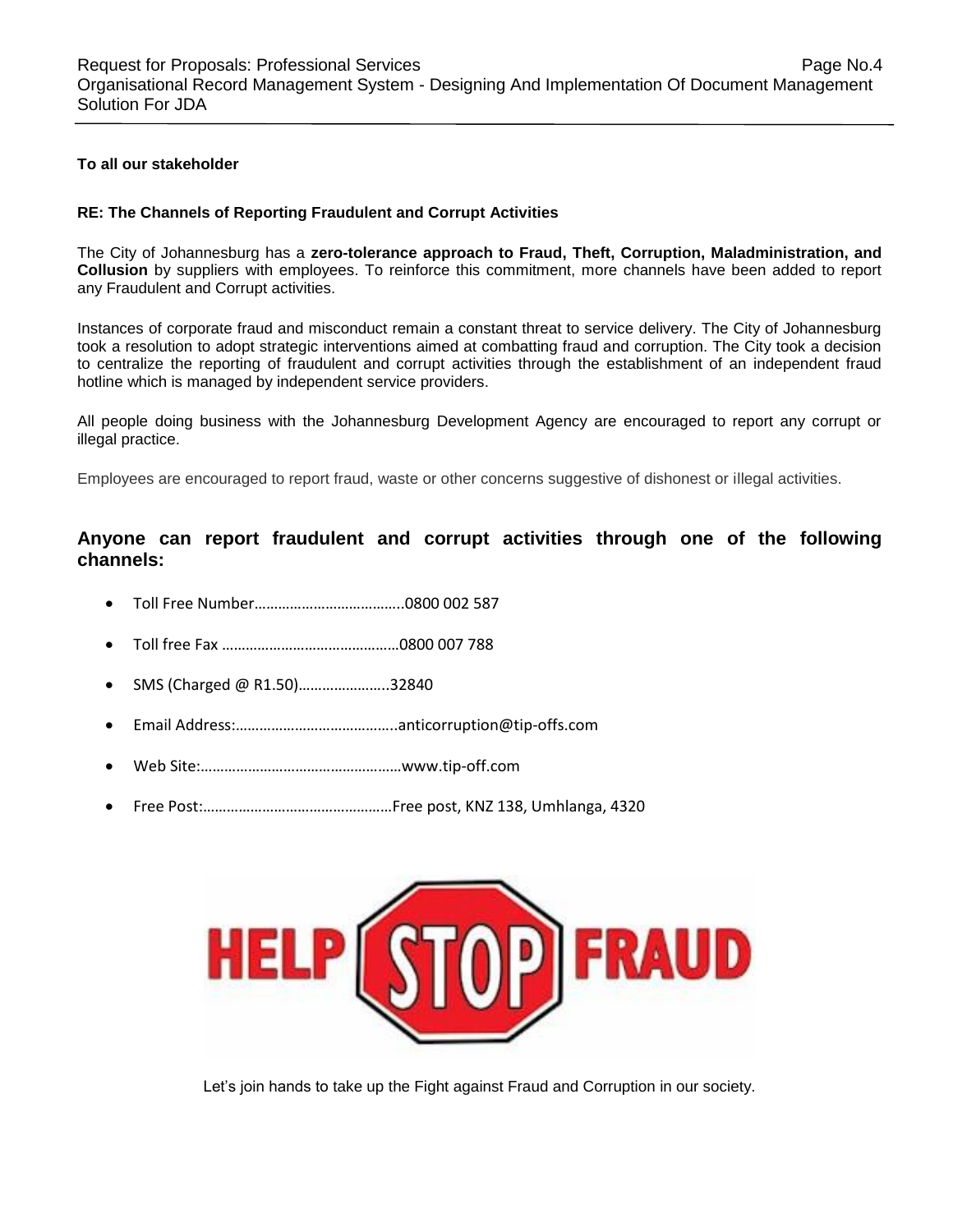#### **To all our stakeholder**

#### **RE: The Channels of Reporting Fraudulent and Corrupt Activities**

The City of Johannesburg has a **zero-tolerance approach to Fraud, Theft, Corruption, Maladministration, and Collusion** by suppliers with employees. To reinforce this commitment, more channels have been added to report any Fraudulent and Corrupt activities.

Instances of corporate fraud and misconduct remain a constant threat to service delivery. The City of Johannesburg took a resolution to adopt strategic interventions aimed at combatting fraud and corruption. The City took a decision to centralize the reporting of fraudulent and corrupt activities through the establishment of an independent fraud hotline which is managed by independent service providers.

All people doing business with the Johannesburg Development Agency are encouraged to report any corrupt or illegal practice.

Employees are encouraged to report fraud, waste or other concerns suggestive of dishonest or illegal activities.

#### **Anyone can report fraudulent and corrupt activities through one of the following channels:**

- Toll Free Number………………………………..0800 002 587
- Toll free Fax ………………………………………0800 007 788
- SMS (Charged @ R1.50)…………………..32840
- Email Address:…………………………………..anticorruption@tip-offs.com
- Web Site:……………………………………………www.tip-off.com
- Free Post:…………………………………………Free post, KNZ 138, Umhlanga, 4320



Let's join hands to take up the Fight against Fraud and Corruption in our society.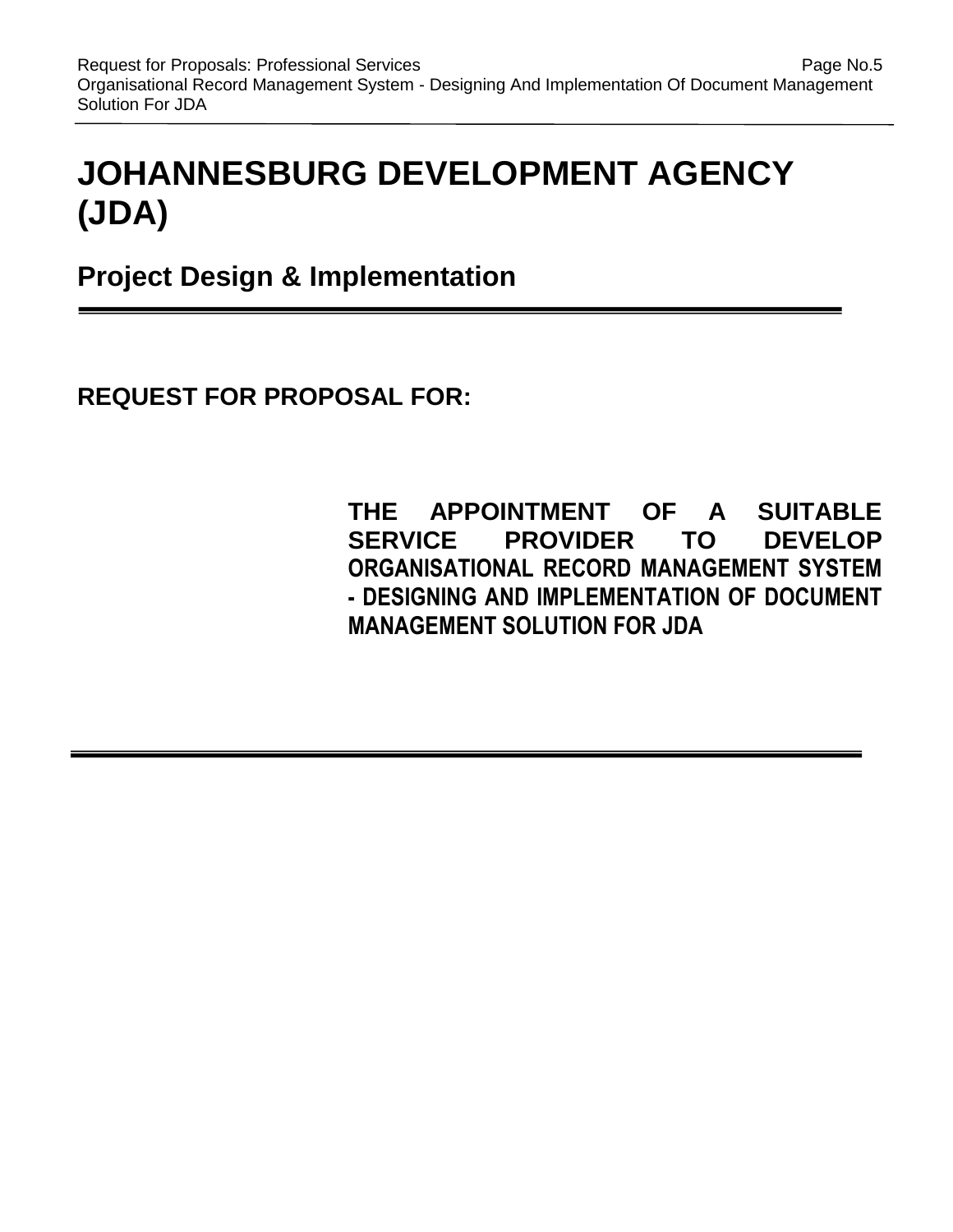# **JOHANNESBURG DEVELOPMENT AGENCY (JDA)**

**Project Design & Implementation** 

**REQUEST FOR PROPOSAL FOR:**

**THE APPOINTMENT OF A SUITABLE SERVICE PROVIDER TO DEVELOP ORGANISATIONAL RECORD MANAGEMENT SYSTEM - DESIGNING AND IMPLEMENTATION OF DOCUMENT MANAGEMENT SOLUTION FOR JDA**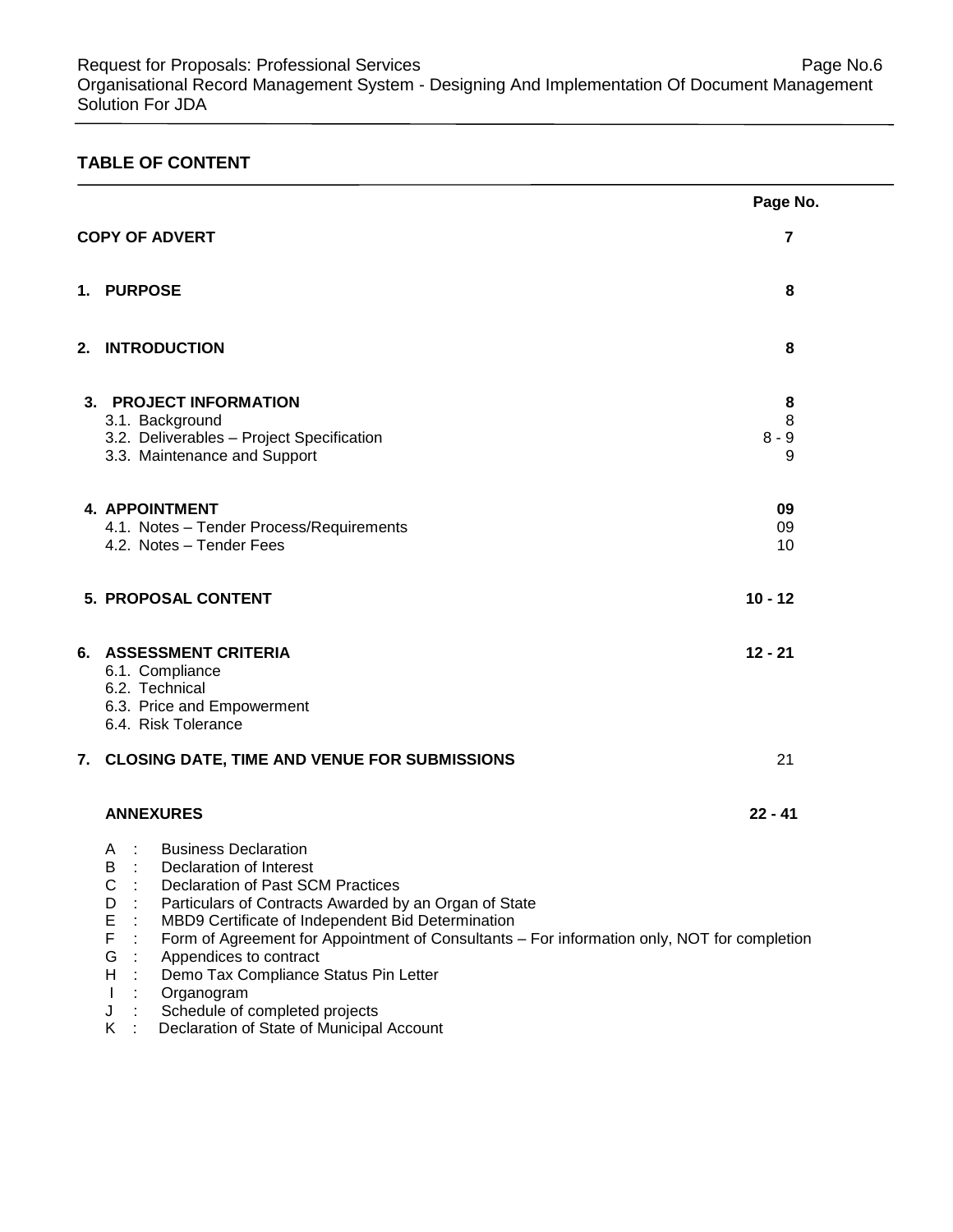# **TABLE OF CONTENT**

|                                                                                                                                                                                                                                                                                                                                                                                                                                                                                                   | Page No.  |
|---------------------------------------------------------------------------------------------------------------------------------------------------------------------------------------------------------------------------------------------------------------------------------------------------------------------------------------------------------------------------------------------------------------------------------------------------------------------------------------------------|-----------|
| <b>COPY OF ADVERT</b>                                                                                                                                                                                                                                                                                                                                                                                                                                                                             | 7         |
| 1. PURPOSE                                                                                                                                                                                                                                                                                                                                                                                                                                                                                        | 8         |
| 2. INTRODUCTION                                                                                                                                                                                                                                                                                                                                                                                                                                                                                   | 8         |
| 3. PROJECT INFORMATION                                                                                                                                                                                                                                                                                                                                                                                                                                                                            | 8         |
| 3.1. Background                                                                                                                                                                                                                                                                                                                                                                                                                                                                                   | 8         |
| 3.2. Deliverables - Project Specification                                                                                                                                                                                                                                                                                                                                                                                                                                                         | $8 - 9$   |
| 3.3. Maintenance and Support                                                                                                                                                                                                                                                                                                                                                                                                                                                                      | 9         |
| <b>4. APPOINTMENT</b>                                                                                                                                                                                                                                                                                                                                                                                                                                                                             | 09        |
| 4.1. Notes - Tender Process/Requirements                                                                                                                                                                                                                                                                                                                                                                                                                                                          | 09        |
| 4.2. Notes - Tender Fees                                                                                                                                                                                                                                                                                                                                                                                                                                                                          | 10        |
| 5. PROPOSAL CONTENT                                                                                                                                                                                                                                                                                                                                                                                                                                                                               | $10 - 12$ |
| 6. ASSESSMENT CRITERIA<br>6.1. Compliance<br>6.2. Technical<br>6.3. Price and Empowerment<br>6.4. Risk Tolerance                                                                                                                                                                                                                                                                                                                                                                                  | $12 - 21$ |
| 7. CLOSING DATE, TIME AND VENUE FOR SUBMISSIONS                                                                                                                                                                                                                                                                                                                                                                                                                                                   | 21        |
| <b>ANNEXURES</b>                                                                                                                                                                                                                                                                                                                                                                                                                                                                                  | $22 - 41$ |
| <b>Business Declaration</b><br>$\sim$ 1<br>A<br>B<br>Declaration of Interest<br>С<br>Declaration of Past SCM Practices<br>Particulars of Contracts Awarded by an Organ of State<br>D<br>Е<br>MBD9 Certificate of Independent Bid Determination<br>F<br>Form of Agreement for Appointment of Consultants - For information only, NOT for completion<br>$\cdot$ :<br>Appendices to contract<br>G<br>Demo Tax Compliance Status Pin Letter<br>H<br>Organogram<br>Schedule of completed projects<br>J |           |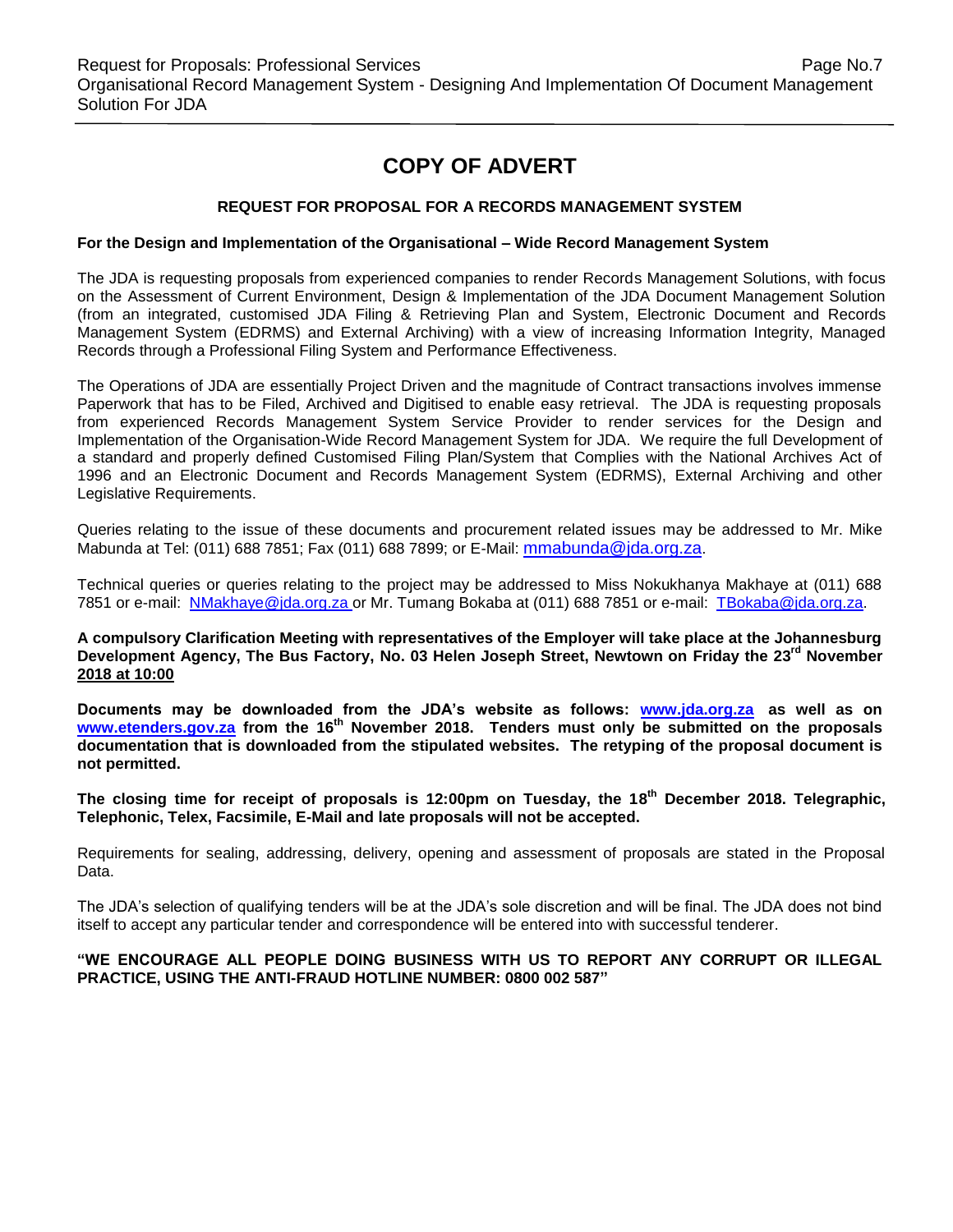# **COPY OF ADVERT**

#### **REQUEST FOR PROPOSAL FOR A RECORDS MANAGEMENT SYSTEM**

#### **For the Design and Implementation of the Organisational – Wide Record Management System**

The JDA is requesting proposals from experienced companies to render Records Management Solutions, with focus on the Assessment of Current Environment, Design & Implementation of the JDA Document Management Solution (from an integrated, customised JDA Filing & Retrieving Plan and System, Electronic Document and Records Management System (EDRMS) and External Archiving) with a view of increasing Information Integrity, Managed Records through a Professional Filing System and Performance Effectiveness.

The Operations of JDA are essentially Project Driven and the magnitude of Contract transactions involves immense Paperwork that has to be Filed, Archived and Digitised to enable easy retrieval. The JDA is requesting proposals from experienced Records Management System Service Provider to render services for the Design and Implementation of the Organisation-Wide Record Management System for JDA. We require the full Development of a standard and properly defined Customised Filing Plan/System that Complies with the National Archives Act of 1996 and an Electronic Document and Records Management System (EDRMS), External Archiving and other Legislative Requirements.

Queries relating to the issue of these documents and procurement related issues may be addressed to Mr. Mike Mabunda at Tel: (011) 688 7851; Fax (011) 688 7899; or E-Mail: [mmabunda@jda.org.za](mailto:mmabunda@jda.org.za).

Technical queries or queries relating to the project may be addressed to Miss Nokukhanya Makhaye at (011) 688 7851 or e-mail: [NMakhaye@jda.org.za](mailto:NMakhaye@jda.org.za) or Mr. Tumang Bokaba at (011) 688 7851 or e-mail: [TBokaba@jda.org.za.](mailto:TBokaba@jda.org.za)

**A compulsory Clarification Meeting with representatives of the Employer will take place at the Johannesburg Development Agency, The Bus Factory, No. 03 Helen Joseph Street, Newtown on Friday the 23rd November 2018 at 10:00**

**Documents may be downloaded from the JDA's website as follows: [www.jda.org.za](http://www.jda.org.za/) as well as on [www.etenders.gov.za](http://www.etenders.gov.za/) from the 16th November 2018. Tenders must only be submitted on the proposals documentation that is downloaded from the stipulated websites. The retyping of the proposal document is not permitted.**

**The closing time for receipt of proposals is 12:00pm on Tuesday, the 18 th December 2018. Telegraphic, Telephonic, Telex, Facsimile, E-Mail and late proposals will not be accepted.**

Requirements for sealing, addressing, delivery, opening and assessment of proposals are stated in the Proposal Data.

The JDA's selection of qualifying tenders will be at the JDA's sole discretion and will be final. The JDA does not bind itself to accept any particular tender and correspondence will be entered into with successful tenderer.

#### **"WE ENCOURAGE ALL PEOPLE DOING BUSINESS WITH US TO REPORT ANY CORRUPT OR ILLEGAL PRACTICE, USING THE ANTI-FRAUD HOTLINE NUMBER: 0800 002 587"**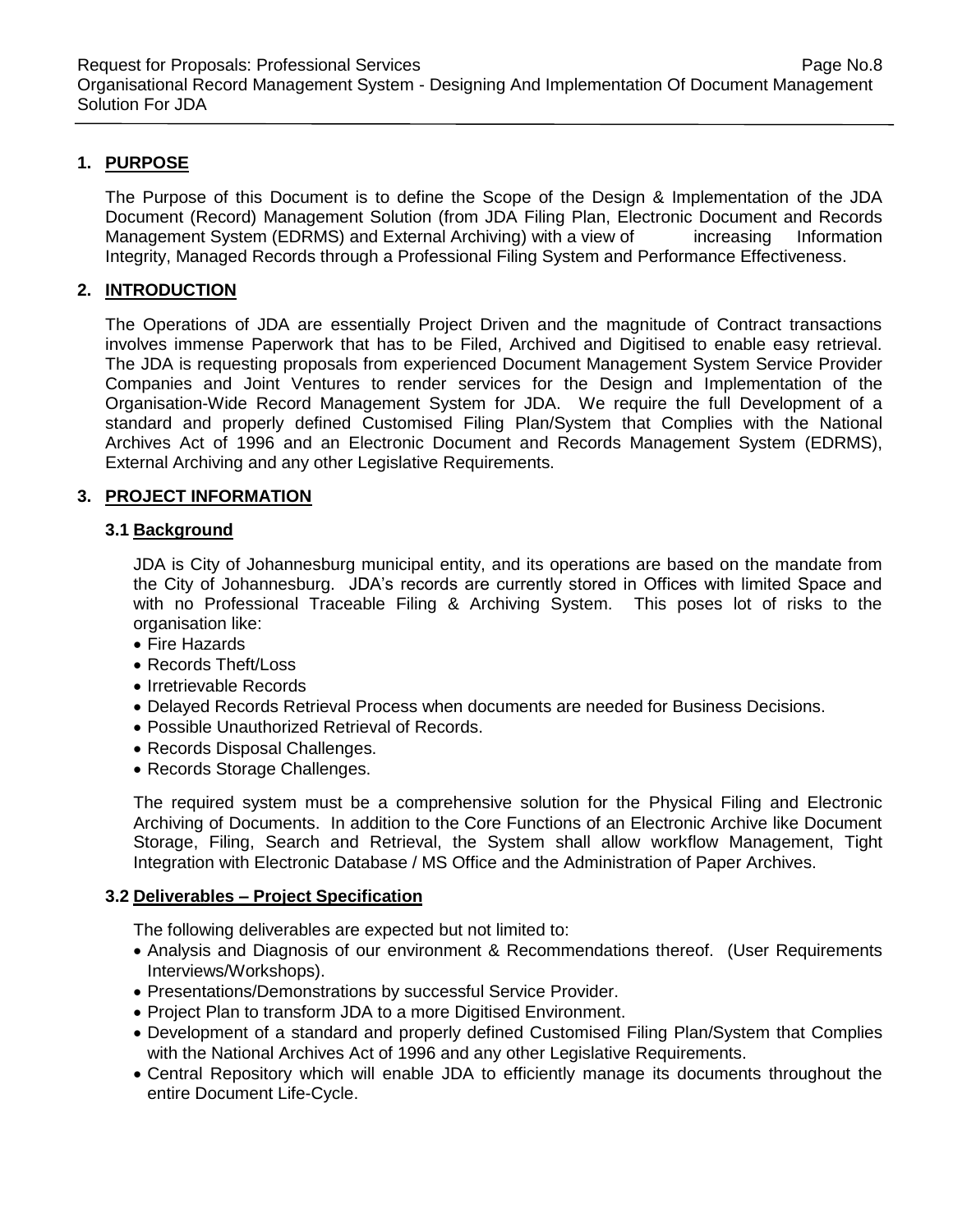# **1. PURPOSE**

The Purpose of this Document is to define the Scope of the Design & Implementation of the JDA Document (Record) Management Solution (from JDA Filing Plan, Electronic Document and Records Management System (EDRMS) and External Archiving) with a view of increasing Information Integrity, Managed Records through a Professional Filing System and Performance Effectiveness.

# **2. INTRODUCTION**

The Operations of JDA are essentially Project Driven and the magnitude of Contract transactions involves immense Paperwork that has to be Filed, Archived and Digitised to enable easy retrieval. The JDA is requesting proposals from experienced Document Management System Service Provider Companies and Joint Ventures to render services for the Design and Implementation of the Organisation-Wide Record Management System for JDA. We require the full Development of a standard and properly defined Customised Filing Plan/System that Complies with the National Archives Act of 1996 and an Electronic Document and Records Management System (EDRMS), External Archiving and any other Legislative Requirements.

#### **3. PROJECT INFORMATION**

#### **3.1 Background**

JDA is City of Johannesburg municipal entity, and its operations are based on the mandate from the City of Johannesburg. JDA's records are currently stored in Offices with limited Space and with no Professional Traceable Filing & Archiving System. This poses lot of risks to the organisation like:

- Fire Hazards
- Records Theft/Loss
- Irretrievable Records
- Delayed Records Retrieval Process when documents are needed for Business Decisions.
- Possible Unauthorized Retrieval of Records.
- Records Disposal Challenges.
- Records Storage Challenges.

The required system must be a comprehensive solution for the Physical Filing and Electronic Archiving of Documents. In addition to the Core Functions of an Electronic Archive like Document Storage, Filing, Search and Retrieval, the System shall allow workflow Management, Tight Integration with Electronic Database / MS Office and the Administration of Paper Archives.

#### **3.2 Deliverables – Project Specification**

The following deliverables are expected but not limited to:

- Analysis and Diagnosis of our environment & Recommendations thereof. (User Requirements Interviews/Workshops).
- Presentations/Demonstrations by successful Service Provider.
- Project Plan to transform JDA to a more Digitised Environment.
- Development of a standard and properly defined Customised Filing Plan/System that Complies with the National Archives Act of 1996 and any other Legislative Requirements.
- Central Repository which will enable JDA to efficiently manage its documents throughout the entire Document Life-Cycle.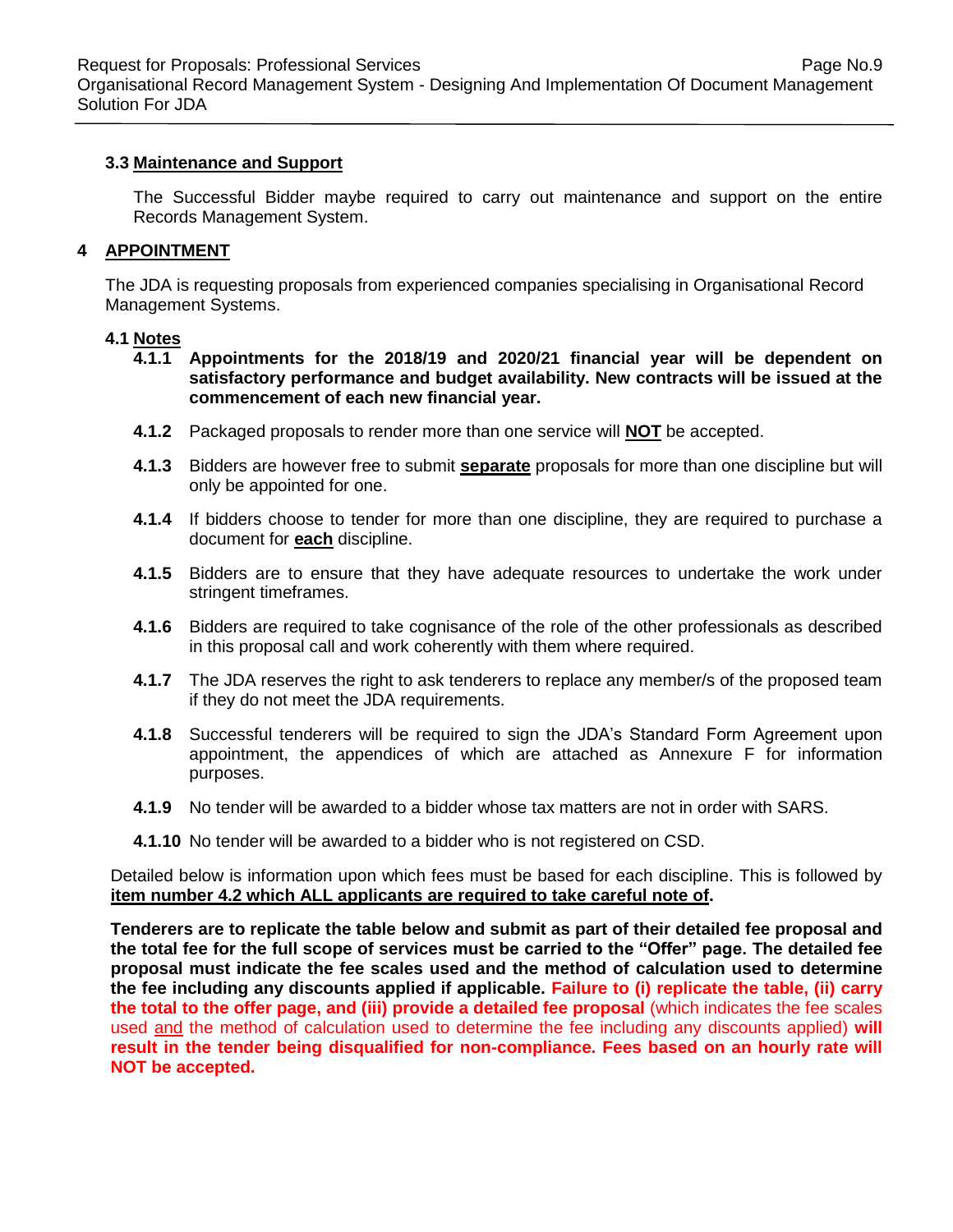Request for Proposals: Professional Services **Page No.9** Page No.9 Organisational Record Management System - Designing And Implementation Of Document Management Solution For JDA

#### **3.3 Maintenance and Support**

The Successful Bidder maybe required to carry out maintenance and support on the entire Records Management System.

#### **4 APPOINTMENT**

The JDA is requesting proposals from experienced companies specialising in Organisational Record Management Systems.

#### **4.1 Notes**

- **4.1.1 Appointments for the 2018/19 and 2020/21 financial year will be dependent on satisfactory performance and budget availability. New contracts will be issued at the commencement of each new financial year.**
- **4.1.2** Packaged proposals to render more than one service will **NOT** be accepted.
- **4.1.3** Bidders are however free to submit **separate** proposals for more than one discipline but will only be appointed for one.
- **4.1.4** If bidders choose to tender for more than one discipline, they are required to purchase a document for **each** discipline.
- **4.1.5** Bidders are to ensure that they have adequate resources to undertake the work under stringent timeframes.
- **4.1.6** Bidders are required to take cognisance of the role of the other professionals as described in this proposal call and work coherently with them where required.
- **4.1.7** The JDA reserves the right to ask tenderers to replace any member/s of the proposed team if they do not meet the JDA requirements.
- **4.1.8** Successful tenderers will be required to sign the JDA's Standard Form Agreement upon appointment, the appendices of which are attached as Annexure F for information purposes.
- **4.1.9** No tender will be awarded to a bidder whose tax matters are not in order with SARS.
- **4.1.10** No tender will be awarded to a bidder who is not registered on CSD.

Detailed below is information upon which fees must be based for each discipline. This is followed by **item number 4.2 which ALL applicants are required to take careful note of.**

**Tenderers are to replicate the table below and submit as part of their detailed fee proposal and the total fee for the full scope of services must be carried to the "Offer" page. The detailed fee proposal must indicate the fee scales used and the method of calculation used to determine the fee including any discounts applied if applicable. Failure to (i) replicate the table, (ii) carry the total to the offer page, and (iii) provide a detailed fee proposal** (which indicates the fee scales used and the method of calculation used to determine the fee including any discounts applied) **will result in the tender being disqualified for non-compliance. Fees based on an hourly rate will NOT be accepted.**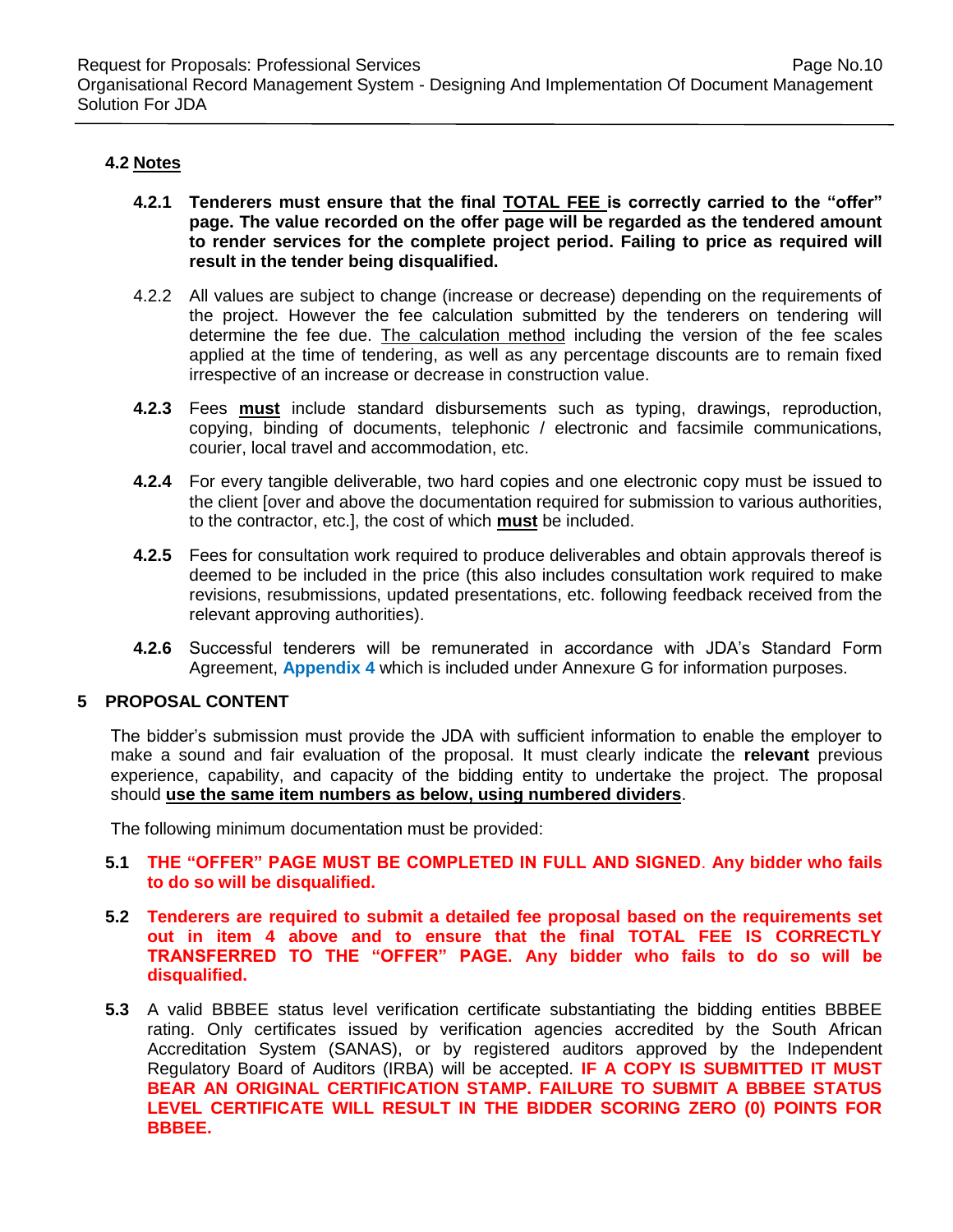# **4.2 Notes**

- **4.2.1 Tenderers must ensure that the final TOTAL FEE is correctly carried to the "offer" page. The value recorded on the offer page will be regarded as the tendered amount to render services for the complete project period. Failing to price as required will result in the tender being disqualified.**
- 4.2.2 All values are subject to change (increase or decrease) depending on the requirements of the project. However the fee calculation submitted by the tenderers on tendering will determine the fee due. The calculation method including the version of the fee scales applied at the time of tendering, as well as any percentage discounts are to remain fixed irrespective of an increase or decrease in construction value.
- **4.2.3** Fees **must** include standard disbursements such as typing, drawings, reproduction, copying, binding of documents, telephonic / electronic and facsimile communications, courier, local travel and accommodation, etc.
- **4.2.4** For every tangible deliverable, two hard copies and one electronic copy must be issued to the client [over and above the documentation required for submission to various authorities, to the contractor, etc.], the cost of which **must** be included.
- **4.2.5** Fees for consultation work required to produce deliverables and obtain approvals thereof is deemed to be included in the price (this also includes consultation work required to make revisions, resubmissions, updated presentations, etc. following feedback received from the relevant approving authorities).
- **4.2.6** Successful tenderers will be remunerated in accordance with JDA's Standard Form Agreement, **Appendix 4** which is included under Annexure G for information purposes.

# **5 PROPOSAL CONTENT**

The bidder's submission must provide the JDA with sufficient information to enable the employer to make a sound and fair evaluation of the proposal. It must clearly indicate the **relevant** previous experience, capability, and capacity of the bidding entity to undertake the project. The proposal should **use the same item numbers as below, using numbered dividers**.

The following minimum documentation must be provided:

- **5.1 THE "OFFER" PAGE MUST BE COMPLETED IN FULL AND SIGNED**. **Any bidder who fails to do so will be disqualified.**
- **5.2 Tenderers are required to submit a detailed fee proposal based on the requirements set out in item 4 above and to ensure that the final TOTAL FEE IS CORRECTLY TRANSFERRED TO THE "OFFER" PAGE. Any bidder who fails to do so will be disqualified.**
- **5.3** A valid BBBEE status level verification certificate substantiating the bidding entities BBBEE rating. Only certificates issued by verification agencies accredited by the South African Accreditation System (SANAS), or by registered auditors approved by the Independent Regulatory Board of Auditors (IRBA) will be accepted. **IF A COPY IS SUBMITTED IT MUST BEAR AN ORIGINAL CERTIFICATION STAMP. FAILURE TO SUBMIT A BBBEE STATUS LEVEL CERTIFICATE WILL RESULT IN THE BIDDER SCORING ZERO (0) POINTS FOR BBBEE.**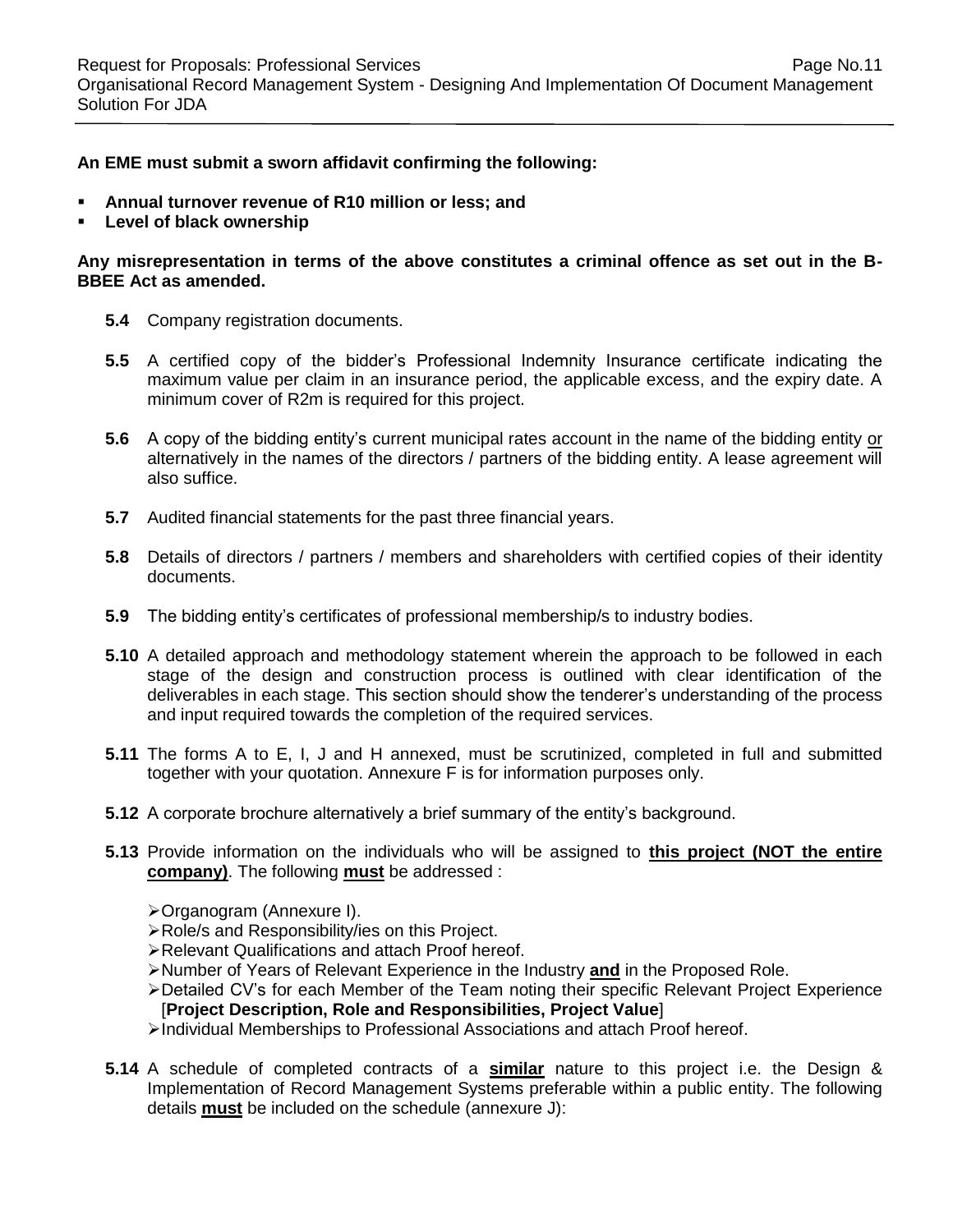#### **An EME must submit a sworn affidavit confirming the following:**

- **Annual turnover revenue of R10 million or less; and**
- **Level of black ownership**

#### **Any misrepresentation in terms of the above constitutes a criminal offence as set out in the B-BBEE Act as amended.**

- **5.4** Company registration documents.
- **5.5** A certified copy of the bidder's Professional Indemnity Insurance certificate indicating the maximum value per claim in an insurance period, the applicable excess, and the expiry date. A minimum cover of R2m is required for this project.
- **5.6** A copy of the bidding entity's current municipal rates account in the name of the bidding entity or alternatively in the names of the directors / partners of the bidding entity. A lease agreement will also suffice.
- **5.7** Audited financial statements for the past three financial years.
- **5.8** Details of directors / partners / members and shareholders with certified copies of their identity documents.
- **5.9** The bidding entity's certificates of professional membership/s to industry bodies.
- **5.10** A detailed approach and methodology statement wherein the approach to be followed in each stage of the design and construction process is outlined with clear identification of the deliverables in each stage. This section should show the tenderer's understanding of the process and input required towards the completion of the required services.
- **5.11** The forms A to E, I, J and H annexed, must be scrutinized, completed in full and submitted together with your quotation. Annexure F is for information purposes only.
- **5.12** A corporate brochure alternatively a brief summary of the entity's background.
- **5.13** Provide information on the individuals who will be assigned to **this project (NOT the entire company)**. The following **must** be addressed :
	- Organogram (Annexure I).
	- Role/s and Responsibility/ies on this Project.
	- Relevant Qualifications and attach Proof hereof.
	- Number of Years of Relevant Experience in the Industry **and** in the Proposed Role.
	- Detailed CV's for each Member of the Team noting their specific Relevant Project Experience [**Project Description, Role and Responsibilities, Project Value**]
	- Individual Memberships to Professional Associations and attach Proof hereof.
- **5.14** A schedule of completed contracts of a **similar** nature to this project i.e. the Design & Implementation of Record Management Systems preferable within a public entity. The following details **must** be included on the schedule (annexure J):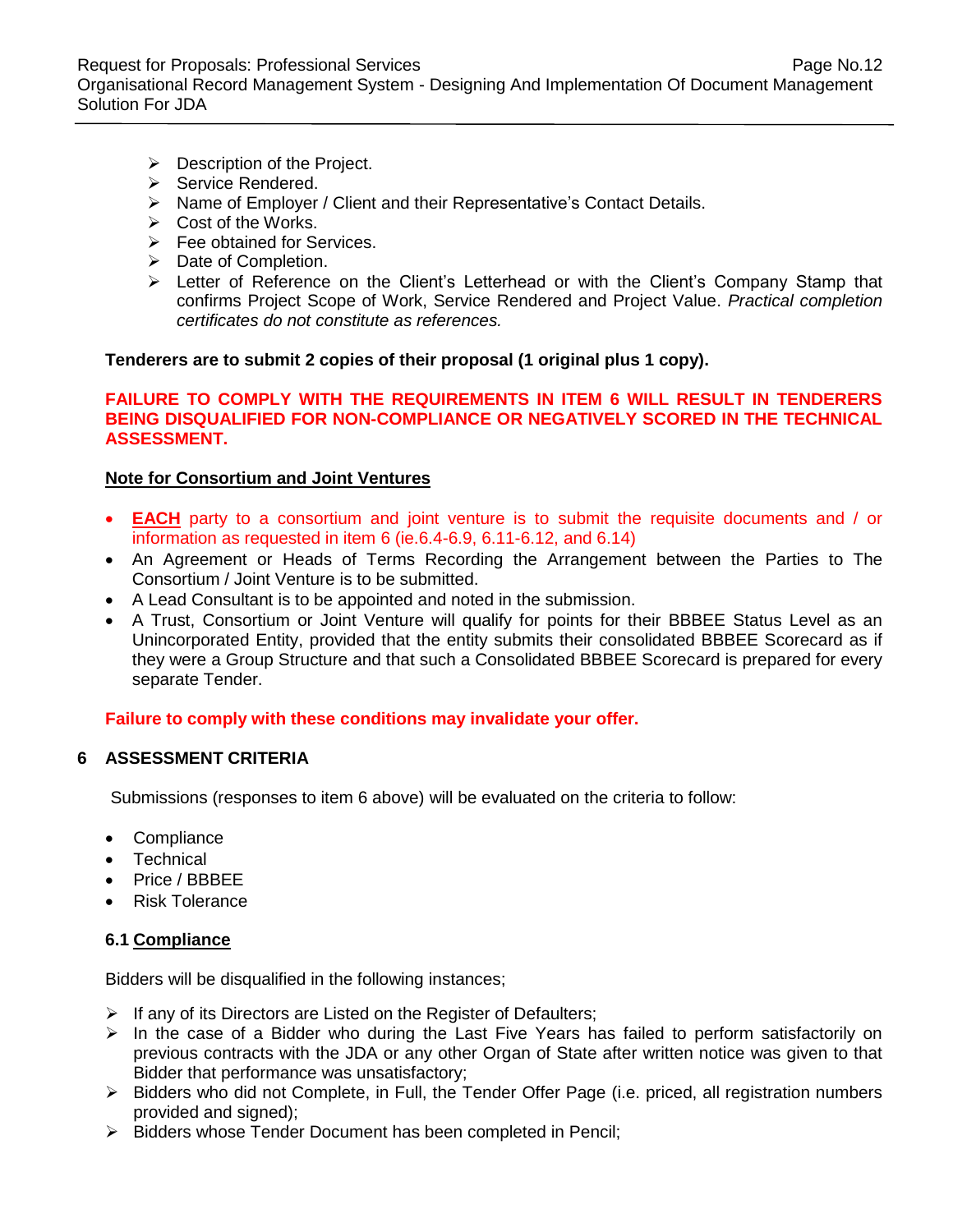Request for Proposals: Professional Services **Page No.12** Page No.12 Organisational Record Management System - Designing And Implementation Of Document Management Solution For JDA

- $\triangleright$  Description of the Project.
- $\triangleright$  Service Rendered.
- Name of Employer / Client and their Representative's Contact Details.
- $\triangleright$  Cost of the Works.
- $\triangleright$  Fee obtained for Services.
- > Date of Completion.
- Exter of Reference on the Client's Letterhead or with the Client's Company Stamp that confirms Project Scope of Work, Service Rendered and Project Value. *Practical completion certificates do not constitute as references.*

**Tenderers are to submit 2 copies of their proposal (1 original plus 1 copy).** 

#### **FAILURE TO COMPLY WITH THE REQUIREMENTS IN ITEM 6 WILL RESULT IN TENDERERS BEING DISQUALIFIED FOR NON-COMPLIANCE OR NEGATIVELY SCORED IN THE TECHNICAL ASSESSMENT.**

#### **Note for Consortium and Joint Ventures**

- **EACH** party to a consortium and joint venture is to submit the requisite documents and / or information as requested in item 6 (ie.6.4-6.9, 6.11-6.12, and 6.14)
- An Agreement or Heads of Terms Recording the Arrangement between the Parties to The Consortium / Joint Venture is to be submitted.
- A Lead Consultant is to be appointed and noted in the submission.
- A Trust, Consortium or Joint Venture will qualify for points for their BBBEE Status Level as an Unincorporated Entity, provided that the entity submits their consolidated BBBEE Scorecard as if they were a Group Structure and that such a Consolidated BBBEE Scorecard is prepared for every separate Tender.

#### **Failure to comply with these conditions may invalidate your offer.**

#### **6 ASSESSMENT CRITERIA**

Submissions (responses to item 6 above) will be evaluated on the criteria to follow:

- Compliance
- Technical
- Price / BBBFF
- Risk Tolerance

#### **6.1 Compliance**

Bidders will be disqualified in the following instances;

- $\triangleright$  If any of its Directors are Listed on the Register of Defaulters;
- $\triangleright$  In the case of a Bidder who during the Last Five Years has failed to perform satisfactorily on previous contracts with the JDA or any other Organ of State after written notice was given to that Bidder that performance was unsatisfactory;
- $\triangleright$  Bidders who did not Complete, in Full, the Tender Offer Page (i.e. priced, all registration numbers provided and signed);
- > Bidders whose Tender Document has been completed in Pencil;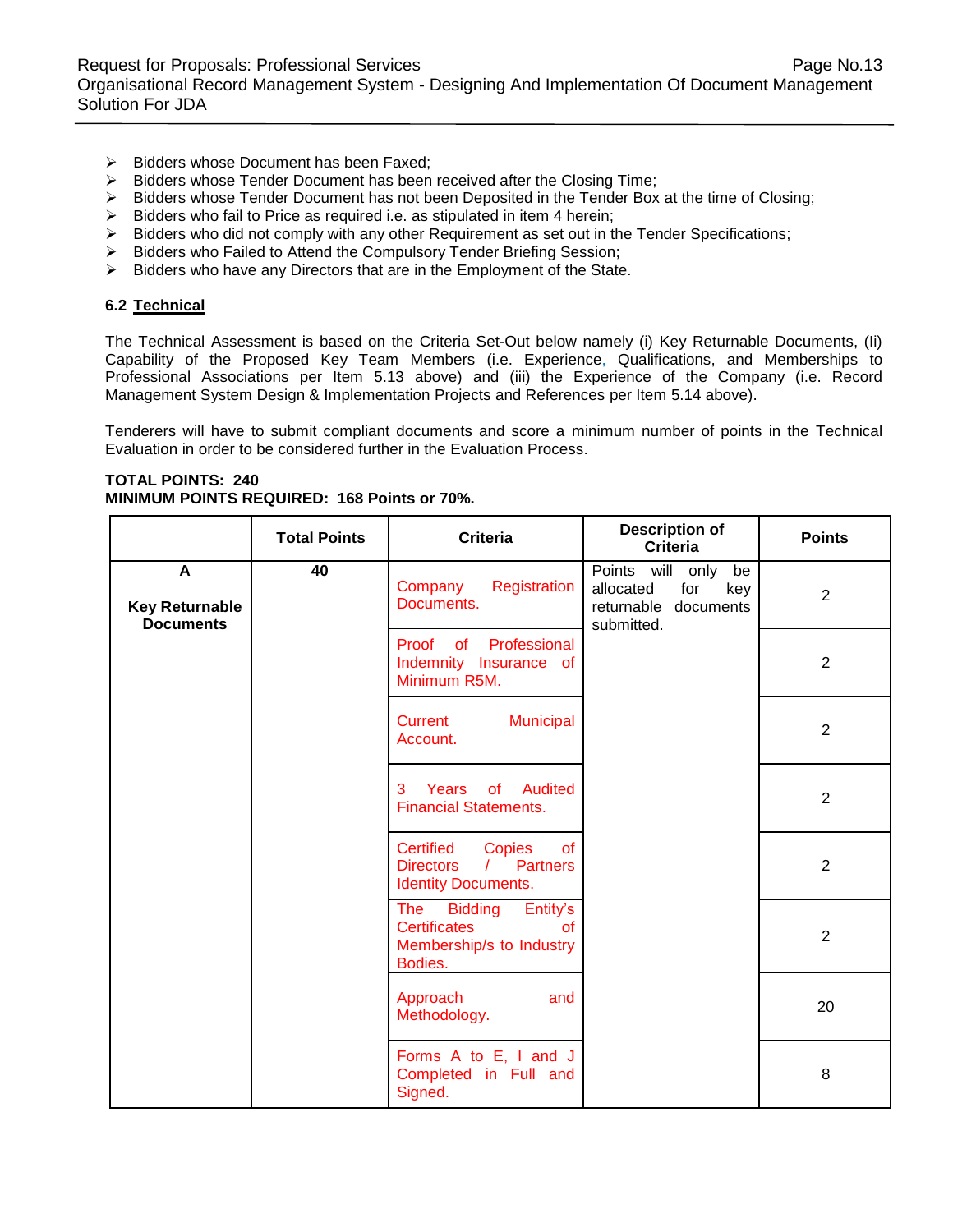- $\triangleright$  Bidders whose Document has been Faxed;
- $\triangleright$  Bidders whose Tender Document has been received after the Closing Time;
- $\triangleright$  Bidders whose Tender Document has not been Deposited in the Tender Box at the time of Closing;
- $\triangleright$  Bidders who fail to Price as required i.e. as stipulated in item 4 herein;
- $\triangleright$  Bidders who did not comply with any other Requirement as set out in the Tender Specifications;
- > Bidders who Failed to Attend the Compulsory Tender Briefing Session;
- $\triangleright$  Bidders who have any Directors that are in the Employment of the State.

#### **6.2 Technical**

The Technical Assessment is based on the Criteria Set-Out below namely (i) Key Returnable Documents, (Ii) Capability of the Proposed Key Team Members (i.e. Experience, Qualifications, and Memberships to Professional Associations per Item 5.13 above) and (iii) the Experience of the Company (i.e. Record Management System Design & Implementation Projects and References per Item 5.14 above).

Tenderers will have to submit compliant documents and score a minimum number of points in the Technical Evaluation in order to be considered further in the Evaluation Process.

#### **TOTAL POINTS: 240 MINIMUM POINTS REQUIRED: 168 Points or 70%.**

|                                                | <b>Total Points</b> | <b>Criteria</b>                                                                                                     | <b>Description of</b><br><b>Criteria</b>                                                   | <b>Points</b>  |
|------------------------------------------------|---------------------|---------------------------------------------------------------------------------------------------------------------|--------------------------------------------------------------------------------------------|----------------|
| A<br><b>Key Returnable</b><br><b>Documents</b> | 40                  | Registration<br>Company<br>Documents.                                                                               | Points will only<br>be<br>allocated<br>for<br>key<br>documents<br>returnable<br>submitted. | $\overline{2}$ |
|                                                |                     | of<br>Professional<br>Proof<br>Indemnity Insurance of<br>Minimum R5M.                                               |                                                                                            | $\overline{2}$ |
|                                                |                     | Municipal<br>Current<br>Account.                                                                                    |                                                                                            | $\overline{2}$ |
|                                                |                     | Years<br>of Audited<br>3<br><b>Financial Statements.</b>                                                            |                                                                                            | $\overline{2}$ |
|                                                |                     | Certified<br>Copies<br><b>of</b><br><b>Partners</b><br><b>Directors</b><br>$\sqrt{2}$<br><b>Identity Documents.</b> |                                                                                            | $\overline{2}$ |
|                                                |                     | Entity's<br>The Bidding<br><b>Certificates</b><br>$\alpha$<br>Membership/s to Industry<br>Bodies.                   |                                                                                            | $\overline{2}$ |
|                                                |                     | Approach<br>and<br>Methodology.                                                                                     |                                                                                            | 20             |
|                                                |                     | Forms A to E, I and J<br>Completed in Full and<br>Signed.                                                           |                                                                                            | 8              |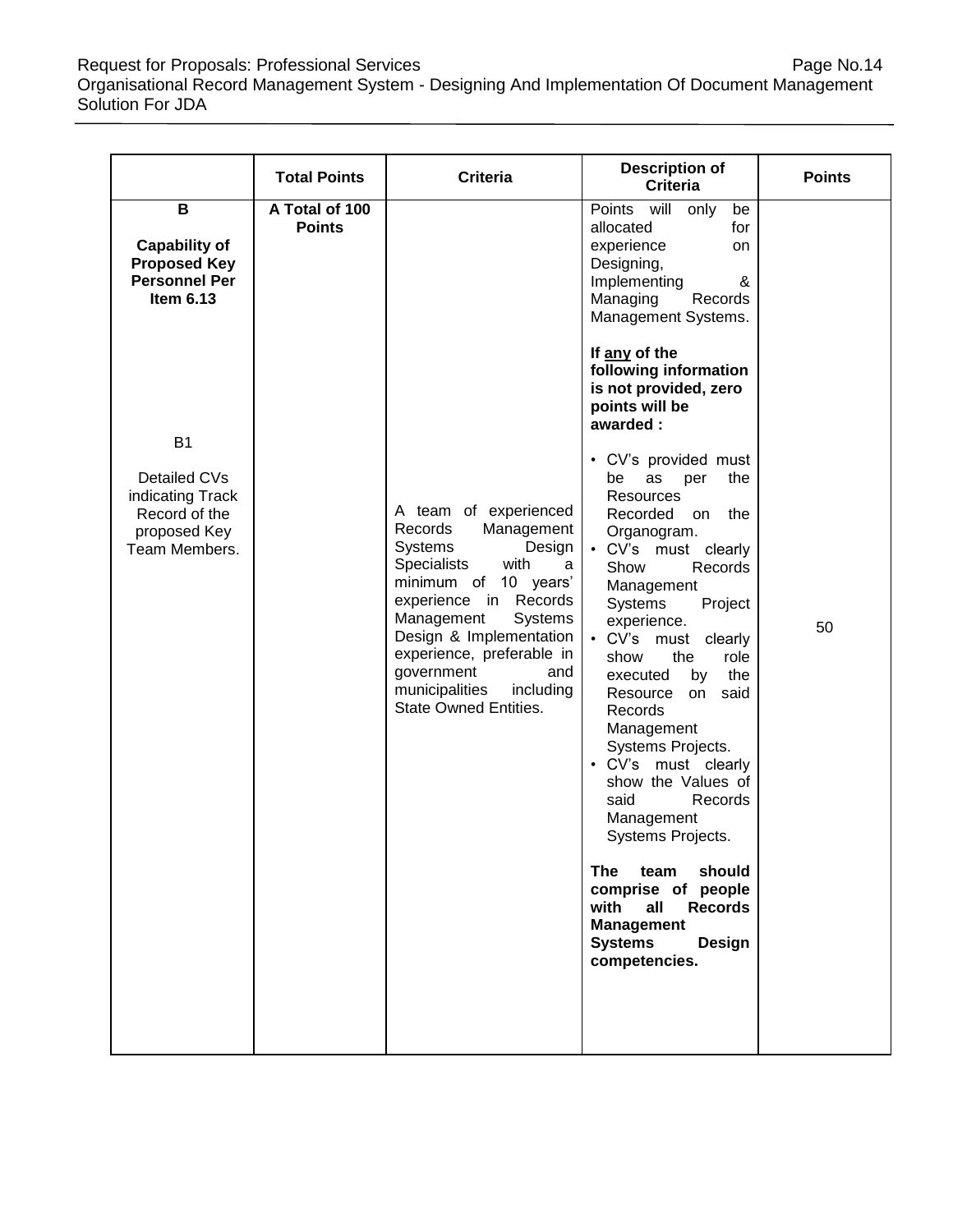Request for Proposals: Professional Services **Page No.14** Page No.14 Organisational Record Management System - Designing And Implementation Of Document Management Solution For JDA

|                                                                                       | <b>Total Points</b>             | <b>Criteria</b>                                                                                                                                                                                                                                                                                                              | <b>Description of</b><br><b>Criteria</b>                                                                                                                                                                                                                                                                                                                                                                                                                                                                                                                                                                     | <b>Points</b> |
|---------------------------------------------------------------------------------------|---------------------------------|------------------------------------------------------------------------------------------------------------------------------------------------------------------------------------------------------------------------------------------------------------------------------------------------------------------------------|--------------------------------------------------------------------------------------------------------------------------------------------------------------------------------------------------------------------------------------------------------------------------------------------------------------------------------------------------------------------------------------------------------------------------------------------------------------------------------------------------------------------------------------------------------------------------------------------------------------|---------------|
| B<br><b>Capability of</b><br><b>Proposed Key</b><br><b>Personnel Per</b><br>Item 6.13 | A Total of 100<br><b>Points</b> |                                                                                                                                                                                                                                                                                                                              | Points will<br>only<br>be<br>for<br>allocated<br>experience<br>on<br>Designing,<br>Implementing<br>&<br>Managing<br>Records<br>Management Systems.                                                                                                                                                                                                                                                                                                                                                                                                                                                           |               |
| B <sub>1</sub>                                                                        |                                 |                                                                                                                                                                                                                                                                                                                              | If any of the<br>following information<br>is not provided, zero<br>points will be<br>awarded:                                                                                                                                                                                                                                                                                                                                                                                                                                                                                                                |               |
| Detailed CVs<br>indicating Track<br>Record of the<br>proposed Key<br>Team Members.    |                                 | A team of experienced<br>Management<br>Records<br>Design<br><b>Systems</b><br>Specialists<br>with<br>a<br>minimum of 10 years'<br>experience in Records<br>Management<br>Systems<br>Design & Implementation<br>experience, preferable in<br>government<br>and<br>municipalities<br>including<br><b>State Owned Entities.</b> | • CV's provided must<br>the<br>be<br>as<br>per<br>Resources<br>Recorded<br>the<br>on<br>Organogram.<br>• CV's must clearly<br>Show<br>Records<br>Management<br>Systems<br>Project<br>experience.<br>• CV's must clearly<br>the<br>show<br>role<br>the<br>executed<br>by<br>Resource on said<br>Records<br>Management<br>Systems Projects.<br>• CV's must clearly<br>show the Values of<br>said<br>Records<br>Management<br>Systems Projects.<br><b>The</b><br>should<br>team<br>comprise of people<br>with<br>all<br><b>Records</b><br><b>Management</b><br><b>Systems</b><br><b>Design</b><br>competencies. | 50            |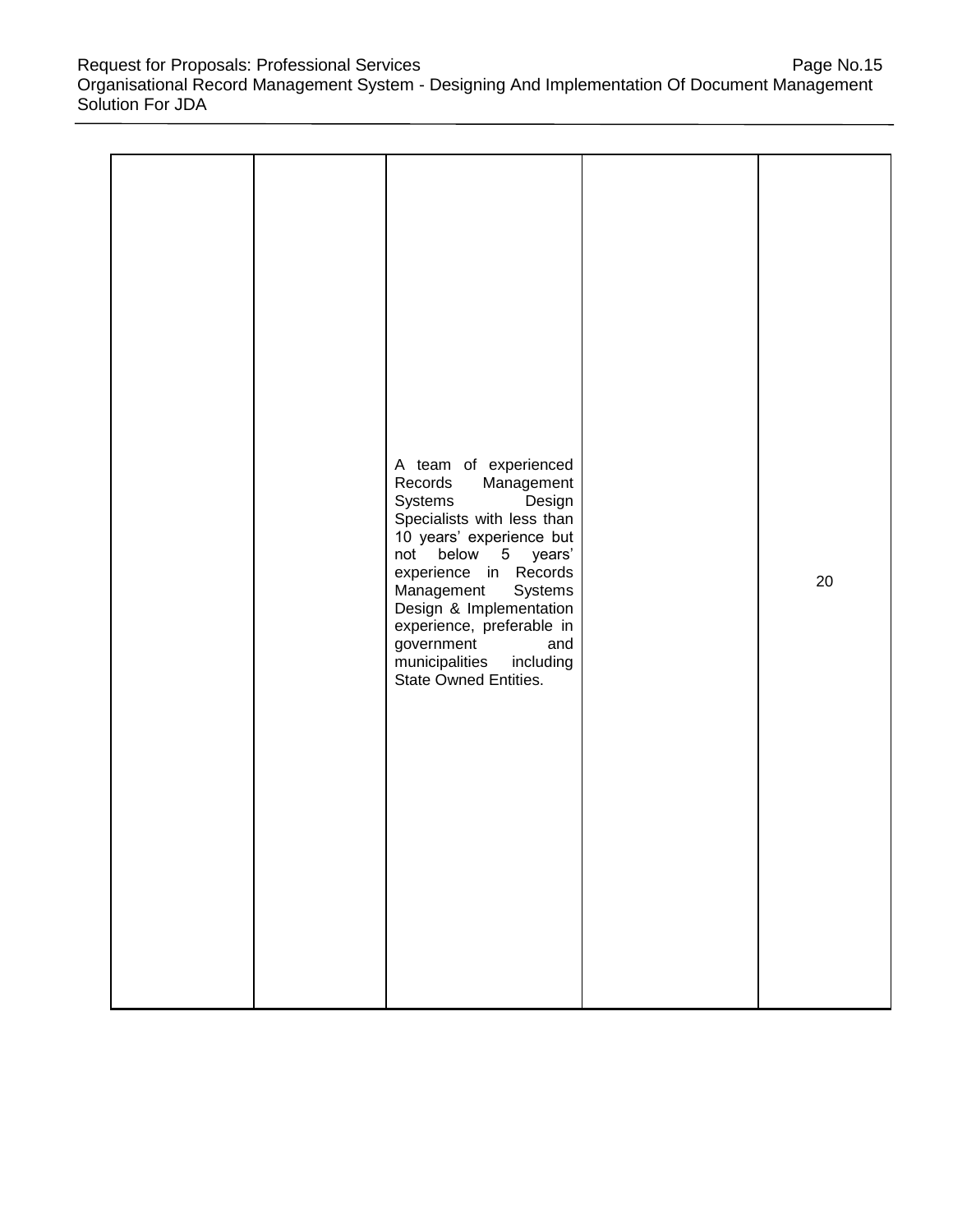Request for Proposals: Professional Services **Page No.15** Page No.15 Organisational Record Management System - Designing And Implementation Of Document Management Solution For JDA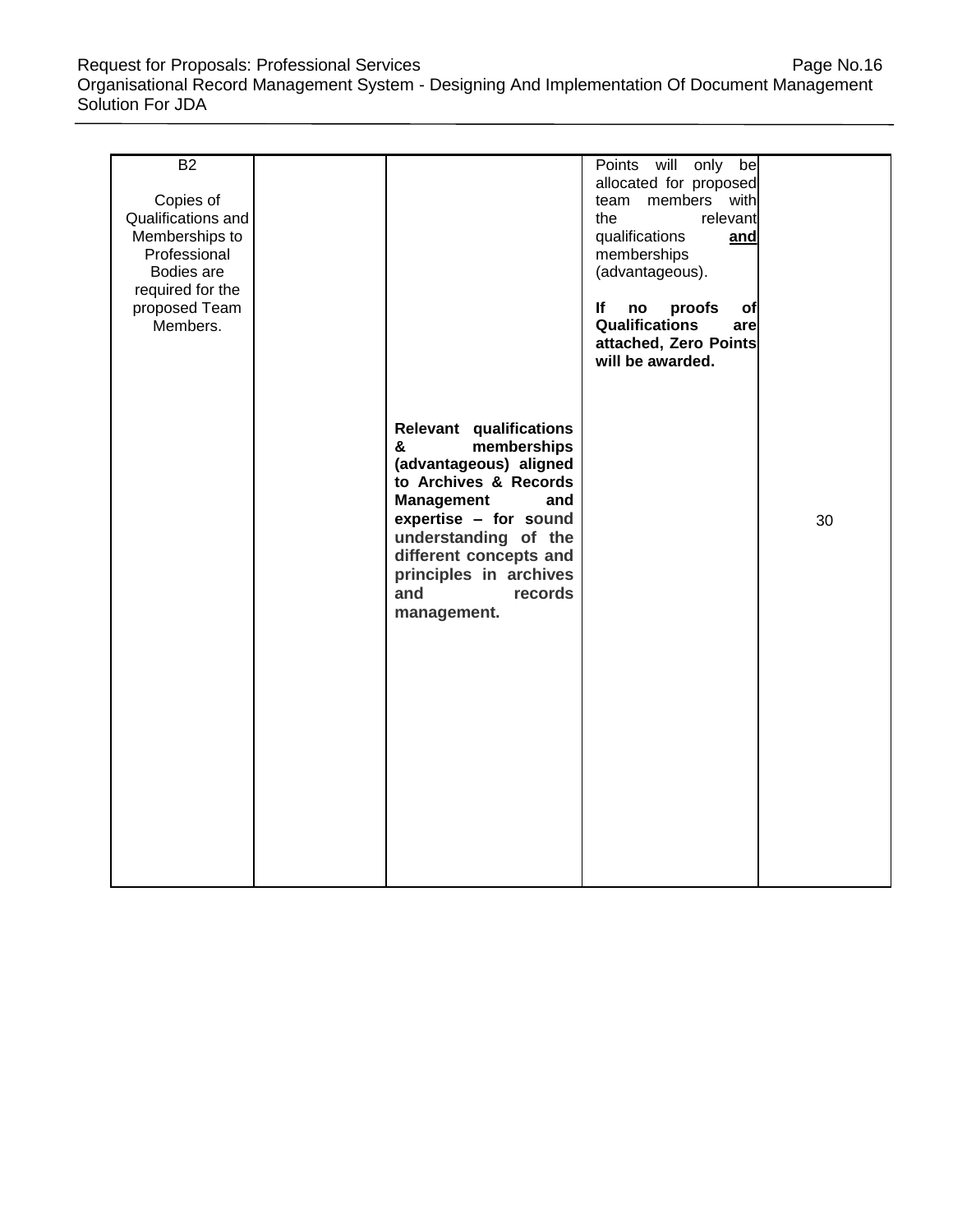Request for Proposals: Professional Services **Page No.16** Page No.16 Organisational Record Management System - Designing And Implementation Of Document Management Solution For JDA

| <b>B2</b><br>Copies of<br>Qualifications and<br>Memberships to<br>Professional<br>Bodies are<br>required for the<br>proposed Team<br>Members. |                                                                                                                                                                                                                                                                         | Points will<br>only<br>be<br>allocated for proposed<br>members with<br>team<br>the<br>relevant<br>qualifications<br>and<br>memberships<br>(advantageous).<br>If<br>proofs<br>no<br>of<br><b>Qualifications</b><br>arel |    |
|-----------------------------------------------------------------------------------------------------------------------------------------------|-------------------------------------------------------------------------------------------------------------------------------------------------------------------------------------------------------------------------------------------------------------------------|------------------------------------------------------------------------------------------------------------------------------------------------------------------------------------------------------------------------|----|
|                                                                                                                                               | <b>Relevant qualifications</b><br>memberships<br>&<br>(advantageous) aligned<br>to Archives & Records<br><b>Management</b><br>and<br>expertise - for sound<br>understanding of the<br>different concepts and<br>principles in archives<br>and<br>records<br>management. | attached, Zero Points<br>will be awarded.                                                                                                                                                                              | 30 |
|                                                                                                                                               |                                                                                                                                                                                                                                                                         |                                                                                                                                                                                                                        |    |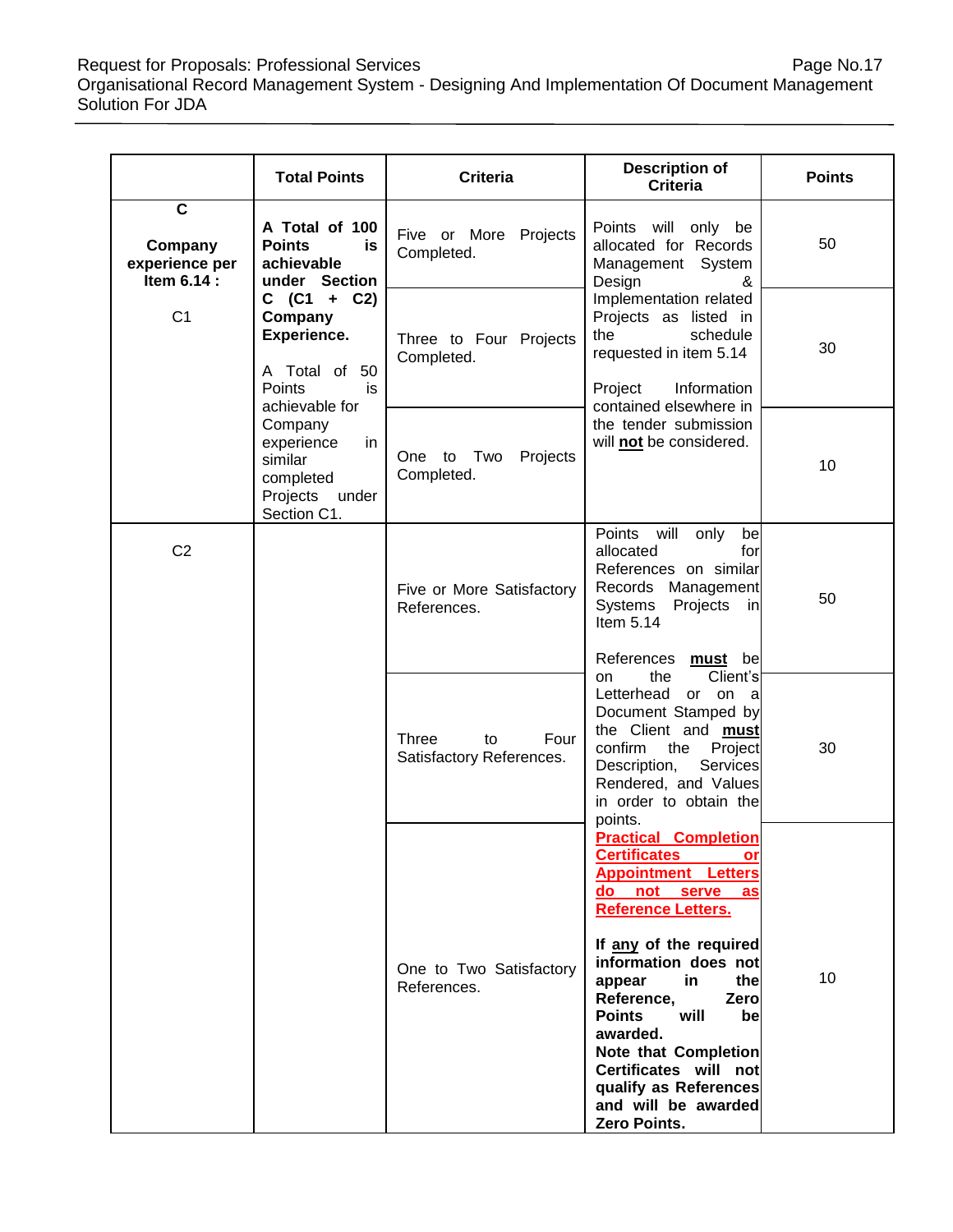Request for Proposals: Professional Services **Page No.17** Negle No.17 Organisational Record Management System - Designing And Implementation Of Document Management Solution For JDA

|                                                                     | <b>Total Points</b>                                                                                                                                                                                                                                            | <b>Criteria</b>                                                                                                                                                                                                                      | <b>Description of</b><br><b>Criteria</b>                                                                                                                                                                                                                                                                                                                                                                                  | <b>Points</b> |
|---------------------------------------------------------------------|----------------------------------------------------------------------------------------------------------------------------------------------------------------------------------------------------------------------------------------------------------------|--------------------------------------------------------------------------------------------------------------------------------------------------------------------------------------------------------------------------------------|---------------------------------------------------------------------------------------------------------------------------------------------------------------------------------------------------------------------------------------------------------------------------------------------------------------------------------------------------------------------------------------------------------------------------|---------------|
| $\overline{\mathbf{c}}$<br>Company<br>experience per<br>Item 6.14 : | A Total of 100<br><b>Points</b><br>is<br>achievable<br>under Section<br>$C$ (C1 + C2)<br>Company<br>Experience.<br>A Total of 50<br>Points<br>is.<br>achievable for<br>Company<br>experience<br>in<br>similar<br>completed<br>Projects<br>under<br>Section C1. | Five or More Projects<br>Completed.                                                                                                                                                                                                  | Points will only be<br>allocated for Records<br>Management System<br>Design<br>&                                                                                                                                                                                                                                                                                                                                          | 50            |
| C <sub>1</sub>                                                      |                                                                                                                                                                                                                                                                | Three to Four Projects<br>Completed.                                                                                                                                                                                                 | Implementation related<br>Projects as listed in<br>the<br>schedule<br>requested in item 5.14<br>Project<br>Information                                                                                                                                                                                                                                                                                                    | 30            |
|                                                                     |                                                                                                                                                                                                                                                                | Two<br>Projects<br>One to<br>Completed.                                                                                                                                                                                              | contained elsewhere in<br>the tender submission<br>will not be considered.                                                                                                                                                                                                                                                                                                                                                | 10            |
| C <sub>2</sub>                                                      |                                                                                                                                                                                                                                                                | Five or More Satisfactory<br>References.                                                                                                                                                                                             | Points<br>will<br>only<br>be<br>allocated<br>forl<br>References on similar<br>Records Management<br>Systems<br>Projects<br>inl<br>Item $5.14$                                                                                                                                                                                                                                                                             | 50            |
|                                                                     | Three<br>Four<br>to<br>Satisfactory References.                                                                                                                                                                                                                | References must be<br>Client's<br>the<br>on<br>Letterhead<br>or on a<br>Document Stamped by<br>the Client and <b>must</b><br>confirm<br>Project<br>the<br>Description,<br>Services<br>Rendered, and Values<br>in order to obtain the | 30                                                                                                                                                                                                                                                                                                                                                                                                                        |               |
|                                                                     |                                                                                                                                                                                                                                                                | One to Two Satisfactory<br>References.                                                                                                                                                                                               | points.<br><b>Practical Completion</b><br><b>Certificates</b><br>orl<br><b>Appointment Letters</b><br>do not serve<br>as<br><b>Reference Letters.</b><br>If any of the required<br>information does not<br>appear<br>the<br>in.<br>Reference,<br>Zero<br>will<br><b>Points</b><br>bel<br>awarded.<br><b>Note that Completion</b><br>Certificates will not<br>qualify as References<br>and will be awarded<br>Zero Points. | 10            |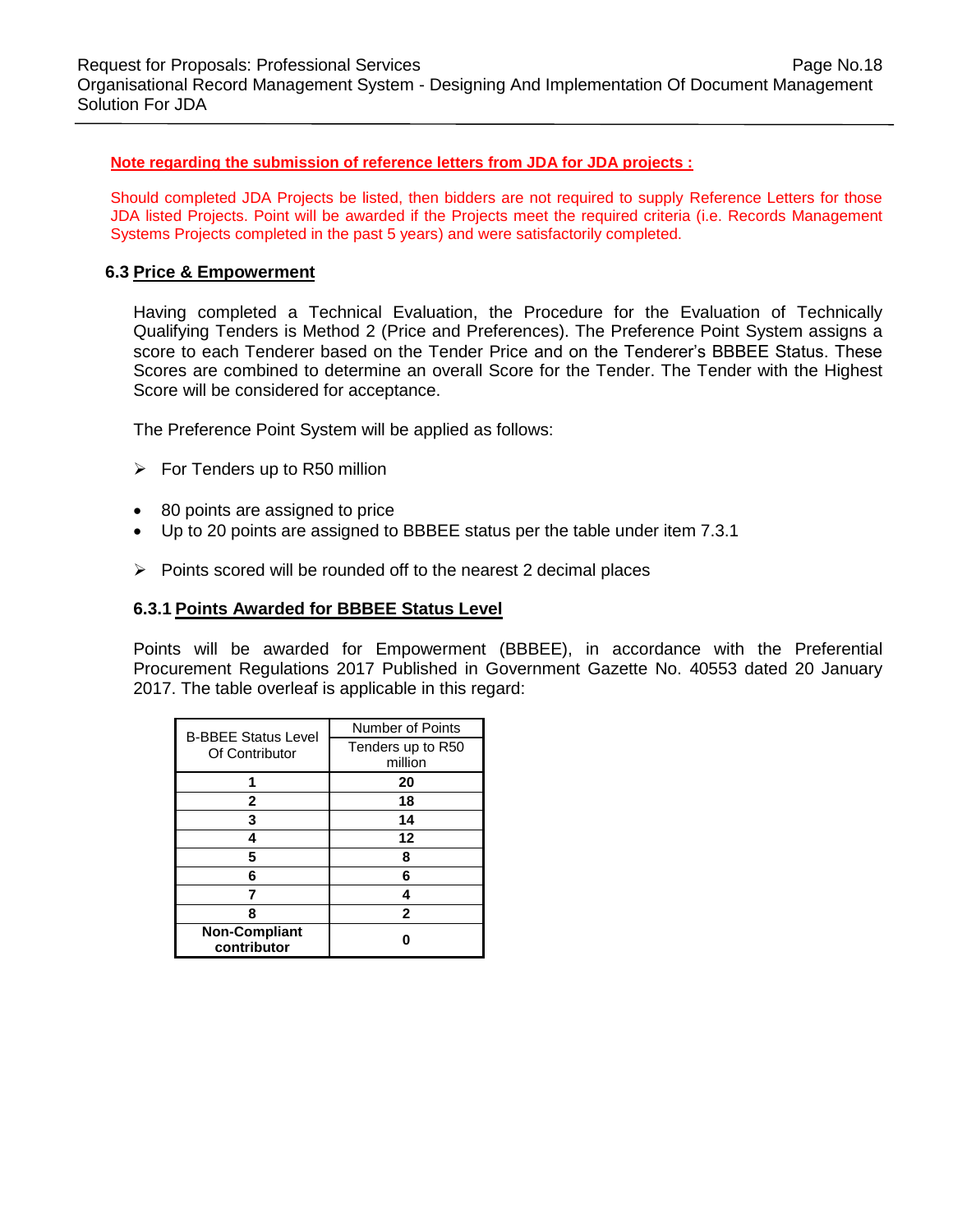#### **Note regarding the submission of reference letters from JDA for JDA projects :**

Should completed JDA Projects be listed, then bidders are not required to supply Reference Letters for those JDA listed Projects. Point will be awarded if the Projects meet the required criteria (i.e. Records Management Systems Projects completed in the past 5 years) and were satisfactorily completed.

#### **6.3 Price & Empowerment**

Having completed a Technical Evaluation, the Procedure for the Evaluation of Technically Qualifying Tenders is Method 2 (Price and Preferences). The Preference Point System assigns a score to each Tenderer based on the Tender Price and on the Tenderer's BBBEE Status. These Scores are combined to determine an overall Score for the Tender. The Tender with the Highest Score will be considered for acceptance.

The Preference Point System will be applied as follows:

- $\triangleright$  For Tenders up to R50 million
- 80 points are assigned to price
- Up to 20 points are assigned to BBBEE status per the table under item 7.3.1
- $\triangleright$  Points scored will be rounded off to the nearest 2 decimal places

#### **6.3.1 Points Awarded for BBBEE Status Level**

Points will be awarded for Empowerment (BBBEE), in accordance with the Preferential Procurement Regulations 2017 Published in Government Gazette No. 40553 dated 20 January 2017. The table overleaf is applicable in this regard:

| <b>B-BBEE Status Level</b>          | Number of Points  |
|-------------------------------------|-------------------|
| Of Contributor                      | Tenders up to R50 |
|                                     | million           |
|                                     | 20                |
| 2                                   | 18                |
| 3                                   | 14                |
| 4                                   | 12                |
| 5                                   | 8                 |
| 6                                   | 6                 |
|                                     |                   |
| 8                                   | $\mathbf{2}$      |
| <b>Non-Compliant</b><br>contributor |                   |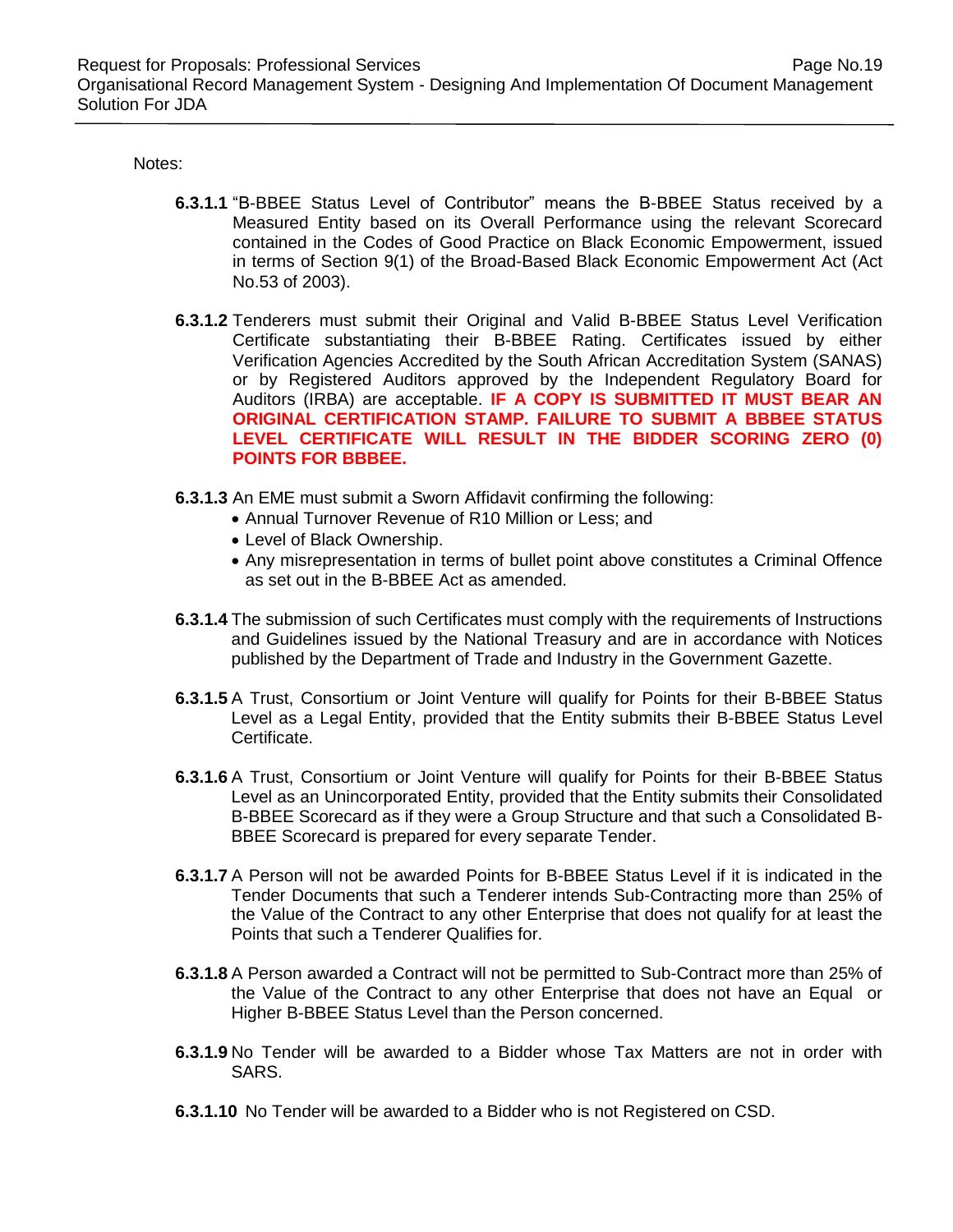Notes:

- **6.3.1.1** "B-BBEE Status Level of Contributor" means the B-BBEE Status received by a Measured Entity based on its Overall Performance using the relevant Scorecard contained in the Codes of Good Practice on Black Economic Empowerment, issued in terms of Section 9(1) of the Broad-Based Black Economic Empowerment Act (Act No.53 of 2003).
- **6.3.1.2** Tenderers must submit their Original and Valid B-BBEE Status Level Verification Certificate substantiating their B-BBEE Rating. Certificates issued by either Verification Agencies Accredited by the South African Accreditation System (SANAS) or by Registered Auditors approved by the Independent Regulatory Board for Auditors (IRBA) are acceptable. **IF A COPY IS SUBMITTED IT MUST BEAR AN ORIGINAL CERTIFICATION STAMP. FAILURE TO SUBMIT A BBBEE STATUS LEVEL CERTIFICATE WILL RESULT IN THE BIDDER SCORING ZERO (0) POINTS FOR BBBEE.**
- **6.3.1.3** An EME must submit a Sworn Affidavit confirming the following:
	- Annual Turnover Revenue of R10 Million or Less; and
	- Level of Black Ownership.
	- Any misrepresentation in terms of bullet point above constitutes a Criminal Offence as set out in the B-BBEE Act as amended.
- **6.3.1.4** The submission of such Certificates must comply with the requirements of Instructions and Guidelines issued by the National Treasury and are in accordance with Notices published by the Department of Trade and Industry in the Government Gazette.
- **6.3.1.5** A Trust, Consortium or Joint Venture will qualify for Points for their B-BBEE Status Level as a Legal Entity, provided that the Entity submits their B-BBEE Status Level Certificate.
- **6.3.1.6** A Trust, Consortium or Joint Venture will qualify for Points for their B-BBEE Status Level as an Unincorporated Entity, provided that the Entity submits their Consolidated B-BBEE Scorecard as if they were a Group Structure and that such a Consolidated B-BBEE Scorecard is prepared for every separate Tender.
- **6.3.1.7** A Person will not be awarded Points for B-BBEE Status Level if it is indicated in the Tender Documents that such a Tenderer intends Sub-Contracting more than 25% of the Value of the Contract to any other Enterprise that does not qualify for at least the Points that such a Tenderer Qualifies for.
- **6.3.1.8** A Person awarded a Contract will not be permitted to Sub-Contract more than 25% of the Value of the Contract to any other Enterprise that does not have an Equal or Higher B-BBEE Status Level than the Person concerned.
- **6.3.1.9** No Tender will be awarded to a Bidder whose Tax Matters are not in order with SARS.
- **6.3.1.10** No Tender will be awarded to a Bidder who is not Registered on CSD.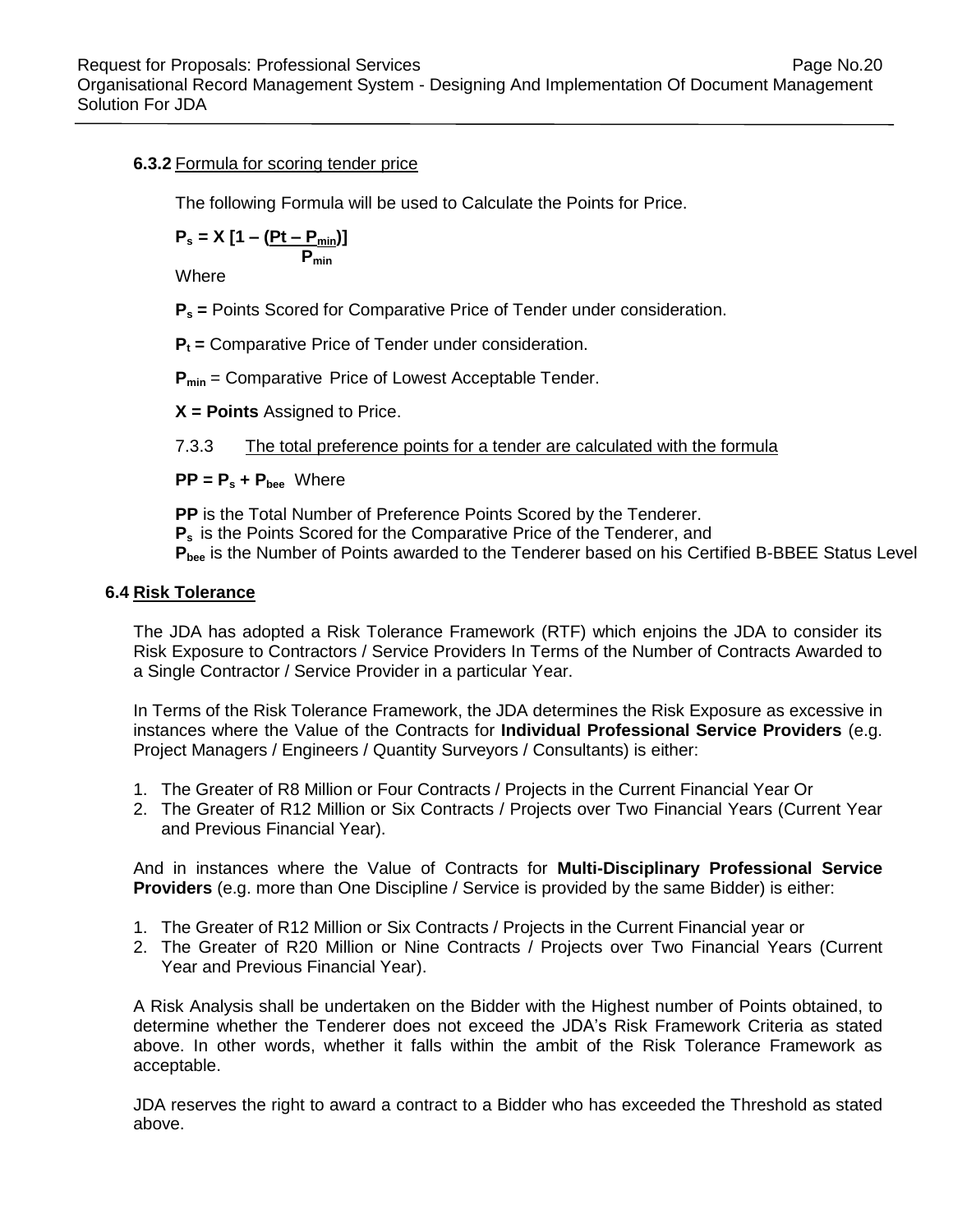#### **6.3.2** Formula for scoring tender price

The following Formula will be used to Calculate the Points for Price.

$$
P_s = X \left[ 1 - \frac{(Pt - P_{min})}{P_{min}} \right]
$$

Where

**P<sup>s</sup> =** Points Scored for Comparative Price of Tender under consideration.

**P<sup>t</sup> =** Comparative Price of Tender under consideration.

**Pmin** = Comparative Price of Lowest Acceptable Tender.

**X = Points** Assigned to Price.

7.3.3 The total preference points for a tender are calculated with the formula

**PP = P<sup>s</sup> + Pbee** Where

**PP** is the Total Number of Preference Points Scored by the Tenderer. **P<sup>s</sup>** is the Points Scored for the Comparative Price of the Tenderer, and **Pbee** is the Number of Points awarded to the Tenderer based on his Certified B-BBEE Status Level

#### **6.4 Risk Tolerance**

The JDA has adopted a Risk Tolerance Framework (RTF) which enjoins the JDA to consider its Risk Exposure to Contractors / Service Providers In Terms of the Number of Contracts Awarded to a Single Contractor / Service Provider in a particular Year.

In Terms of the Risk Tolerance Framework, the JDA determines the Risk Exposure as excessive in instances where the Value of the Contracts for **Individual Professional Service Providers** (e.g. Project Managers / Engineers / Quantity Surveyors / Consultants) is either:

- 1. The Greater of R8 Million or Four Contracts / Projects in the Current Financial Year Or
- 2. The Greater of R12 Million or Six Contracts / Projects over Two Financial Years (Current Year and Previous Financial Year).

And in instances where the Value of Contracts for **Multi-Disciplinary Professional Service Providers** (e.g. more than One Discipline / Service is provided by the same Bidder) is either:

- 1. The Greater of R12 Million or Six Contracts / Projects in the Current Financial year or
- 2. The Greater of R20 Million or Nine Contracts / Projects over Two Financial Years (Current Year and Previous Financial Year).

A Risk Analysis shall be undertaken on the Bidder with the Highest number of Points obtained, to determine whether the Tenderer does not exceed the JDA's Risk Framework Criteria as stated above. In other words, whether it falls within the ambit of the Risk Tolerance Framework as acceptable.

JDA reserves the right to award a contract to a Bidder who has exceeded the Threshold as stated above.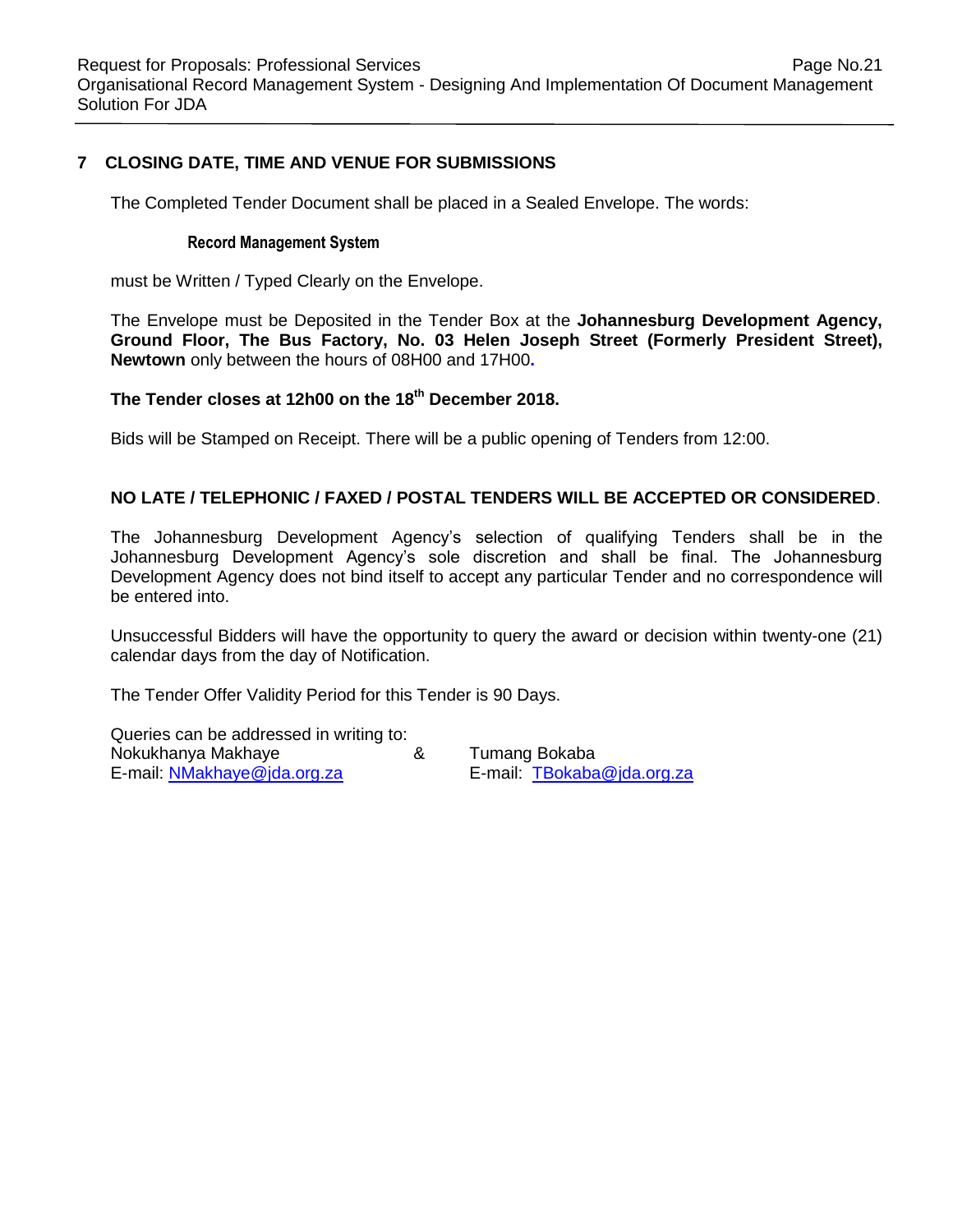#### **7 CLOSING DATE, TIME AND VENUE FOR SUBMISSIONS**

The Completed Tender Document shall be placed in a Sealed Envelope. The words:

#### **Record Management System**

must be Written / Typed Clearly on the Envelope.

The Envelope must be Deposited in the Tender Box at the **Johannesburg Development Agency, Ground Floor, The Bus Factory, No. 03 Helen Joseph Street (Formerly President Street), Newtown** only between the hours of 08H00 and 17H00**.**

#### **The Tender closes at 12h00 on the 18th December 2018.**

Bids will be Stamped on Receipt. There will be a public opening of Tenders from 12:00.

#### **NO LATE / TELEPHONIC / FAXED / POSTAL TENDERS WILL BE ACCEPTED OR CONSIDERED**.

The Johannesburg Development Agency's selection of qualifying Tenders shall be in the Johannesburg Development Agency's sole discretion and shall be final. The Johannesburg Development Agency does not bind itself to accept any particular Tender and no correspondence will be entered into.

Unsuccessful Bidders will have the opportunity to query the award or decision within twenty-one (21) calendar days from the day of Notification.

The Tender Offer Validity Period for this Tender is 90 Days.

Queries can be addressed in writing to: Nokukhanya Makhaye & Tumang Bokaba E-mail: [NMakhaye@jda.org.za](mailto:NMakhaye@jda.org.za) E-mail: [TBokaba@jda.org.za](mailto:TBokaba@jda.org.za)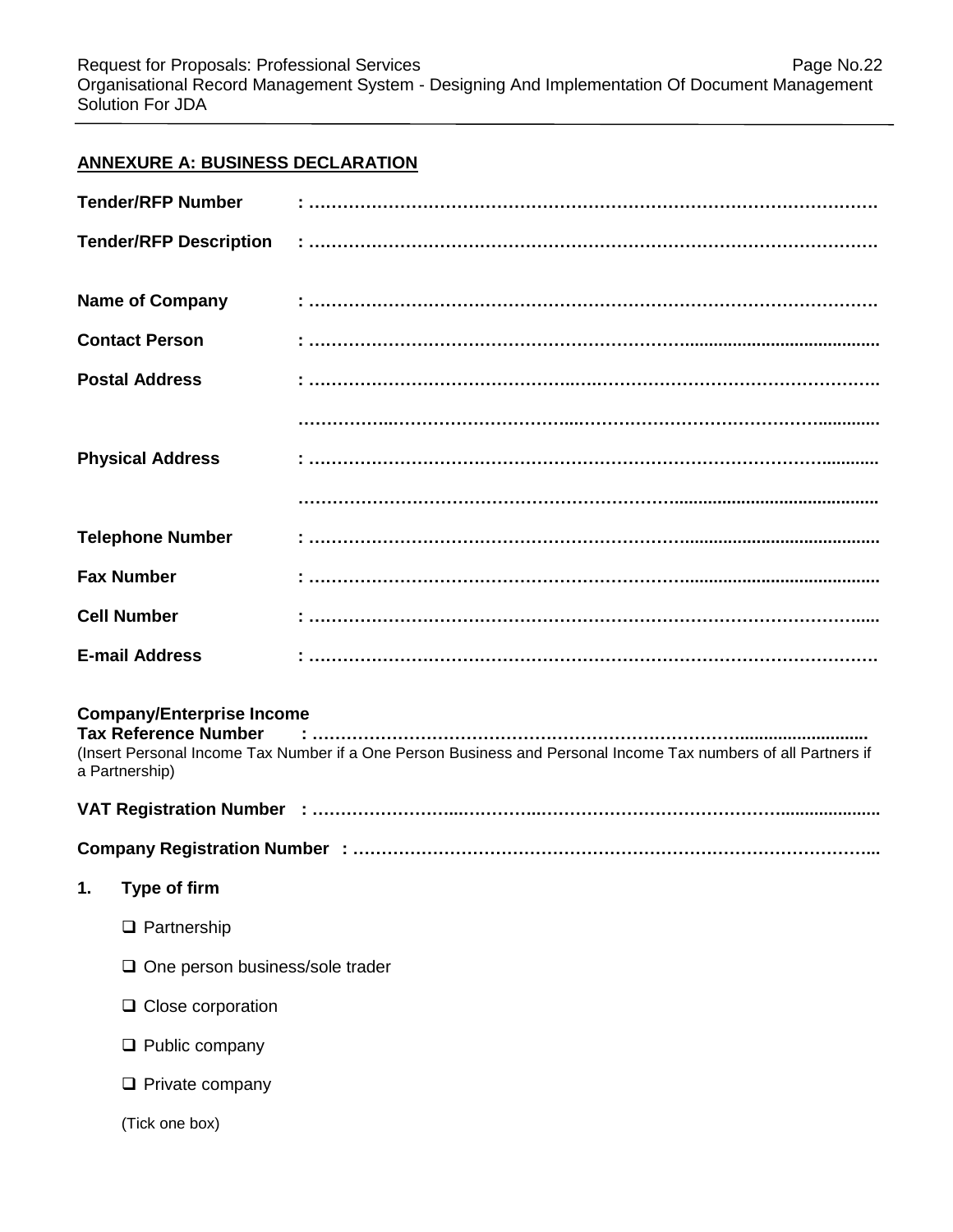# **ANNEXURE A: BUSINESS DECLARATION**

| <b>Tender/RFP Number</b>                                                          |                                                                                                                |
|-----------------------------------------------------------------------------------|----------------------------------------------------------------------------------------------------------------|
| <b>Tender/RFP Description</b>                                                     |                                                                                                                |
| <b>Name of Company</b>                                                            |                                                                                                                |
| <b>Contact Person</b>                                                             |                                                                                                                |
| <b>Postal Address</b>                                                             |                                                                                                                |
|                                                                                   |                                                                                                                |
| <b>Physical Address</b>                                                           |                                                                                                                |
|                                                                                   |                                                                                                                |
| <b>Telephone Number</b>                                                           |                                                                                                                |
| <b>Fax Number</b>                                                                 |                                                                                                                |
| <b>Cell Number</b>                                                                |                                                                                                                |
| <b>E-mail Address</b>                                                             |                                                                                                                |
| <b>Company/Enterprise Income</b><br><b>Tax Reference Number</b><br>a Partnership) | (Insert Personal Income Tax Number if a One Person Business and Personal Income Tax numbers of all Partners if |
|                                                                                   |                                                                                                                |
|                                                                                   |                                                                                                                |
| 1. Type of firm                                                                   |                                                                                                                |
| $\Box$ Partnership                                                                |                                                                                                                |
| $\Box$ One person business/sole trader                                            |                                                                                                                |
| $\Box$ Close corporation                                                          |                                                                                                                |
| $\Box$ Public company                                                             |                                                                                                                |
| $\Box$ Private company                                                            |                                                                                                                |
| (Tick one box)                                                                    |                                                                                                                |
|                                                                                   |                                                                                                                |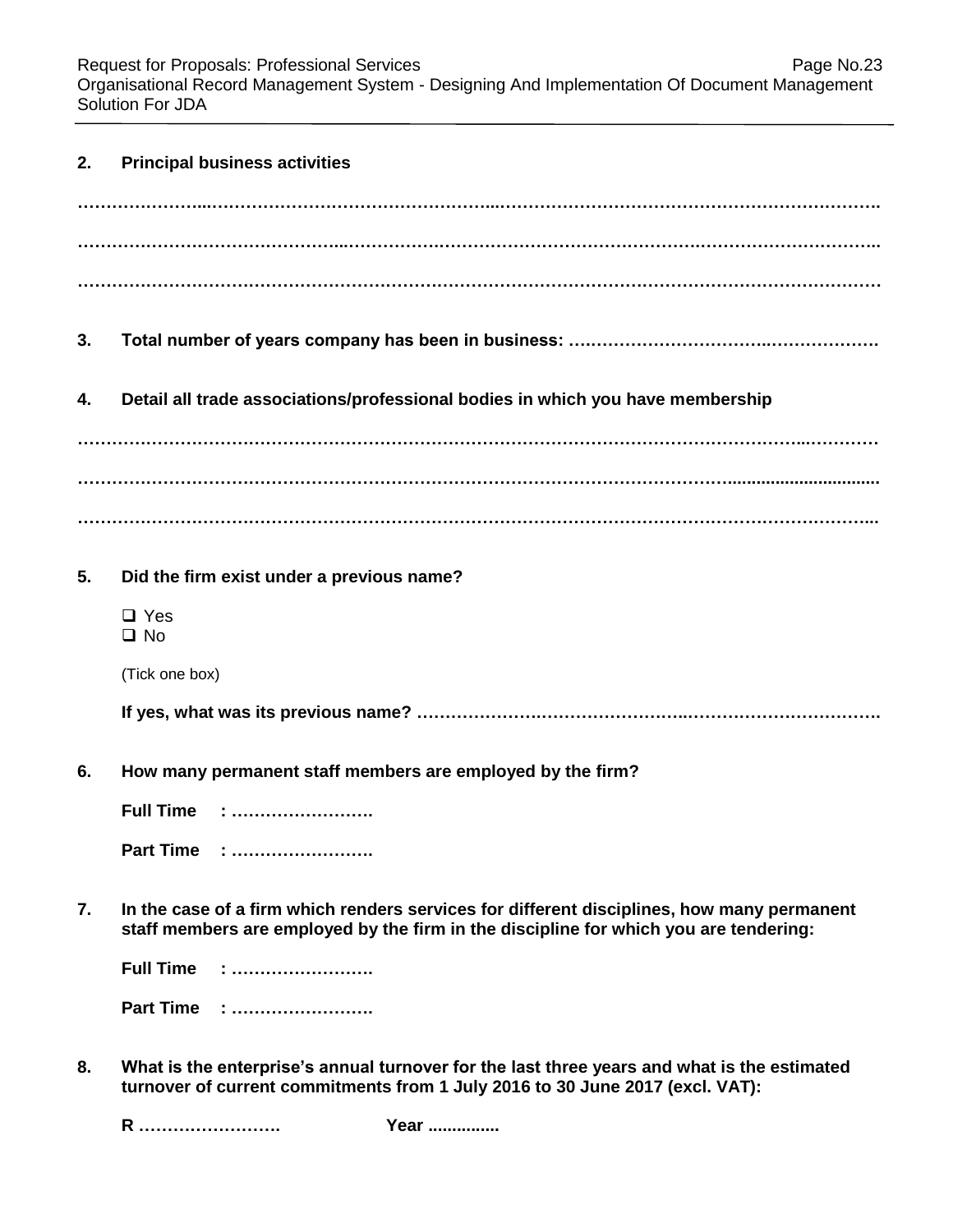Request for Proposals: Professional Services **Page No.23** Page No.23 Organisational Record Management System - Designing And Implementation Of Document Management Solution For JDA

| 2. | <b>Principal business activities</b>                                                                                                                                                |
|----|-------------------------------------------------------------------------------------------------------------------------------------------------------------------------------------|
|    |                                                                                                                                                                                     |
|    |                                                                                                                                                                                     |
|    |                                                                                                                                                                                     |
| 3. |                                                                                                                                                                                     |
| 4. | Detail all trade associations/professional bodies in which you have membership                                                                                                      |
|    |                                                                                                                                                                                     |
|    |                                                                                                                                                                                     |
| 5. | Did the firm exist under a previous name?                                                                                                                                           |
|    | $\Box$ Yes<br>$\square$ No                                                                                                                                                          |
|    | (Tick one box)                                                                                                                                                                      |
|    |                                                                                                                                                                                     |
| 6. | How many permanent staff members are employed by the firm?                                                                                                                          |
|    | <b>Full Time : </b>                                                                                                                                                                 |
|    | Part Time :                                                                                                                                                                         |
| 7. | In the case of a firm which renders services for different disciplines, how many permanent<br>staff members are employed by the firm in the discipline for which you are tendering: |
|    | <b>Full Time</b>                                                                                                                                                                    |
|    | <b>Part Time</b>                                                                                                                                                                    |
| 8. | What is the enterprise's annual turnover for the last three years and what is the estimated<br>turnover of current commitments from 1 July 2016 to 30 June 2017 (excl. VAT):        |

**R ……………………. Year ...............**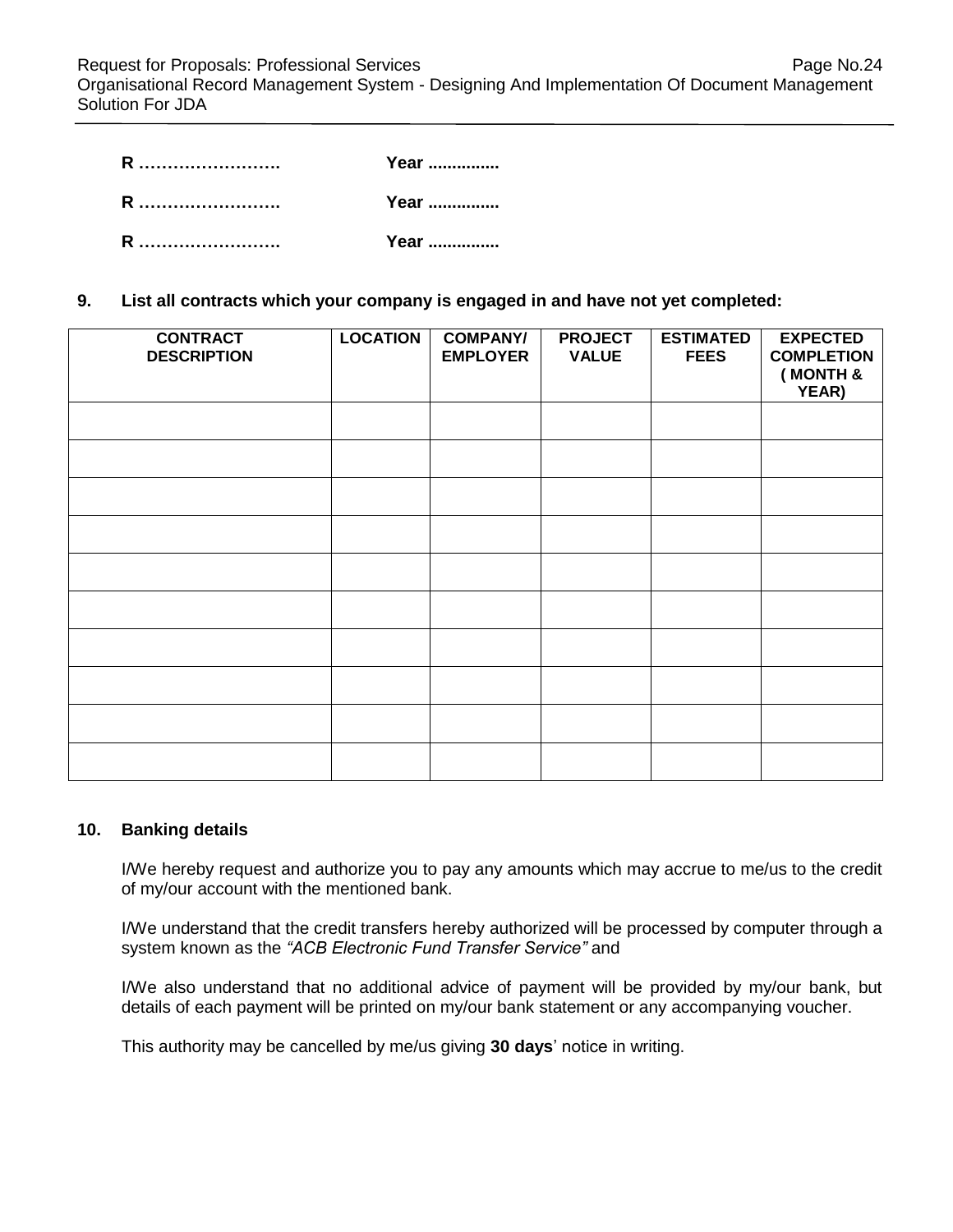| R | Year |
|---|------|
| R | Year |
| R | Year |

#### **9. List all contracts which your company is engaged in and have not yet completed:**

| <b>CONTRACT</b><br><b>DESCRIPTION</b> | <b>LOCATION</b> | <b>COMPANY/</b><br><b>EMPLOYER</b> | <b>PROJECT</b><br><b>VALUE</b> | <b>ESTIMATED</b><br><b>FEES</b> | <b>EXPECTED</b><br><b>COMPLETION</b><br>(MONTH &<br>YEAR) |
|---------------------------------------|-----------------|------------------------------------|--------------------------------|---------------------------------|-----------------------------------------------------------|
|                                       |                 |                                    |                                |                                 |                                                           |
|                                       |                 |                                    |                                |                                 |                                                           |
|                                       |                 |                                    |                                |                                 |                                                           |
|                                       |                 |                                    |                                |                                 |                                                           |
|                                       |                 |                                    |                                |                                 |                                                           |
|                                       |                 |                                    |                                |                                 |                                                           |
|                                       |                 |                                    |                                |                                 |                                                           |
|                                       |                 |                                    |                                |                                 |                                                           |
|                                       |                 |                                    |                                |                                 |                                                           |
|                                       |                 |                                    |                                |                                 |                                                           |

#### **10. Banking details**

I/We hereby request and authorize you to pay any amounts which may accrue to me/us to the credit of my/our account with the mentioned bank.

I/We understand that the credit transfers hereby authorized will be processed by computer through a system known as the *"ACB Electronic Fund Transfer Service"* and

I/We also understand that no additional advice of payment will be provided by my/our bank, but details of each payment will be printed on my/our bank statement or any accompanying voucher.

This authority may be cancelled by me/us giving **30 days**' notice in writing.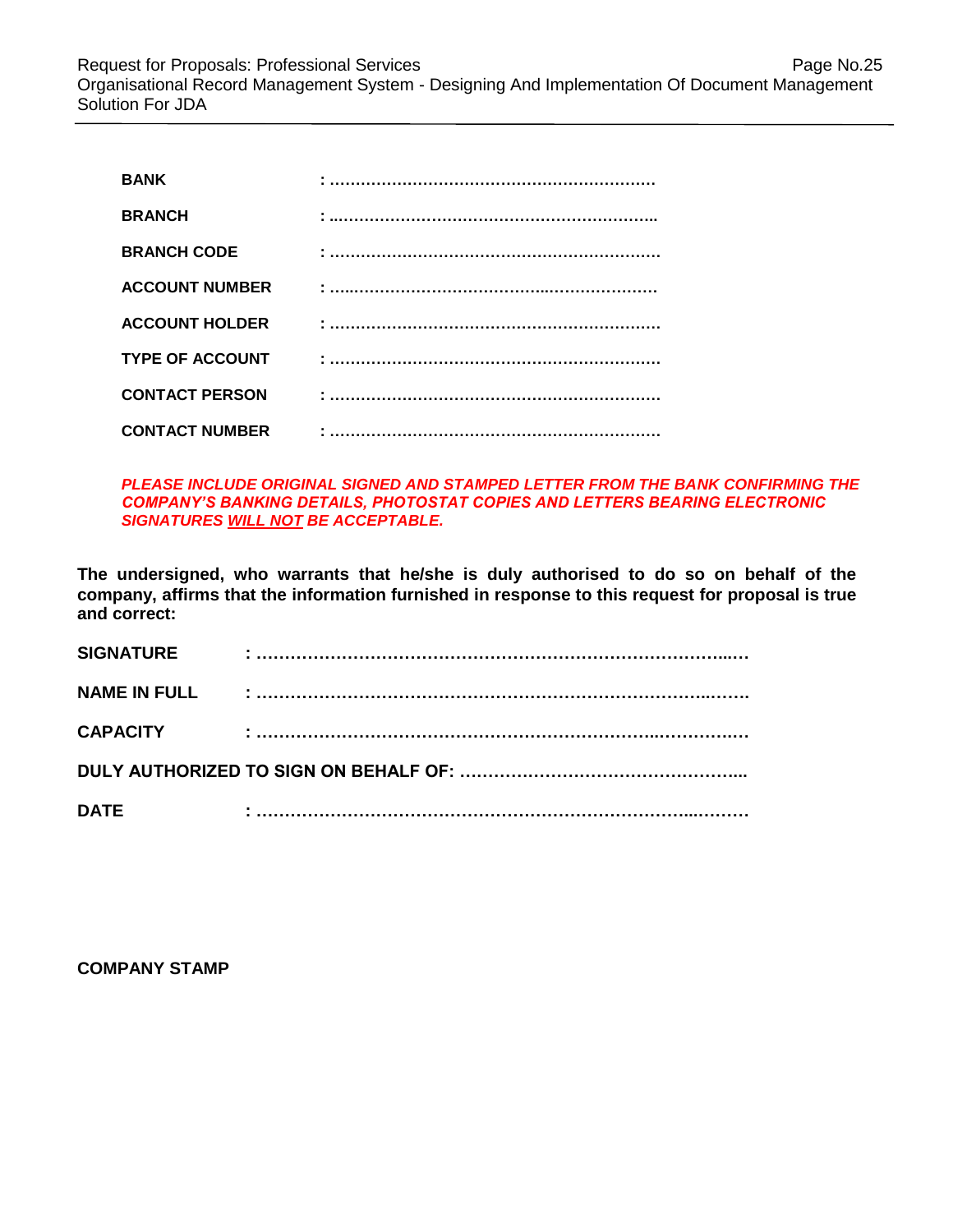| <b>BANK</b>            |  |
|------------------------|--|
| <b>BRANCH</b>          |  |
| <b>BRANCH CODE</b>     |  |
| <b>ACCOUNT NUMBER</b>  |  |
| <b>ACCOUNT HOLDER</b>  |  |
| <b>TYPE OF ACCOUNT</b> |  |
| <b>CONTACT PERSON</b>  |  |
| <b>CONTACT NUMBER</b>  |  |

*PLEASE INCLUDE ORIGINAL SIGNED AND STAMPED LETTER FROM THE BANK CONFIRMING THE COMPANY'S BANKING DETAILS, PHOTOSTAT COPIES AND LETTERS BEARING ELECTRONIC SIGNATURES WILL NOT BE ACCEPTABLE.*

**The undersigned, who warrants that he/she is duly authorised to do so on behalf of the company, affirms that the information furnished in response to this request for proposal is true and correct:**

| <b>SIGNATURE</b>    | ٠ |  |  |  |
|---------------------|---|--|--|--|
| <b>NAME IN FULL</b> |   |  |  |  |
| <b>CAPACITY</b>     |   |  |  |  |
|                     |   |  |  |  |
| <b>DATE</b>         |   |  |  |  |

**COMPANY STAMP**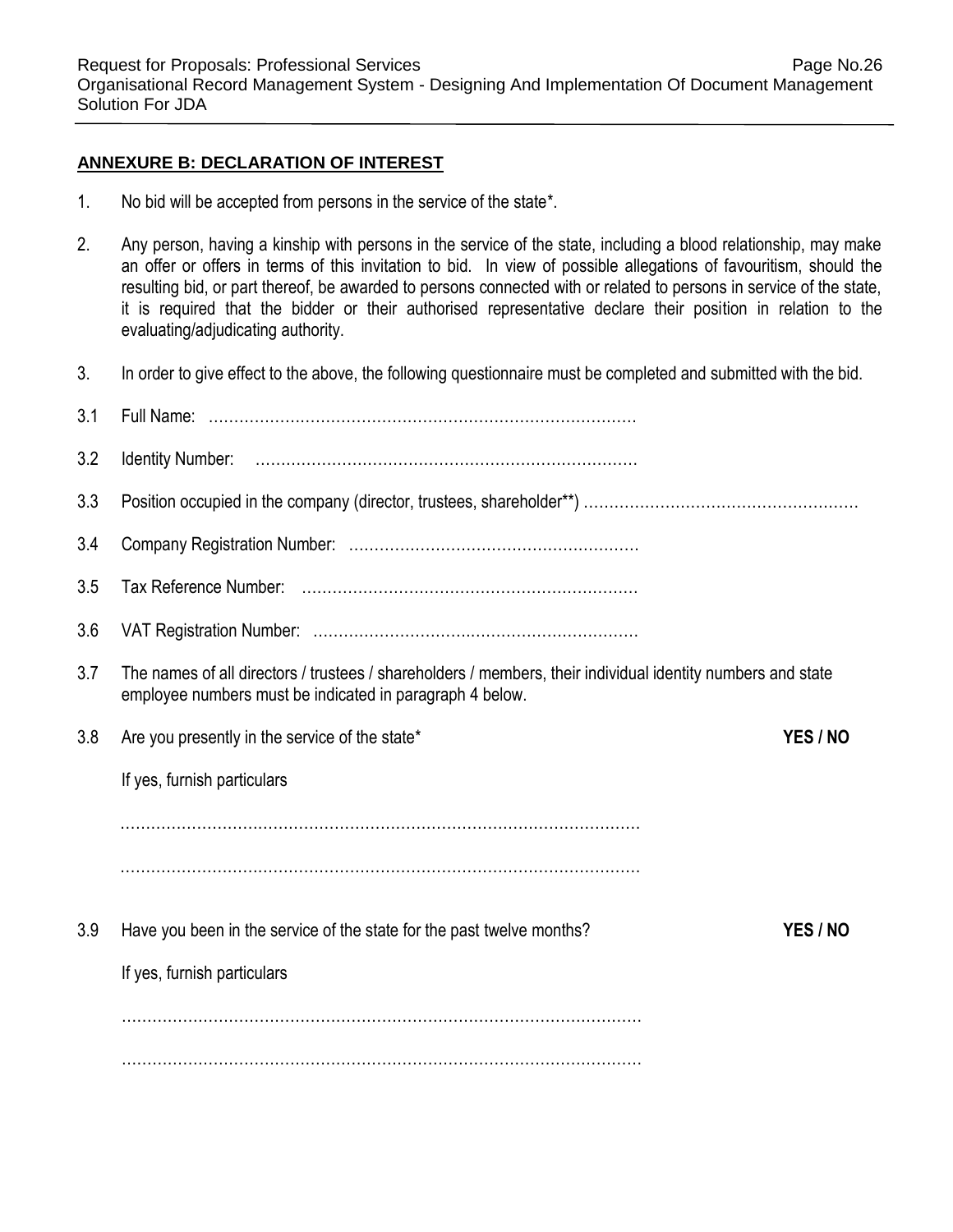#### **ANNEXURE B: DECLARATION OF INTEREST**

- 1. No bid will be accepted from persons in the service of the state\*.
- 2. Any person, having a kinship with persons in the service of the state, including a blood relationship, may make an offer or offers in terms of this invitation to bid. In view of possible allegations of favouritism, should the resulting bid, or part thereof, be awarded to persons connected with or related to persons in service of the state, it is required that the bidder or their authorised representative declare their position in relation to the evaluating/adjudicating authority.
- 3. In order to give effect to the above, the following questionnaire must be completed and submitted with the bid.

| 3.1 |                                                                                                                                                                         |          |
|-----|-------------------------------------------------------------------------------------------------------------------------------------------------------------------------|----------|
| 3.2 |                                                                                                                                                                         |          |
| 3.3 |                                                                                                                                                                         |          |
| 3.4 |                                                                                                                                                                         |          |
| 3.5 |                                                                                                                                                                         |          |
| 3.6 |                                                                                                                                                                         |          |
| 3.7 | The names of all directors / trustees / shareholders / members, their individual identity numbers and state<br>employee numbers must be indicated in paragraph 4 below. |          |
| 3.8 | Are you presently in the service of the state*                                                                                                                          | YES / NO |
|     | If yes, furnish particulars                                                                                                                                             |          |
|     |                                                                                                                                                                         |          |
|     |                                                                                                                                                                         |          |
| 3.9 | Have you been in the service of the state for the past twelve months?                                                                                                   | YES / NO |
|     | If yes, furnish particulars                                                                                                                                             |          |
|     |                                                                                                                                                                         |          |
|     |                                                                                                                                                                         |          |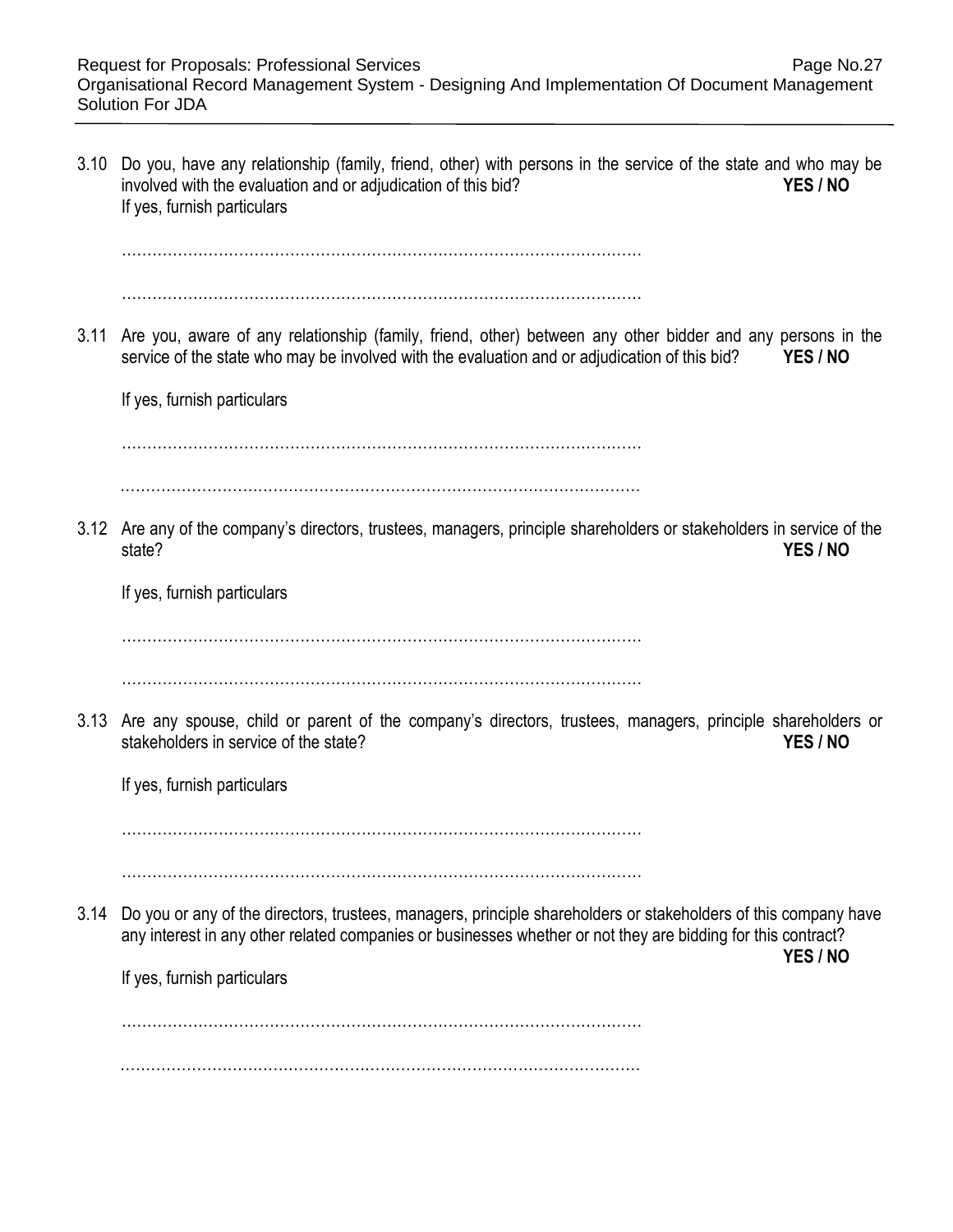| 3.10 | Do you, have any relationship (family, friend, other) with persons in the service of the state and who may be<br>involved with the evaluation and or adjudication of this bid?<br>YES / NO<br>If yes, furnish particulars                                                  |
|------|----------------------------------------------------------------------------------------------------------------------------------------------------------------------------------------------------------------------------------------------------------------------------|
| 3.11 | Are you, aware of any relationship (family, friend, other) between any other bidder and any persons in the<br>YES / NO<br>service of the state who may be involved with the evaluation and or adjudication of this bid?<br>If yes, furnish particulars                     |
|      | 3.12 Are any of the company's directors, trustees, managers, principle shareholders or stakeholders in service of the<br>state?<br>YES / NO<br>If yes, furnish particulars                                                                                                 |
|      | 3.13 Are any spouse, child or parent of the company's directors, trustees, managers, principle shareholders or<br>stakeholders in service of the state?<br>YES / NO<br>If yes, furnish particulars                                                                         |
| 3.14 | Do you or any of the directors, trustees, managers, principle shareholders or stakeholders of this company have<br>any interest in any other related companies or businesses whether or not they are bidding for this contract?<br>YES / NO<br>If yes, furnish particulars |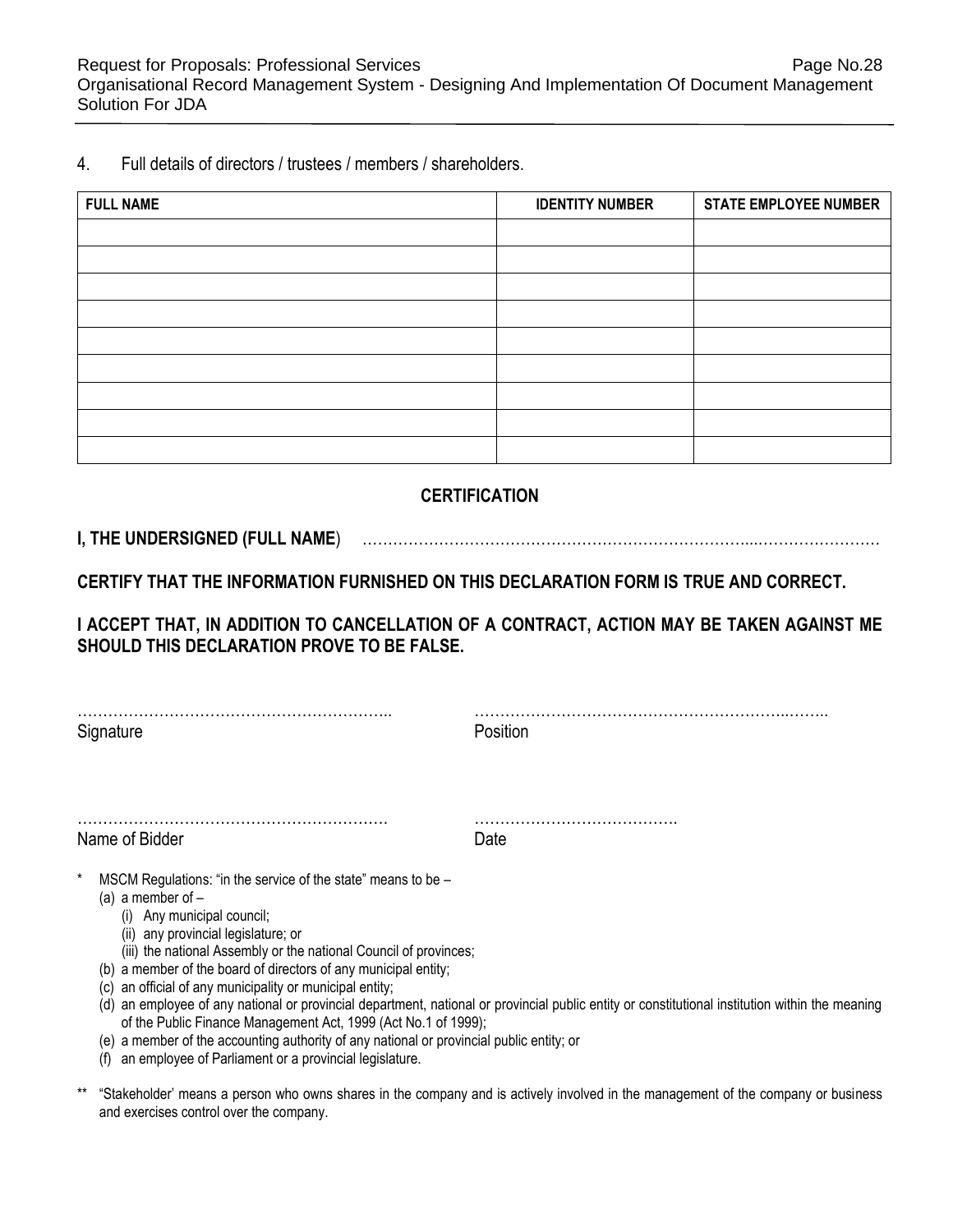4. Full details of directors / trustees / members / shareholders.

| <b>FULL NAME</b> | <b>IDENTITY NUMBER</b> | <b>STATE EMPLOYEE NUMBER</b> |
|------------------|------------------------|------------------------------|
|                  |                        |                              |
|                  |                        |                              |
|                  |                        |                              |
|                  |                        |                              |
|                  |                        |                              |
|                  |                        |                              |
|                  |                        |                              |
|                  |                        |                              |
|                  |                        |                              |

# **CERTIFICATION**

# **I, THE UNDERSIGNED (FULL NAME**) …………………………………………………………………...……………………

**CERTIFY THAT THE INFORMATION FURNISHED ON THIS DECLARATION FORM IS TRUE AND CORRECT.** 

**I ACCEPT THAT, IN ADDITION TO CANCELLATION OF A CONTRACT, ACTION MAY BE TAKEN AGAINST ME SHOULD THIS DECLARATION PROVE TO BE FALSE.** 

|           | . |
|-----------|---|
| Signature |   |

…………………………………………………….. ……………………………………………………..……..

Name of Bidder **Date** 

……………………………………………………. ………………………………….

- MSCM Regulations: "in the service of the state" means to be
	- (a) a member of
		- (i) Any municipal council;
		- (ii) any provincial legislature; or
		- (iii) the national Assembly or the national Council of provinces;
	- (b) a member of the board of directors of any municipal entity;
	- (c) an official of any municipality or municipal entity;
	- (d) an employee of any national or provincial department, national or provincial public entity or constitutional institution within the meaning of the Public Finance Management Act, 1999 (Act No.1 of 1999);
	- (e) a member of the accounting authority of any national or provincial public entity; or
	- (f) an employee of Parliament or a provincial legislature.
- \*\* "Stakeholder' means a person who owns shares in the company and is actively involved in the management of the company or business and exercises control over the company.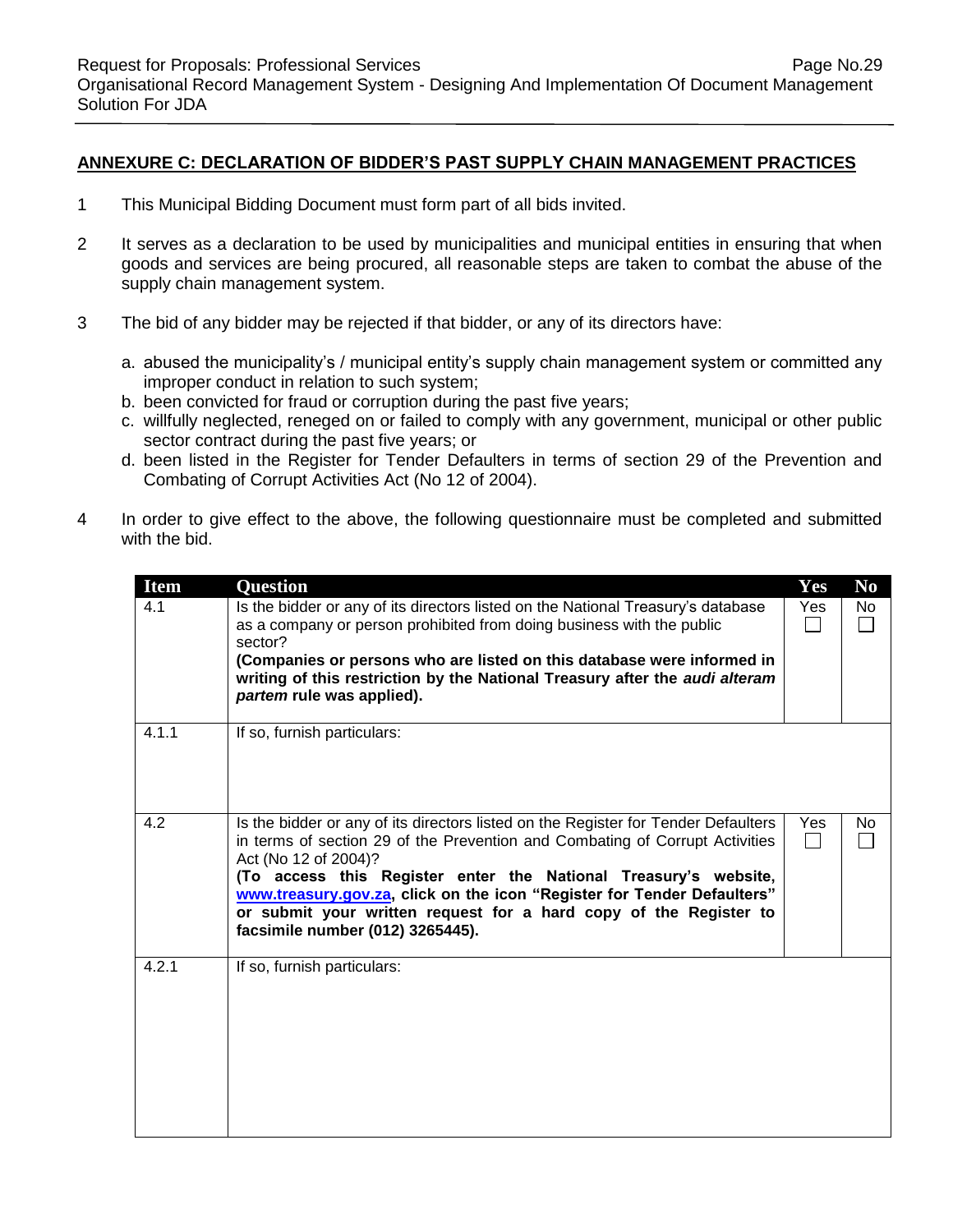#### **ANNEXURE C: DECLARATION OF BIDDER'S PAST SUPPLY CHAIN MANAGEMENT PRACTICES**

- 1 This Municipal Bidding Document must form part of all bids invited.
- 2 It serves as a declaration to be used by municipalities and municipal entities in ensuring that when goods and services are being procured, all reasonable steps are taken to combat the abuse of the supply chain management system.
- 3 The bid of any bidder may be rejected if that bidder, or any of its directors have:
	- a. abused the municipality's / municipal entity's supply chain management system or committed any improper conduct in relation to such system;
	- b. been convicted for fraud or corruption during the past five years;
	- c. willfully neglected, reneged on or failed to comply with any government, municipal or other public sector contract during the past five years; or
	- d. been listed in the Register for Tender Defaulters in terms of section 29 of the Prevention and Combating of Corrupt Activities Act (No 12 of 2004).
- 4 In order to give effect to the above, the following questionnaire must be completed and submitted with the bid.

| <b>Item</b> | <b>Question</b>                                                                                                                                                                                                                                                                                                                                                                                                                                   | Yes | N <sub>0</sub> |
|-------------|---------------------------------------------------------------------------------------------------------------------------------------------------------------------------------------------------------------------------------------------------------------------------------------------------------------------------------------------------------------------------------------------------------------------------------------------------|-----|----------------|
| 4.1         | Is the bidder or any of its directors listed on the National Treasury's database<br>as a company or person prohibited from doing business with the public<br>sector?<br>(Companies or persons who are listed on this database were informed in<br>writing of this restriction by the National Treasury after the audi alteram<br>partem rule was applied).                                                                                        | Yes | No             |
| 4.1.1       | If so, furnish particulars:                                                                                                                                                                                                                                                                                                                                                                                                                       |     |                |
| 4.2         | Is the bidder or any of its directors listed on the Register for Tender Defaulters<br>in terms of section 29 of the Prevention and Combating of Corrupt Activities<br>Act (No 12 of 2004)?<br>(To access this Register enter the National Treasury's website,<br>www.treasury.gov.za, click on the icon "Register for Tender Defaulters"<br>or submit your written request for a hard copy of the Register to<br>facsimile number (012) 3265445). | Yes | No.            |
| 4.2.1       | If so, furnish particulars:                                                                                                                                                                                                                                                                                                                                                                                                                       |     |                |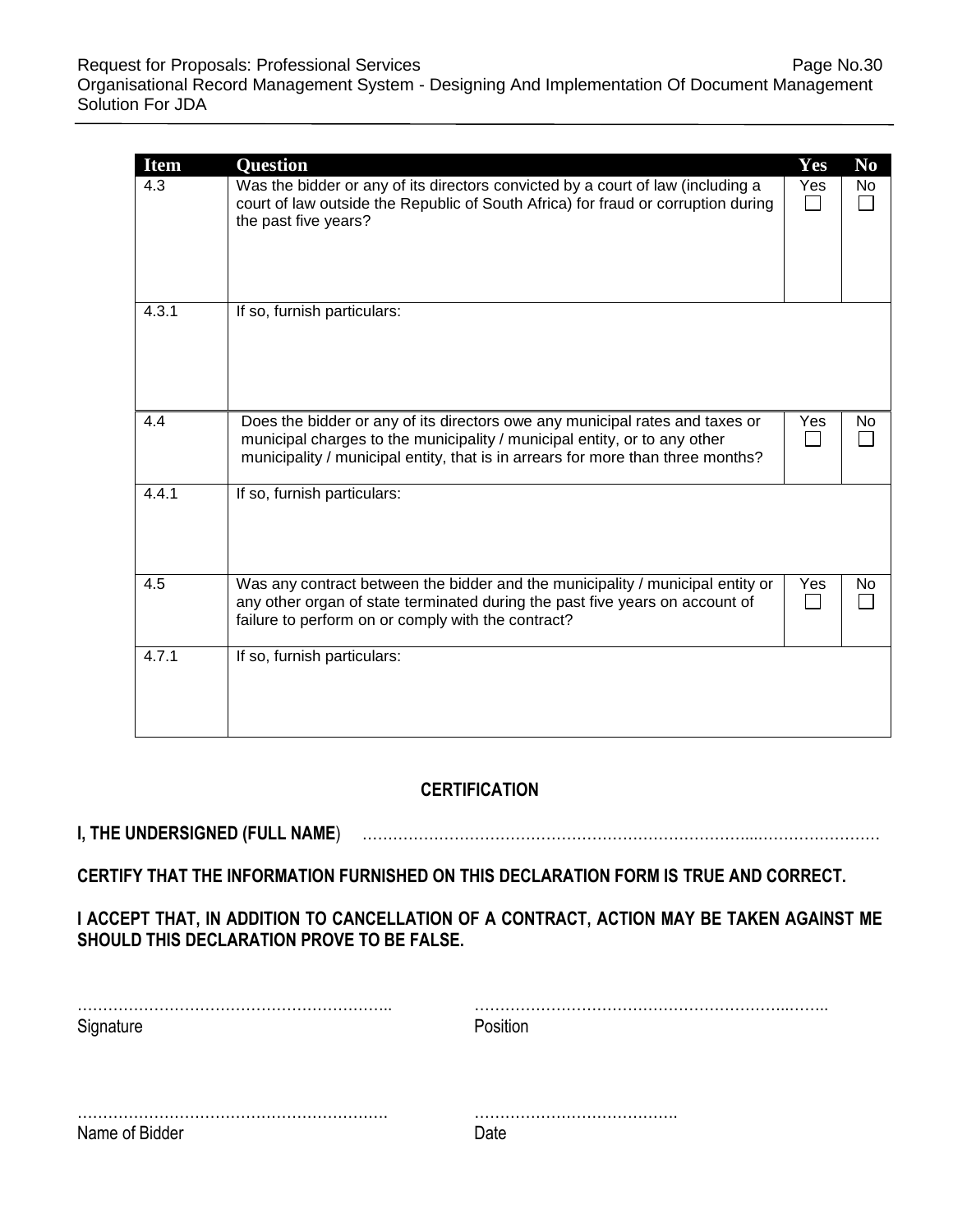| <b>Item</b><br>4.3 | <b>Question</b><br>Was the bidder or any of its directors convicted by a court of law (including a<br>court of law outside the Republic of South Africa) for fraud or corruption during<br>the past five years?                              | Yes<br>Yes | N <sub>0</sub><br>No |
|--------------------|----------------------------------------------------------------------------------------------------------------------------------------------------------------------------------------------------------------------------------------------|------------|----------------------|
| 4.3.1              | If so, furnish particulars:                                                                                                                                                                                                                  |            |                      |
| 4.4                | Does the bidder or any of its directors owe any municipal rates and taxes or<br>municipal charges to the municipality / municipal entity, or to any other<br>municipality / municipal entity, that is in arrears for more than three months? | Yes        | No                   |
| 4.4.1              | If so, furnish particulars:                                                                                                                                                                                                                  |            |                      |
| 4.5                | Was any contract between the bidder and the municipality / municipal entity or<br>any other organ of state terminated during the past five years on account of<br>failure to perform on or comply with the contract?                         | Yes        | No                   |
| 4.7.1              | If so, furnish particulars:                                                                                                                                                                                                                  |            |                      |

# **CERTIFICATION**

# **I, THE UNDERSIGNED (FULL NAME**) …………………………………………………………………...……………………

**CERTIFY THAT THE INFORMATION FURNISHED ON THIS DECLARATION FORM IS TRUE AND CORRECT.** 

# **I ACCEPT THAT, IN ADDITION TO CANCELLATION OF A CONTRACT, ACTION MAY BE TAKEN AGAINST ME SHOULD THIS DECLARATION PROVE TO BE FALSE.**

| Signature      | Position |
|----------------|----------|
|                |          |
|                |          |
| Name of Bidder | Date     |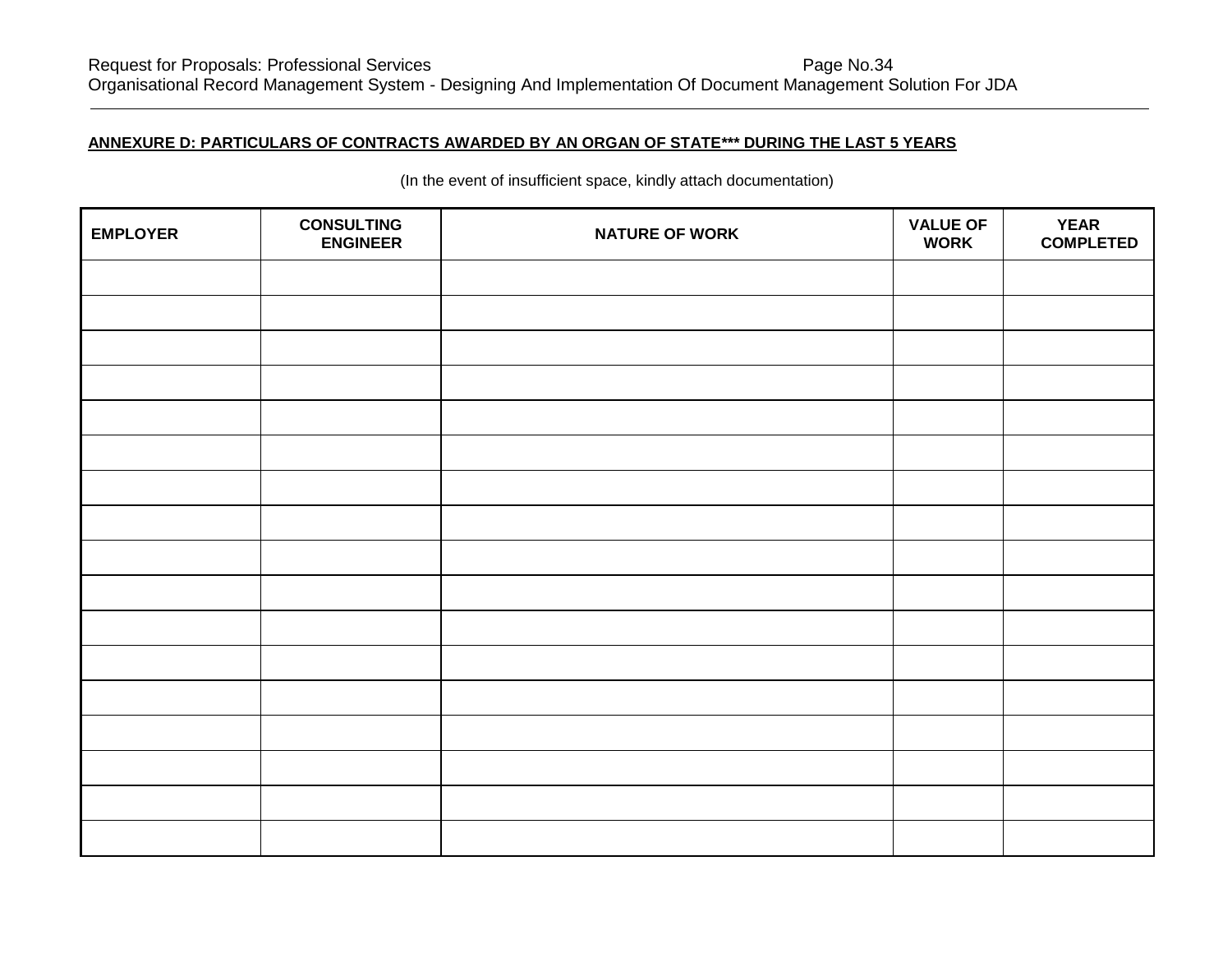## **ANNEXURE D: PARTICULARS OF CONTRACTS AWARDED BY AN ORGAN OF STATE\*\*\* DURING THE LAST 5 YEARS**

| <b>EMPLOYER</b> | <b>CONSULTING</b><br><b>ENGINEER</b> | <b>NATURE OF WORK</b> | <b>VALUE OF</b><br><b>WORK</b> | <b>YEAR</b><br><b>COMPLETED</b> |
|-----------------|--------------------------------------|-----------------------|--------------------------------|---------------------------------|
|                 |                                      |                       |                                |                                 |
|                 |                                      |                       |                                |                                 |
|                 |                                      |                       |                                |                                 |
|                 |                                      |                       |                                |                                 |
|                 |                                      |                       |                                |                                 |
|                 |                                      |                       |                                |                                 |
|                 |                                      |                       |                                |                                 |
|                 |                                      |                       |                                |                                 |
|                 |                                      |                       |                                |                                 |
|                 |                                      |                       |                                |                                 |
|                 |                                      |                       |                                |                                 |
|                 |                                      |                       |                                |                                 |
|                 |                                      |                       |                                |                                 |
|                 |                                      |                       |                                |                                 |
|                 |                                      |                       |                                |                                 |
|                 |                                      |                       |                                |                                 |
|                 |                                      |                       |                                |                                 |

(In the event of insufficient space, kindly attach documentation)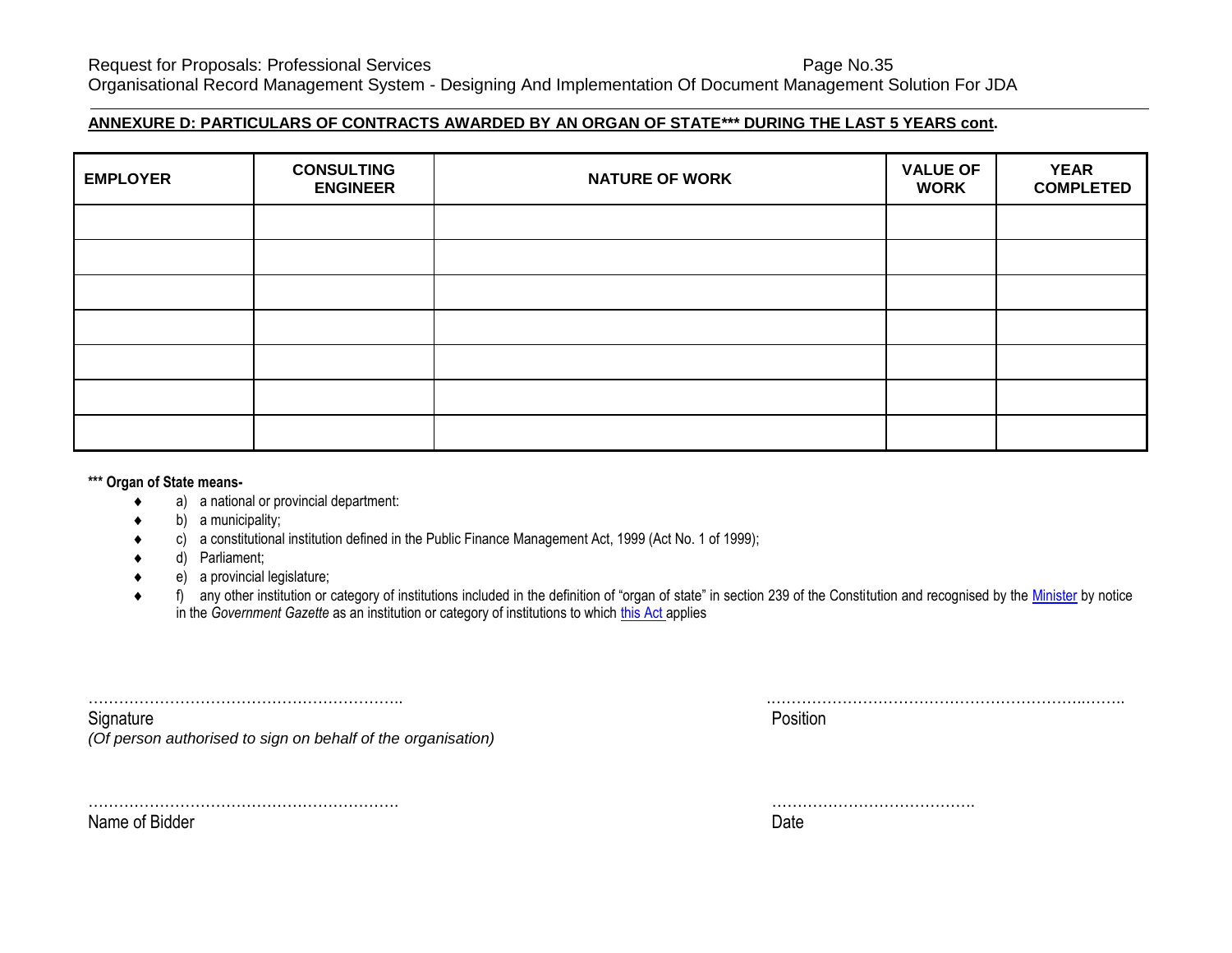Request for Proposals: Professional Services **Page No.35** Page No.35 Organisational Record Management System - Designing And Implementation Of Document Management Solution For JDA

#### **ANNEXURE D: PARTICULARS OF CONTRACTS AWARDED BY AN ORGAN OF STATE\*\*\* DURING THE LAST 5 YEARS cont.**

| <b>EMPLOYER</b> | <b>CONSULTING</b><br><b>ENGINEER</b> | <b>NATURE OF WORK</b> | <b>VALUE OF</b><br><b>WORK</b> | <b>YEAR</b><br><b>COMPLETED</b> |
|-----------------|--------------------------------------|-----------------------|--------------------------------|---------------------------------|
|                 |                                      |                       |                                |                                 |
|                 |                                      |                       |                                |                                 |
|                 |                                      |                       |                                |                                 |
|                 |                                      |                       |                                |                                 |
|                 |                                      |                       |                                |                                 |
|                 |                                      |                       |                                |                                 |
|                 |                                      |                       |                                |                                 |

#### **\*\*\* Organ of State means-**

- a) a national or provincial department:
- b) a municipality;
- c) a constitutional institution defined in the Public Finance Management Act, 1999 (Act No. 1 of 1999);
- d) Parliament;
- e) a provincial legislature;
- ◆ f) any other institution or category of institutions included in the definition of "organ of state" in section 239 of the Constitution and recognised by the [Minister](javascript:void(0);) by notice in the *Government Gazette* as an institution or category of institutions to which [this Act](javascript:void(0);) applies

| .                                                                            |    |
|------------------------------------------------------------------------------|----|
| ~<br>∖ı∩nat⊔ı                                                                | ΝГ |
| $\bigcap$<br>f person authorised to sign on behalf of the organisation)<br>ັ |    |

Name of Bidder **Date of Bidder** Controllering and the Controllering of Bidder Controllering and Date Controllering and Date Controllering and Date Controllering and Date Controllering and Date Controllering and Date Contro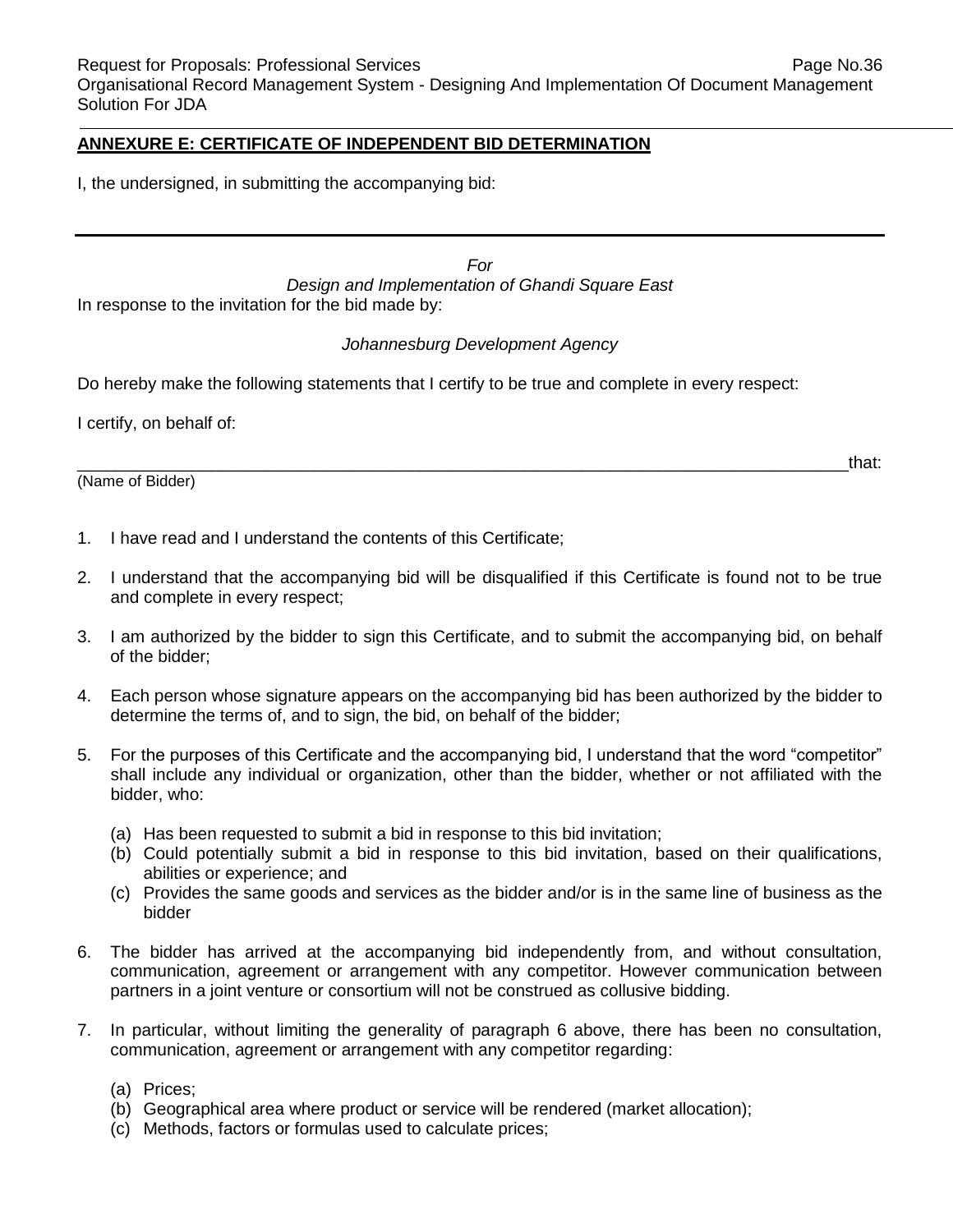#### **ANNEXURE E: CERTIFICATE OF INDEPENDENT BID DETERMINATION**

I, the undersigned, in submitting the accompanying bid:

*For Design and Implementation of Ghandi Square East* In response to the invitation for the bid made by:

#### *Johannesburg Development Agency*

Do hereby make the following statements that I certify to be true and complete in every respect:

I certify, on behalf of:

(Name of Bidder)

 $\hbox{and}\hskip1cm \hbox{that}$ 

- 1. I have read and I understand the contents of this Certificate;
- 2. I understand that the accompanying bid will be disqualified if this Certificate is found not to be true and complete in every respect;
- 3. I am authorized by the bidder to sign this Certificate, and to submit the accompanying bid, on behalf of the bidder;
- 4. Each person whose signature appears on the accompanying bid has been authorized by the bidder to determine the terms of, and to sign, the bid, on behalf of the bidder;
- 5. For the purposes of this Certificate and the accompanying bid, I understand that the word "competitor" shall include any individual or organization, other than the bidder, whether or not affiliated with the bidder, who:
	- (a) Has been requested to submit a bid in response to this bid invitation;
	- (b) Could potentially submit a bid in response to this bid invitation, based on their qualifications, abilities or experience; and
	- (c) Provides the same goods and services as the bidder and/or is in the same line of business as the bidder
- 6. The bidder has arrived at the accompanying bid independently from, and without consultation, communication, agreement or arrangement with any competitor. However communication between partners in a joint venture or consortium will not be construed as collusive bidding.
- 7. In particular, without limiting the generality of paragraph 6 above, there has been no consultation, communication, agreement or arrangement with any competitor regarding:
	- (a) Prices;
	- (b) Geographical area where product or service will be rendered (market allocation);
	- (c) Methods, factors or formulas used to calculate prices;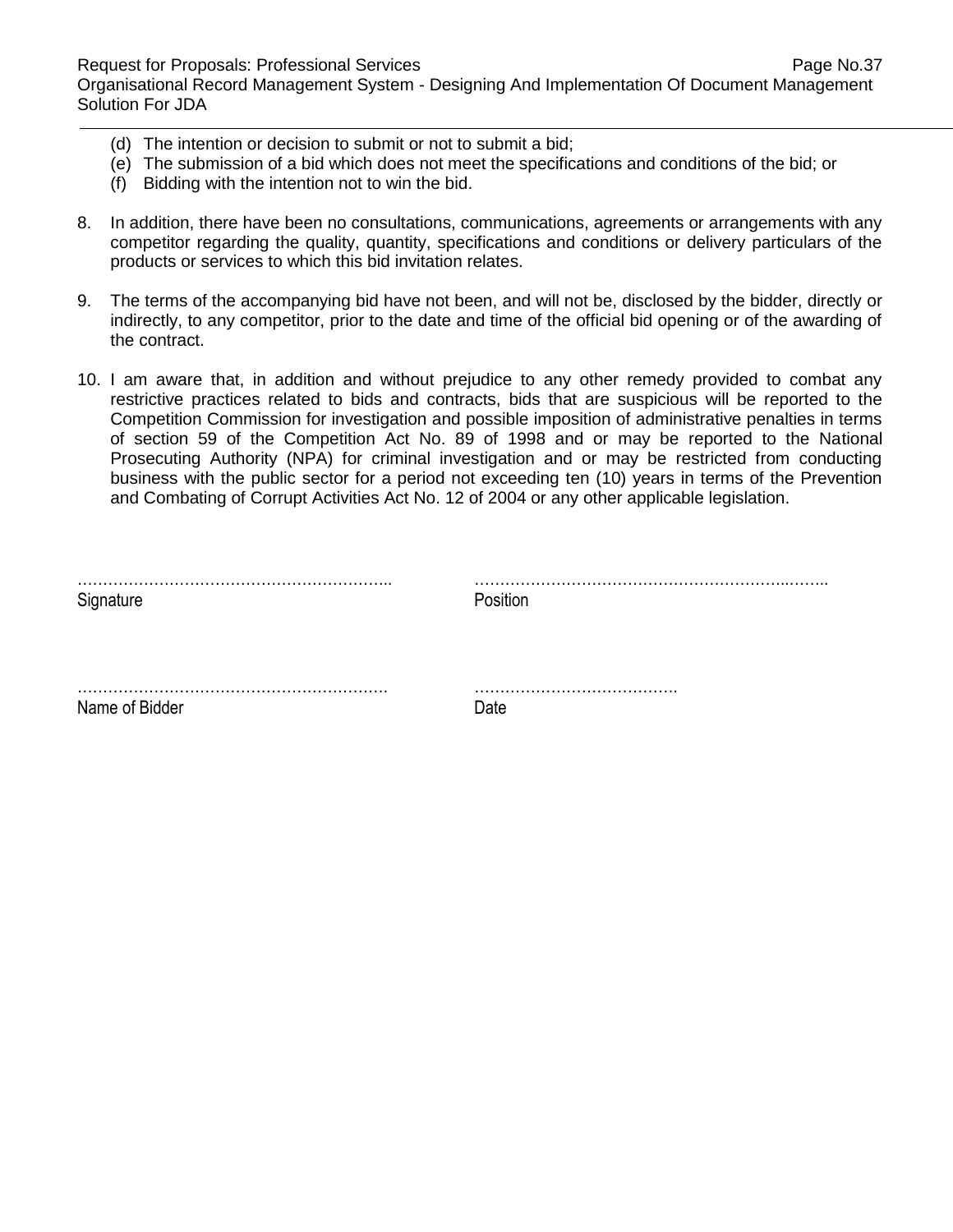Request for Proposals: Professional Services **Page No.37** Page No.37 Organisational Record Management System - Designing And Implementation Of Document Management Solution For JDA

- (d) The intention or decision to submit or not to submit a bid;
- (e) The submission of a bid which does not meet the specifications and conditions of the bid; or
- (f) Bidding with the intention not to win the bid.
- 8. In addition, there have been no consultations, communications, agreements or arrangements with any competitor regarding the quality, quantity, specifications and conditions or delivery particulars of the products or services to which this bid invitation relates.
- 9. The terms of the accompanying bid have not been, and will not be, disclosed by the bidder, directly or indirectly, to any competitor, prior to the date and time of the official bid opening or of the awarding of the contract.
- 10. I am aware that, in addition and without prejudice to any other remedy provided to combat any restrictive practices related to bids and contracts, bids that are suspicious will be reported to the Competition Commission for investigation and possible imposition of administrative penalties in terms of section 59 of the Competition Act No. 89 of 1998 and or may be reported to the National Prosecuting Authority (NPA) for criminal investigation and or may be restricted from conducting business with the public sector for a period not exceeding ten (10) years in terms of the Prevention and Combating of Corrupt Activities Act No. 12 of 2004 or any other applicable legislation.

| Signature      | Position |
|----------------|----------|
|                |          |
| Name of Bidder | Date     |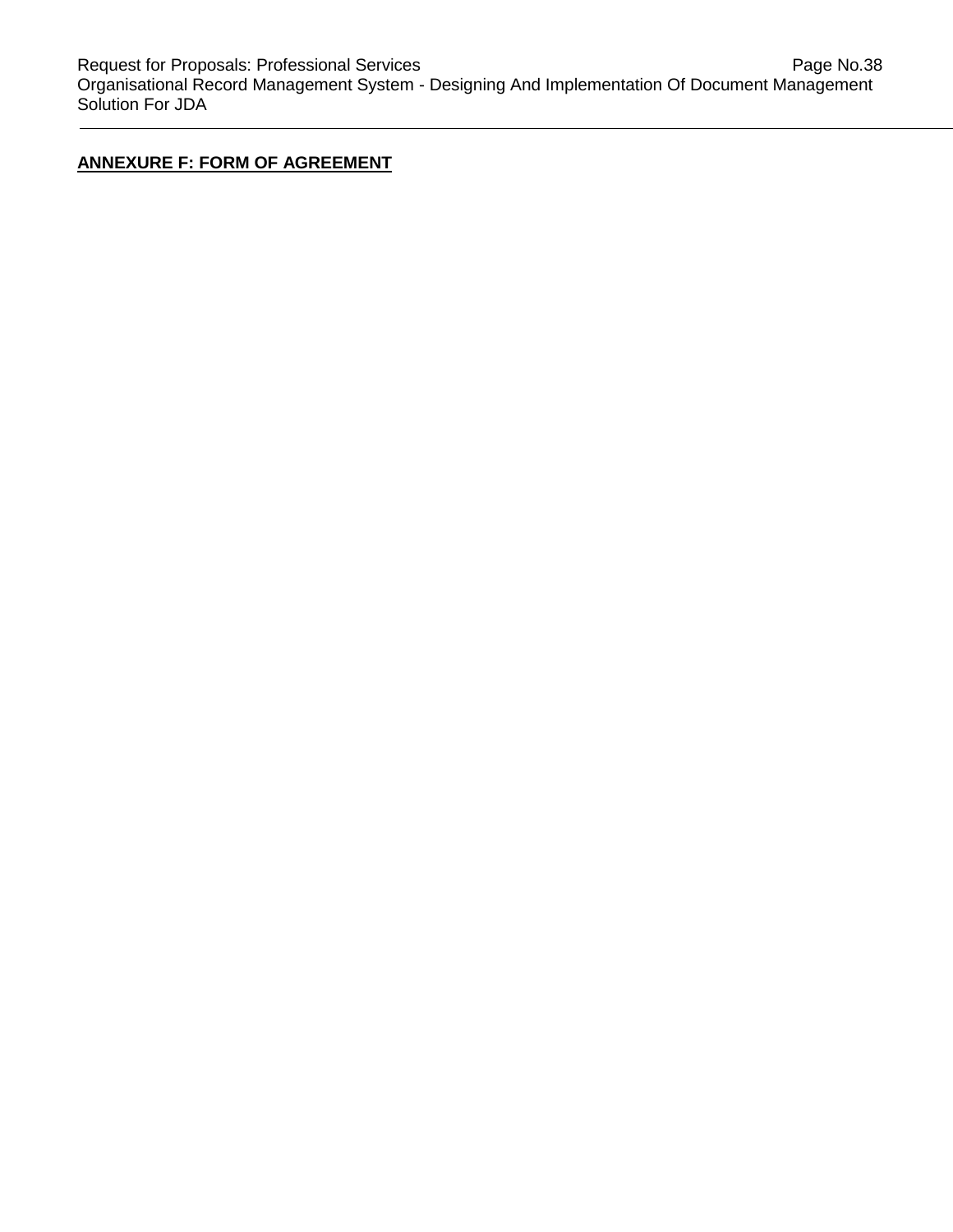# **ANNEXURE F: FORM OF AGREEMENT**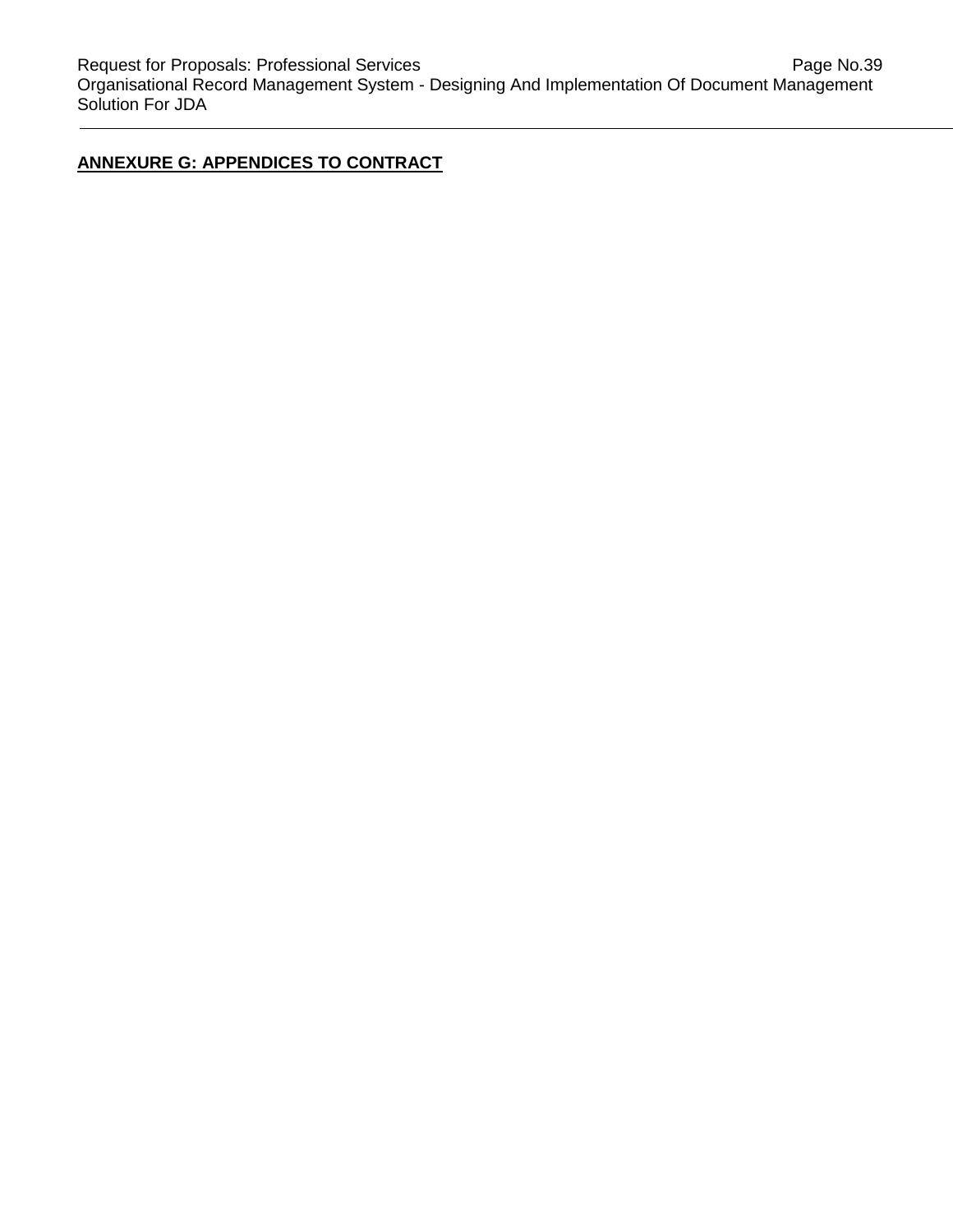# **ANNEXURE G: APPENDICES TO CONTRACT**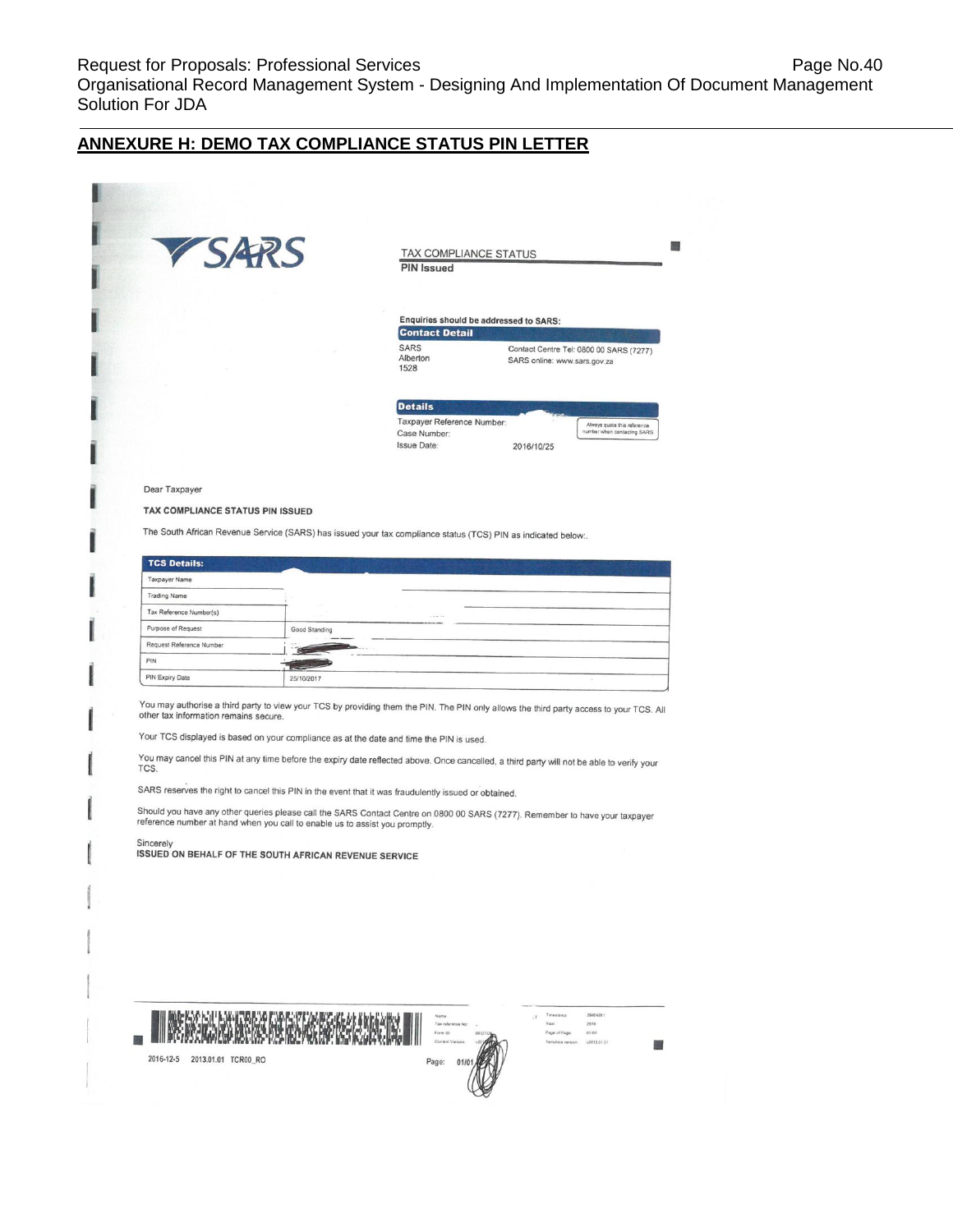Solution For JDA

# **ANNEXURE H: DEMO TAX COMPLIANCE STATUS PIN LETTER**

| VSARS                                                                                                                                                                                                                                |               | TAX COMPLIANCE STATUS<br><b>PIN Issued</b>                                                                                                                                                                                                                                                                                                                                        |                              |                                         |
|--------------------------------------------------------------------------------------------------------------------------------------------------------------------------------------------------------------------------------------|---------------|-----------------------------------------------------------------------------------------------------------------------------------------------------------------------------------------------------------------------------------------------------------------------------------------------------------------------------------------------------------------------------------|------------------------------|-----------------------------------------|
|                                                                                                                                                                                                                                      |               |                                                                                                                                                                                                                                                                                                                                                                                   |                              |                                         |
|                                                                                                                                                                                                                                      |               | Enquiries should be addressed to SARS:                                                                                                                                                                                                                                                                                                                                            |                              |                                         |
|                                                                                                                                                                                                                                      |               | <b>Contact Detail</b>                                                                                                                                                                                                                                                                                                                                                             |                              |                                         |
|                                                                                                                                                                                                                                      |               | <b>SARS</b><br>Alberton<br>1528                                                                                                                                                                                                                                                                                                                                                   | SARS online: www.sars.gov.za | Contact Centre Tel: 0800 00 SARS (7277) |
|                                                                                                                                                                                                                                      |               | <b>Details</b>                                                                                                                                                                                                                                                                                                                                                                    |                              |                                         |
|                                                                                                                                                                                                                                      |               | Taxpayer Reference Number:                                                                                                                                                                                                                                                                                                                                                        |                              | Always quote this reference             |
|                                                                                                                                                                                                                                      |               | Case Number:                                                                                                                                                                                                                                                                                                                                                                      |                              | number when contacting SARS             |
|                                                                                                                                                                                                                                      |               | <b>Issue Date:</b>                                                                                                                                                                                                                                                                                                                                                                | 2016/10/25                   |                                         |
|                                                                                                                                                                                                                                      |               |                                                                                                                                                                                                                                                                                                                                                                                   |                              |                                         |
| Dear Taxpayer                                                                                                                                                                                                                        |               |                                                                                                                                                                                                                                                                                                                                                                                   |                              |                                         |
| TAX COMPLIANCE STATUS PIN ISSUED                                                                                                                                                                                                     |               |                                                                                                                                                                                                                                                                                                                                                                                   |                              |                                         |
|                                                                                                                                                                                                                                      |               |                                                                                                                                                                                                                                                                                                                                                                                   |                              |                                         |
|                                                                                                                                                                                                                                      |               | The South African Revenue Service (SARS) has issued your tax compliance status (TCS) PIN as indicated below:.                                                                                                                                                                                                                                                                     |                              |                                         |
|                                                                                                                                                                                                                                      |               |                                                                                                                                                                                                                                                                                                                                                                                   |                              |                                         |
| <b>TCS Details:</b>                                                                                                                                                                                                                  |               |                                                                                                                                                                                                                                                                                                                                                                                   |                              |                                         |
| <b>Taxpayer Name</b>                                                                                                                                                                                                                 |               |                                                                                                                                                                                                                                                                                                                                                                                   |                              |                                         |
| <b>Trading Name</b>                                                                                                                                                                                                                  |               |                                                                                                                                                                                                                                                                                                                                                                                   |                              |                                         |
| Tax Reference Number(s)                                                                                                                                                                                                              |               |                                                                                                                                                                                                                                                                                                                                                                                   |                              |                                         |
| Purpose of Request                                                                                                                                                                                                                   | Good Standing |                                                                                                                                                                                                                                                                                                                                                                                   |                              |                                         |
| Request Reference Number                                                                                                                                                                                                             |               |                                                                                                                                                                                                                                                                                                                                                                                   |                              |                                         |
| PIN                                                                                                                                                                                                                                  |               |                                                                                                                                                                                                                                                                                                                                                                                   |                              |                                         |
| PIN Expiry Date                                                                                                                                                                                                                      | 25/10/2017    |                                                                                                                                                                                                                                                                                                                                                                                   |                              |                                         |
|                                                                                                                                                                                                                                      |               | You may authorise a third party to view your TCS by providing them the PIN. The PIN only allows the third party access to your TCS. All                                                                                                                                                                                                                                           |                              |                                         |
| other tax information remains secure.<br>Your TCS displayed is based on your compliance as at the date and time the PIN is used.<br>TCS.<br>reference number at hand when you call to enable us to assist you promptly.<br>Sincerely |               | You may cancel this PIN at any time before the expiry date reflected above. Once cancelled, a third party will not be able to verify your<br>SARS reserves the right to cancel this PIN in the event that it was fraudulently issued or obtained.<br>Should you have any other queries please call the SARS Contact Centre on 0800 00 SARS (7277). Remember to have your taxpayer |                              |                                         |
| ISSUED ON BEHALF OF THE SOUTH AFRICAN REVENUE SERVICE                                                                                                                                                                                |               |                                                                                                                                                                                                                                                                                                                                                                                   |                              |                                         |
|                                                                                                                                                                                                                                      |               |                                                                                                                                                                                                                                                                                                                                                                                   |                              |                                         |
|                                                                                                                                                                                                                                      |               |                                                                                                                                                                                                                                                                                                                                                                                   |                              |                                         |
|                                                                                                                                                                                                                                      |               |                                                                                                                                                                                                                                                                                                                                                                                   |                              |                                         |
|                                                                                                                                                                                                                                      |               |                                                                                                                                                                                                                                                                                                                                                                                   |                              |                                         |
|                                                                                                                                                                                                                                      |               |                                                                                                                                                                                                                                                                                                                                                                                   |                              |                                         |
|                                                                                                                                                                                                                                      |               |                                                                                                                                                                                                                                                                                                                                                                                   |                              |                                         |
|                                                                                                                                                                                                                                      |               |                                                                                                                                                                                                                                                                                                                                                                                   |                              |                                         |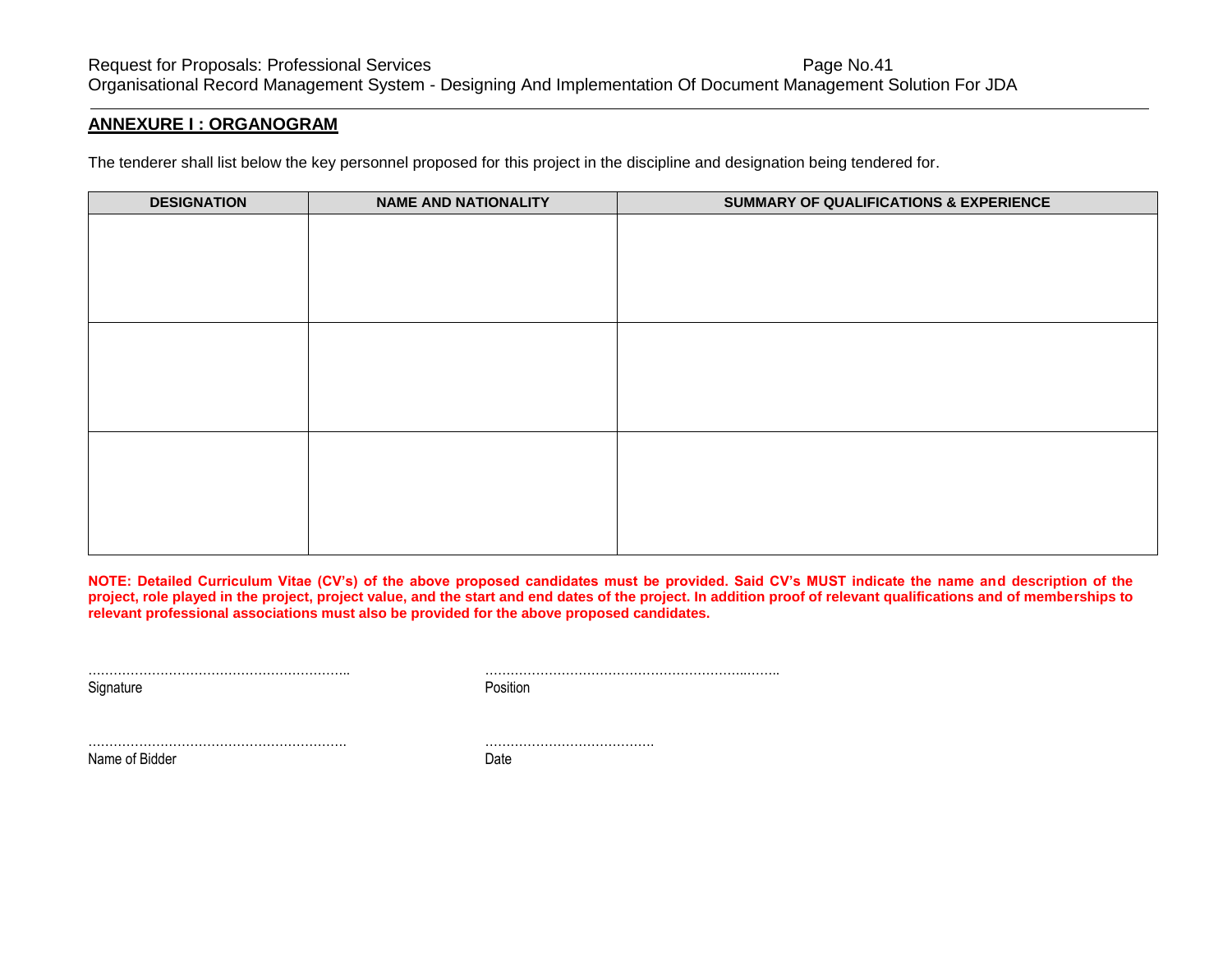#### **ANNEXURE I : ORGANOGRAM**

The tenderer shall list below the key personnel proposed for this project in the discipline and designation being tendered for.

| <b>DESIGNATION</b> | <b>NAME AND NATIONALITY</b> | SUMMARY OF QUALIFICATIONS & EXPERIENCE |
|--------------------|-----------------------------|----------------------------------------|
|                    |                             |                                        |
|                    |                             |                                        |
|                    |                             |                                        |
|                    |                             |                                        |
|                    |                             |                                        |
|                    |                             |                                        |
|                    |                             |                                        |
|                    |                             |                                        |
|                    |                             |                                        |
|                    |                             |                                        |
|                    |                             |                                        |
|                    |                             |                                        |
|                    |                             |                                        |

**NOTE: Detailed Curriculum Vitae (CV's) of the above proposed candidates must be provided. Said CV's MUST indicate the name and description of the project, role played in the project, project value, and the start and end dates of the project. In addition proof of relevant qualifications and of memberships to relevant professional associations must also be provided for the above proposed candidates.**

Signature **Position** 

…………………………………………………….. ……………………………………………………..……..

……………………………………………………. ………………………………….

Name of Bidder Date Date Date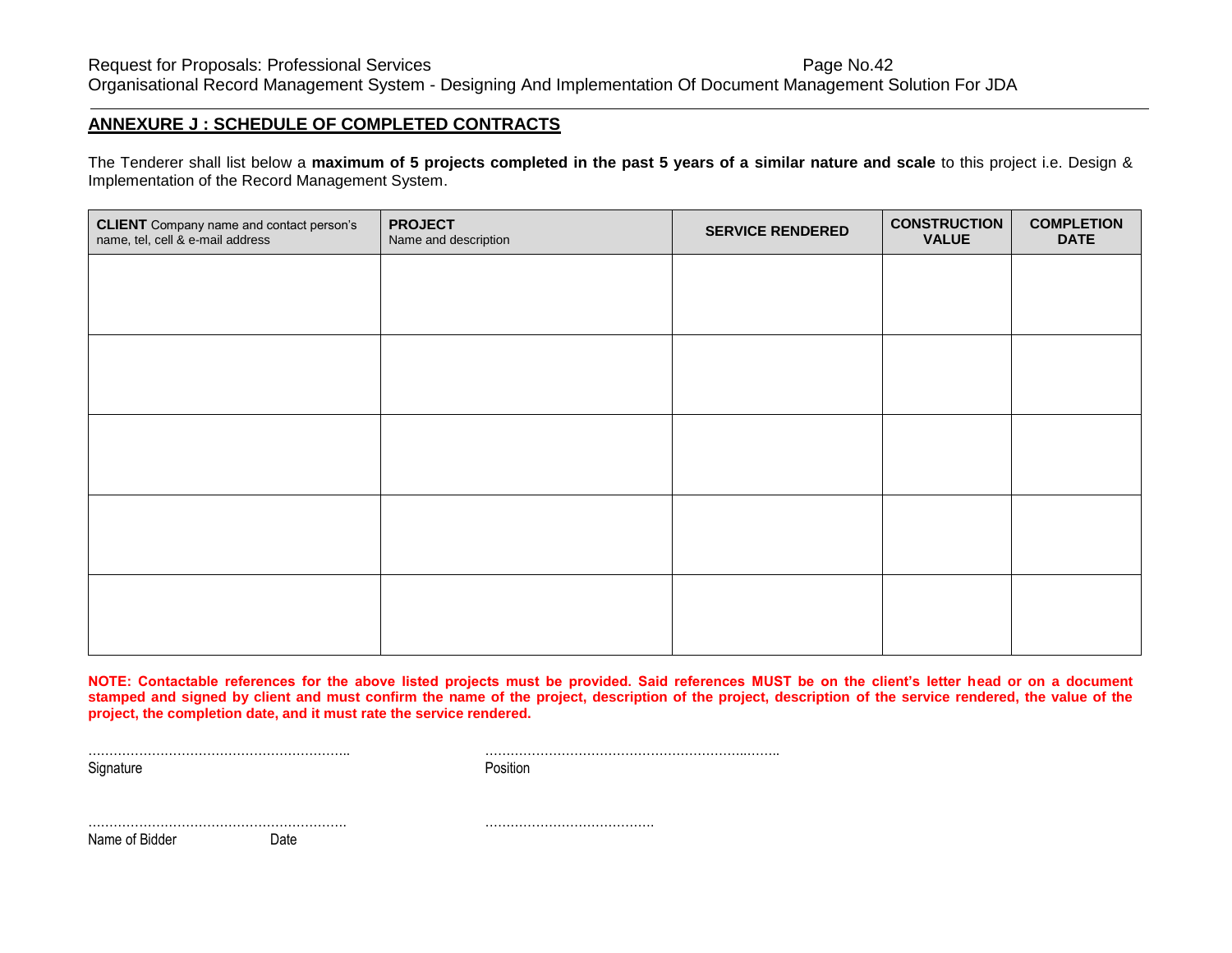#### **ANNEXURE J : SCHEDULE OF COMPLETED CONTRACTS**

The Tenderer shall list below a **maximum of 5 projects completed in the past 5 years of a similar nature and scale** to this project i.e. Design & Implementation of the Record Management System.

| <b>CLIENT</b> Company name and contact person's<br>name, tel, cell & e-mail address | <b>PROJECT</b><br>Name and description | <b>SERVICE RENDERED</b> | <b>CONSTRUCTION</b><br><b>VALUE</b> | <b>COMPLETION</b><br><b>DATE</b> |
|-------------------------------------------------------------------------------------|----------------------------------------|-------------------------|-------------------------------------|----------------------------------|
|                                                                                     |                                        |                         |                                     |                                  |
|                                                                                     |                                        |                         |                                     |                                  |
|                                                                                     |                                        |                         |                                     |                                  |
|                                                                                     |                                        |                         |                                     |                                  |
|                                                                                     |                                        |                         |                                     |                                  |
|                                                                                     |                                        |                         |                                     |                                  |
|                                                                                     |                                        |                         |                                     |                                  |
|                                                                                     |                                        |                         |                                     |                                  |
|                                                                                     |                                        |                         |                                     |                                  |
|                                                                                     |                                        |                         |                                     |                                  |

**NOTE: Contactable references for the above listed projects must be provided. Said references MUST be on the client's letter head or on a document stamped and signed by client and must confirm the name of the project, description of the project, description of the service rendered, the value of the project, the completion date, and it must rate the service rendered.** 

Signature **Position** 

…………………………………………………….. ……………………………………………………..……..

……………………………………………………. ………………………………….

Name of Bidder Date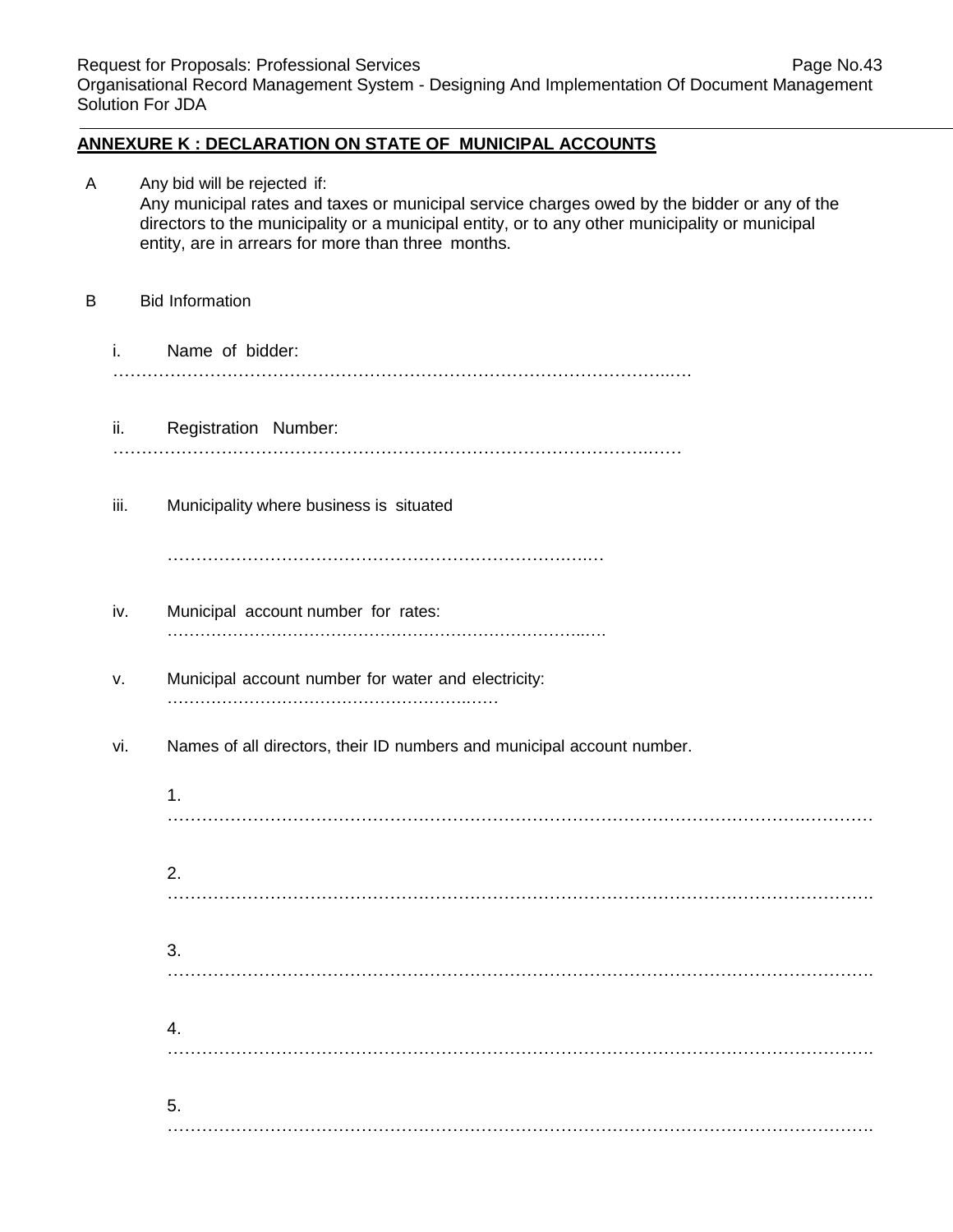# **ANNEXURE K : DECLARATION ON STATE OF MUNICIPAL ACCOUNTS**

| А |      | Any bid will be rejected if:<br>Any municipal rates and taxes or municipal service charges owed by the bidder or any of the<br>directors to the municipality or a municipal entity, or to any other municipality or municipal<br>entity, are in arrears for more than three months. |
|---|------|-------------------------------------------------------------------------------------------------------------------------------------------------------------------------------------------------------------------------------------------------------------------------------------|
| В |      | <b>Bid Information</b>                                                                                                                                                                                                                                                              |
|   | i.   | Name of bidder:                                                                                                                                                                                                                                                                     |
|   | ii.  | Registration Number:                                                                                                                                                                                                                                                                |
|   | iii. | Municipality where business is situated                                                                                                                                                                                                                                             |
|   | iv.  | Municipal account number for rates:                                                                                                                                                                                                                                                 |
|   | ν.   | Municipal account number for water and electricity:                                                                                                                                                                                                                                 |
|   | vi.  | Names of all directors, their ID numbers and municipal account number.                                                                                                                                                                                                              |
|   |      | 1.                                                                                                                                                                                                                                                                                  |
|   |      | 2.                                                                                                                                                                                                                                                                                  |
|   |      | 3.                                                                                                                                                                                                                                                                                  |
|   |      | 4.                                                                                                                                                                                                                                                                                  |
|   |      | 5.                                                                                                                                                                                                                                                                                  |
|   |      |                                                                                                                                                                                                                                                                                     |